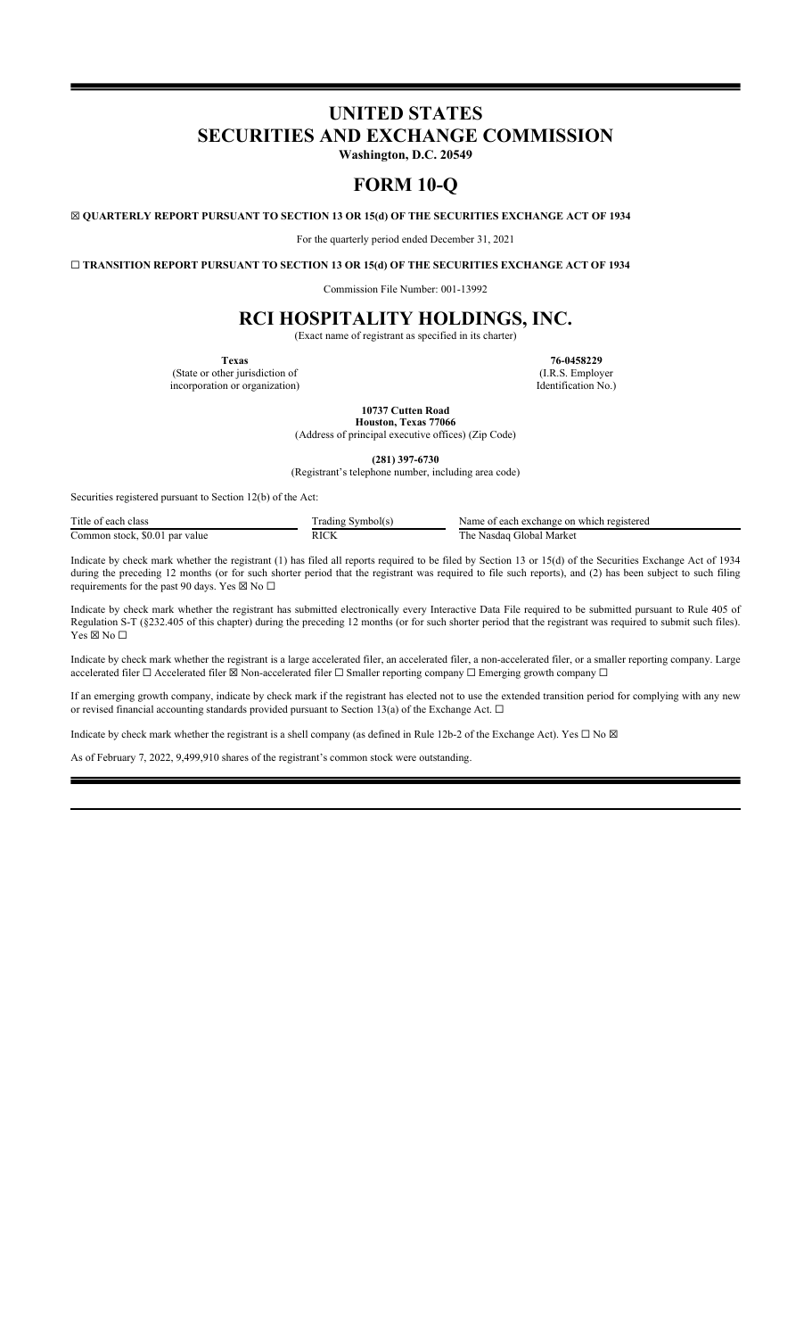# **UNITED STATES SECURITIES AND EXCHANGE COMMISSION**

**Washington, D.C. 20549**

# **FORM 10-Q**

☒ **QUARTERLY REPORT PURSUANT TO SECTION 13 OR 15(d) OF THE SECURITIES EXCHANGE ACT OF 1934**

For the quarterly period ended December 31, 2021

☐ **TRANSITION REPORT PURSUANT TO SECTION 13 OR 15(d) OF THE SECURITIES EXCHANGE ACT OF 1934**

Commission File Number: 001-13992

**RCI HOSPITALITY HOLDINGS, INC.**

(Exact name of registrant as specified in its charter)

(State or other jurisdiction of incorporation or organization)

**Texas 76-0458229** (I.R.S. Employer Identification No.)

> **10737 Cutten Road Houston, Texas 77066**

(Address of principal executive offices) (Zip Code)

**(281) 397-6730**

(Registrant's telephone number, including area code)

Securities registered pursuant to Section 12(b) of the Act:

| Title of each class               | - Symbol(s<br>. radıne | Name of each exchange on which registered |
|-----------------------------------|------------------------|-------------------------------------------|
| Common stock, \$0.01<br>par value | <b>RICK</b>            | Global Market<br>. he<br>Nasdag (         |

Indicate by check mark whether the registrant (1) has filed all reports required to be filed by Section 13 or 15(d) of the Securities Exchange Act of 1934 during the preceding 12 months (or for such shorter period that the registrant was required to file such reports), and (2) has been subject to such filing requirements for the past 90 days. Yes  $\boxtimes$  No  $\Box$ 

Indicate by check mark whether the registrant has submitted electronically every Interactive Data File required to be submitted pursuant to Rule 405 of Regulation S-T (§232.405 of this chapter) during the preceding 12 months (or for such shorter period that the registrant was required to submit such files).  $Yes \boxtimes No \Box$ 

Indicate by check mark whether the registrant is a large accelerated filer, an accelerated filer, a non-accelerated filer, or a smaller reporting company. Large accelerated filer  $\Box$  Accelerated filer  $\boxtimes$  Non-accelerated filer  $\Box$  Smaller reporting company  $\Box$  Emerging growth company  $\Box$ 

If an emerging growth company, indicate by check mark if the registrant has elected not to use the extended transition period for complying with any new or revised financial accounting standards provided pursuant to Section 13(a) of the Exchange Act.  $\Box$ 

Indicate by check mark whether the registrant is a shell company (as defined in Rule 12b-2 of the Exchange Act). Yes  $\Box$  No  $\boxtimes$ 

As of February 7, 2022, 9,499,910 shares of the registrant's common stock were outstanding.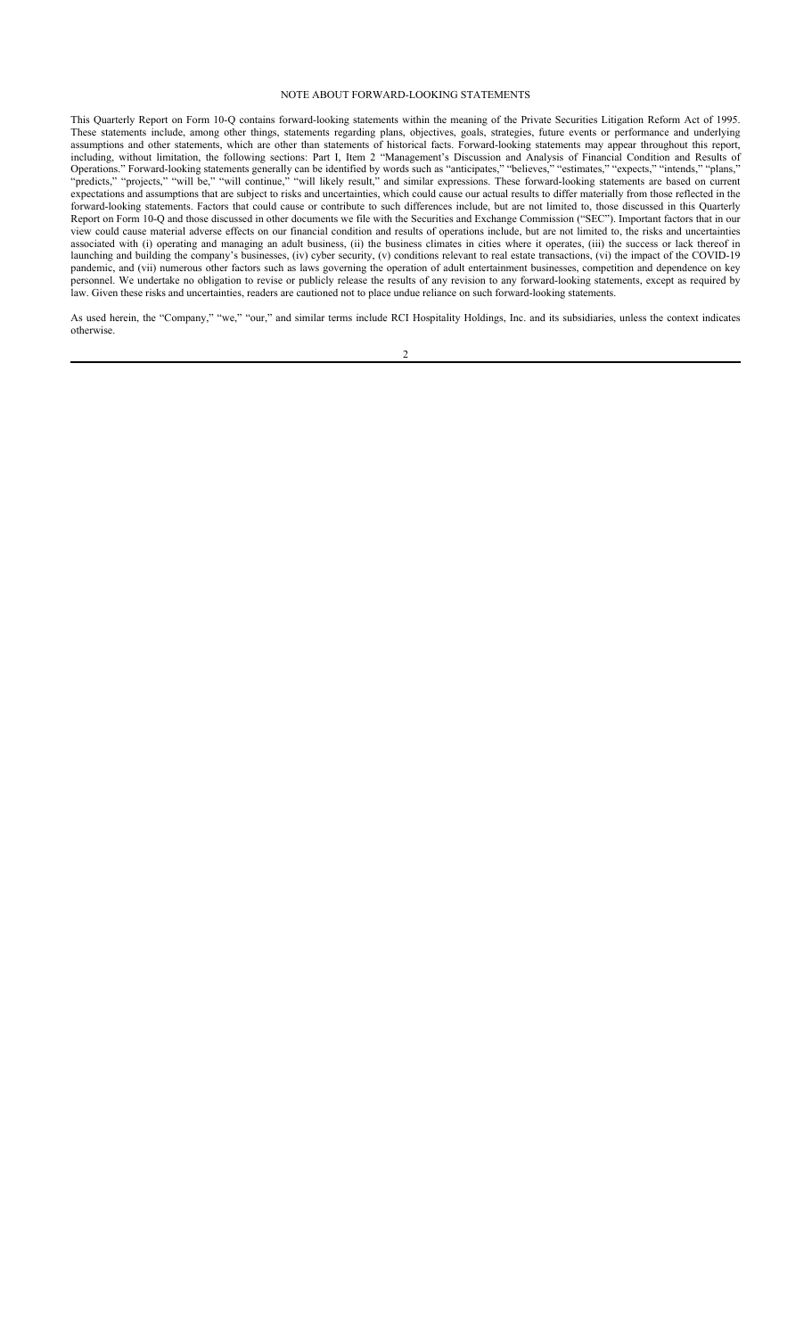## NOTE ABOUT FORWARD-LOOKING STATEMENTS

This Quarterly Report on Form 10-Q contains forward-looking statements within the meaning of the Private Securities Litigation Reform Act of 1995. These statements include, among other things, statements regarding plans, objectives, goals, strategies, future events or performance and underlying assumptions and other statements, which are other than statements of historical facts. Forward-looking statements may appear throughout this report, including, without limitation, the following sections: Part I, Item 2 "Management's Discussion and Analysis of Financial Condition and Results of Operations." Forward-looking statements generally can be identified by words such as "anticipates," "believes," "estimates," "expects," "intends," "plans," "predicts," "projects," "will be," "will continue," "will likely result," and similar expressions. These forward-looking statements are based on current expectations and assumptions that are subject to risks and uncertainties, which could cause our actual results to differ materially from those reflected in the forward-looking statements. Factors that could cause or contribute to such differences include, but are not limited to, those discussed in this Quarterly Report on Form 10-Q and those discussed in other documents we file with the Securities and Exchange Commission ("SEC"). Important factors that in our view could cause material adverse effects on our financial condition and results of operations include, but are not limited to, the risks and uncertainties associated with (i) operating and managing an adult business, (ii) the business climates in cities where it operates, (iii) the success or lack thereof in launching and building the company's businesses, (iv) cyber security, (v) conditions relevant to real estate transactions, (vi) the impact of the COVID-19 pandemic, and (vii) numerous other factors such as laws governing the operation of adult entertainment businesses, competition and dependence on key personnel. We undertake no obligation to revise or publicly release the results of any revision to any forward-looking statements, except as required by law. Given these risks and uncertainties, readers are cautioned not to place undue reliance on such forward-looking statements.

As used herein, the "Company," "we," "our," and similar terms include RCI Hospitality Holdings, Inc. and its subsidiaries, unless the context indicates otherwise.

 $\overline{2}$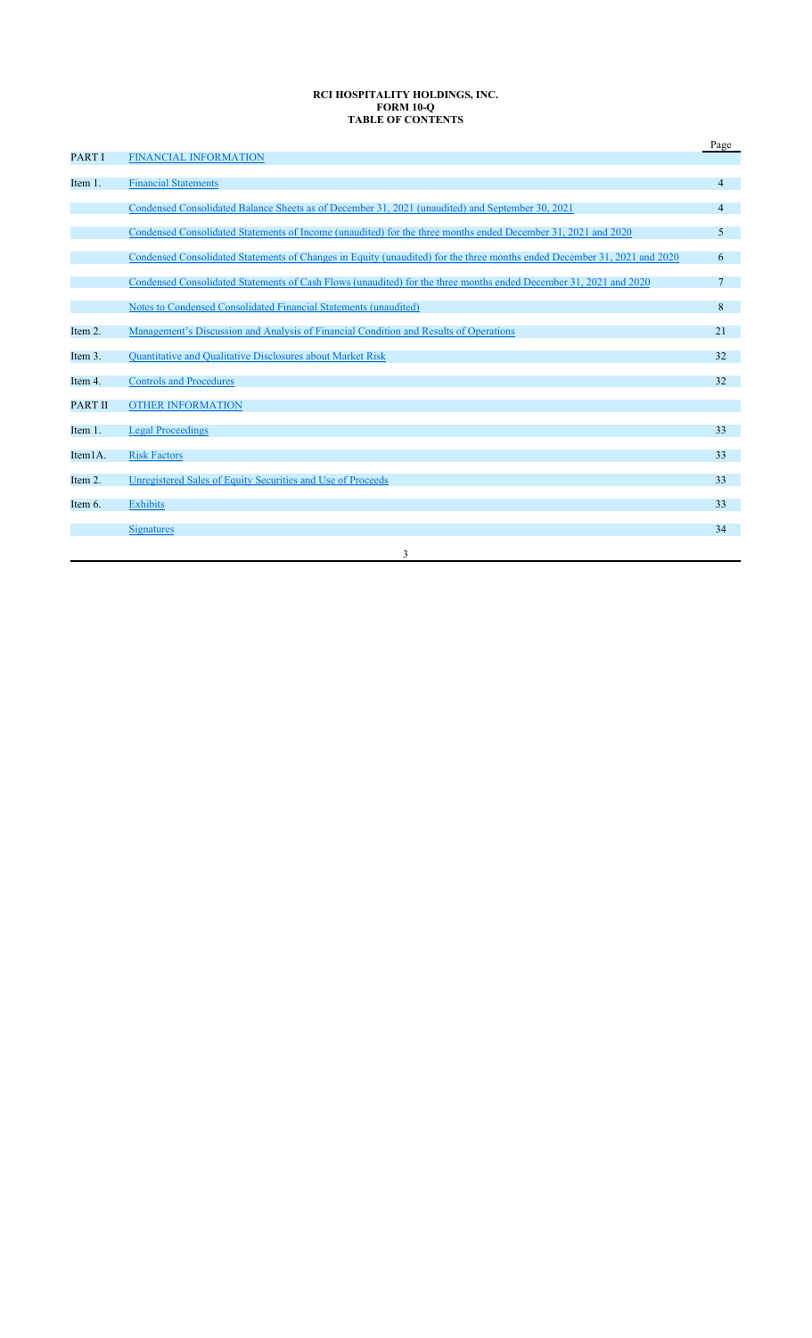#### **RCI HOSPITALITY HOLDINGS, INC. FORM 10-Q TABLE OF CONTENTS**

|                |                                                                                                                          | Page           |
|----------------|--------------------------------------------------------------------------------------------------------------------------|----------------|
| <b>PART I</b>  | <b>FINANCIAL INFORMATION</b>                                                                                             |                |
| Item 1.        | <b>Financial Statements</b>                                                                                              | 4              |
|                | Condensed Consolidated Balance Sheets as of December 31, 2021 (unaudited) and September 30, 2021                         | $\overline{4}$ |
|                | Condensed Consolidated Statements of Income (unaudited) for the three months ended December 31, 2021 and 2020            | 5              |
|                | Condensed Consolidated Statements of Changes in Equity (unaudited) for the three months ended December 31, 2021 and 2020 | 6              |
|                | Condensed Consolidated Statements of Cash Flows (unaudited) for the three months ended December 31, 2021 and 2020        | 7              |
|                | Notes to Condensed Consolidated Financial Statements (unaudited)                                                         | 8              |
| Item 2.        | Management's Discussion and Analysis of Financial Condition and Results of Operations                                    | 21             |
| Item 3.        | Quantitative and Qualitative Disclosures about Market Risk                                                               | 32             |
| Item 4.        | <b>Controls and Procedures</b>                                                                                           | 32             |
| <b>PART II</b> | <b>OTHER INFORMATION</b>                                                                                                 |                |
| Item 1.        | <b>Legal Proceedings</b>                                                                                                 | 33             |
| Item1A.        | <b>Risk Factors</b>                                                                                                      | 33             |
| Item 2.        | Unregistered Sales of Equity Securities and Use of Proceeds                                                              | 33             |
| Item 6.        | <b>Exhibits</b>                                                                                                          | 33             |
|                | Signatures                                                                                                               | 34             |
|                | 3                                                                                                                        |                |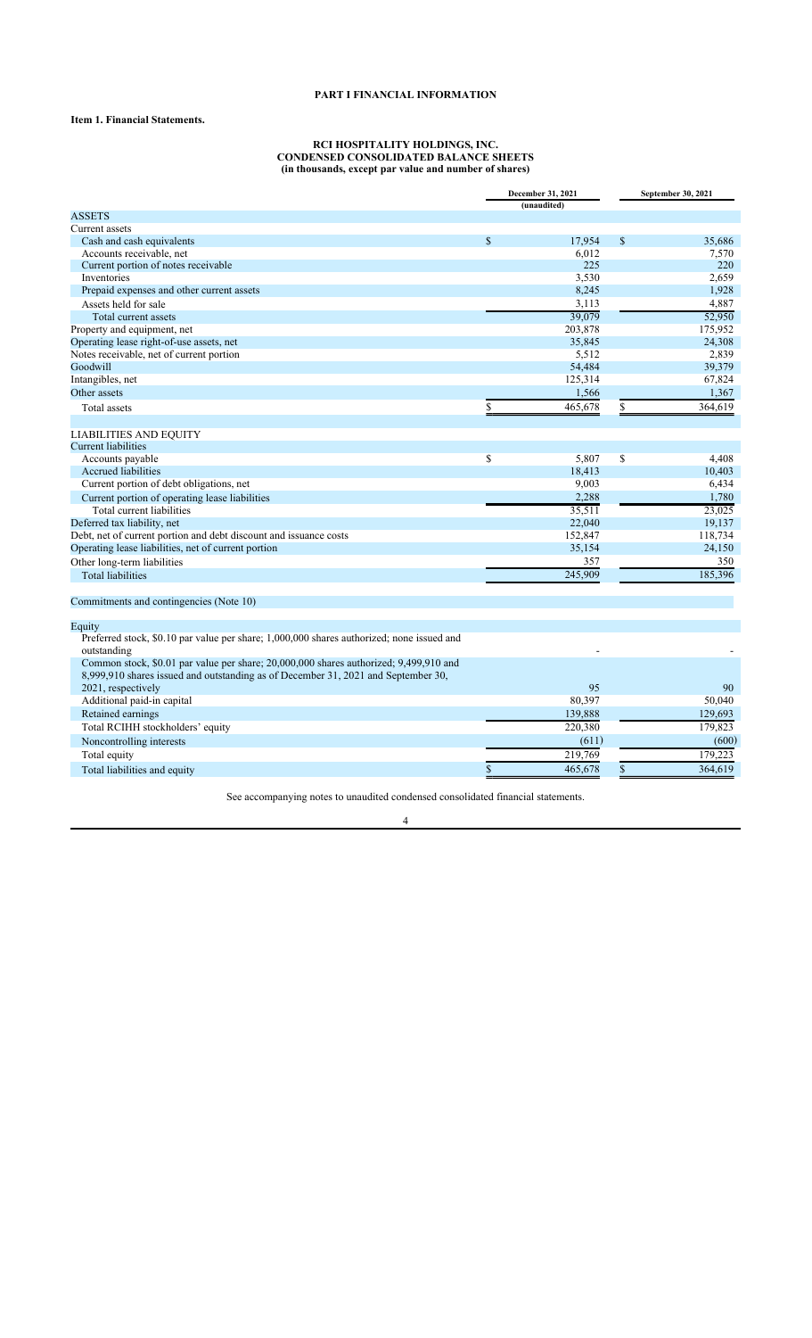## **PART I FINANCIAL INFORMATION**

## **Item 1. Financial Statements.**

#### **RCI HOSPITALITY HOLDINGS, INC. CONDENSED CONSOLIDATED BALANCE SHEETS (in thousands, except par value and number of shares)**

|                                                                                                          |              | December 31, 2021<br>(unaudited) | September 30, 2021 |         |  |
|----------------------------------------------------------------------------------------------------------|--------------|----------------------------------|--------------------|---------|--|
| <b>ASSETS</b>                                                                                            |              |                                  |                    |         |  |
| Current assets                                                                                           |              |                                  |                    |         |  |
| Cash and cash equivalents                                                                                | $\mathbb{S}$ | 17,954                           | $\mathbb{S}$       | 35,686  |  |
| Accounts receivable, net                                                                                 |              | 6,012                            |                    | 7,570   |  |
| Current portion of notes receivable                                                                      |              | 225                              |                    | 220     |  |
| Inventories                                                                                              |              | 3.530                            |                    | 2.659   |  |
| Prepaid expenses and other current assets                                                                |              | 8,245                            |                    | 1,928   |  |
| Assets held for sale                                                                                     |              | 3,113                            |                    | 4,887   |  |
| Total current assets                                                                                     |              | 39,079                           |                    | 52,950  |  |
| Property and equipment, net                                                                              |              | 203,878                          |                    | 175,952 |  |
| Operating lease right-of-use assets, net                                                                 |              | 35,845                           |                    | 24,308  |  |
| Notes receivable, net of current portion                                                                 |              | 5.512                            |                    | 2,839   |  |
| Goodwill                                                                                                 |              | 54,484                           |                    | 39,379  |  |
| Intangibles, net                                                                                         |              | 125,314                          |                    | 67,824  |  |
| Other assets                                                                                             |              | 1,566                            |                    | 1,367   |  |
| Total assets                                                                                             | \$           | 465,678                          | \$                 | 364,619 |  |
| <b>LIABILITIES AND EQUITY</b>                                                                            |              |                                  |                    |         |  |
| <b>Current liabilities</b>                                                                               |              |                                  |                    |         |  |
| Accounts payable                                                                                         | \$           | 5.807                            | \$                 | 4,408   |  |
| <b>Accrued liabilities</b>                                                                               |              | 18,413                           |                    | 10,403  |  |
| Current portion of debt obligations, net                                                                 |              | 9.003                            |                    | 6,434   |  |
| Current portion of operating lease liabilities                                                           |              | 2,288                            |                    | 1,780   |  |
| Total current liabilities                                                                                |              | 35,511                           |                    | 23,025  |  |
| Deferred tax liability, net                                                                              |              | 22,040                           |                    | 19,137  |  |
| Debt, net of current portion and debt discount and issuance costs                                        |              | 152,847                          |                    | 118,734 |  |
| Operating lease liabilities, net of current portion                                                      |              | 35,154                           |                    | 24,150  |  |
| Other long-term liabilities                                                                              |              | 357                              |                    | 350     |  |
| <b>Total liabilities</b>                                                                                 |              | 245,909                          |                    | 185,396 |  |
| Commitments and contingencies (Note 10)                                                                  |              |                                  |                    |         |  |
|                                                                                                          |              |                                  |                    |         |  |
| Equity                                                                                                   |              |                                  |                    |         |  |
| Preferred stock, \$0.10 par value per share; 1,000,000 shares authorized; none issued and<br>outstanding |              |                                  |                    |         |  |
| Common stock, \$0.01 par value per share; 20,000,000 shares authorized; 9,499,910 and                    |              |                                  |                    |         |  |
| 8,999,910 shares issued and outstanding as of December 31, 2021 and September 30,                        |              |                                  |                    |         |  |
| 2021, respectively                                                                                       |              | 95                               |                    | 90      |  |
| Additional paid-in capital                                                                               |              | 80,397                           |                    | 50,040  |  |
| Retained earnings                                                                                        |              | 139,888                          |                    | 129,693 |  |
| Total RCIHH stockholders' equity                                                                         |              | 220,380                          |                    | 179,823 |  |
| Noncontrolling interests                                                                                 |              | (611)                            |                    | (600)   |  |
| Total equity                                                                                             |              | 219,769                          |                    | 179,223 |  |
| Total liabilities and equity                                                                             | \$           | 465,678                          | \$                 | 364,619 |  |
|                                                                                                          |              |                                  |                    |         |  |

See accompanying notes to unaudited condensed consolidated financial statements.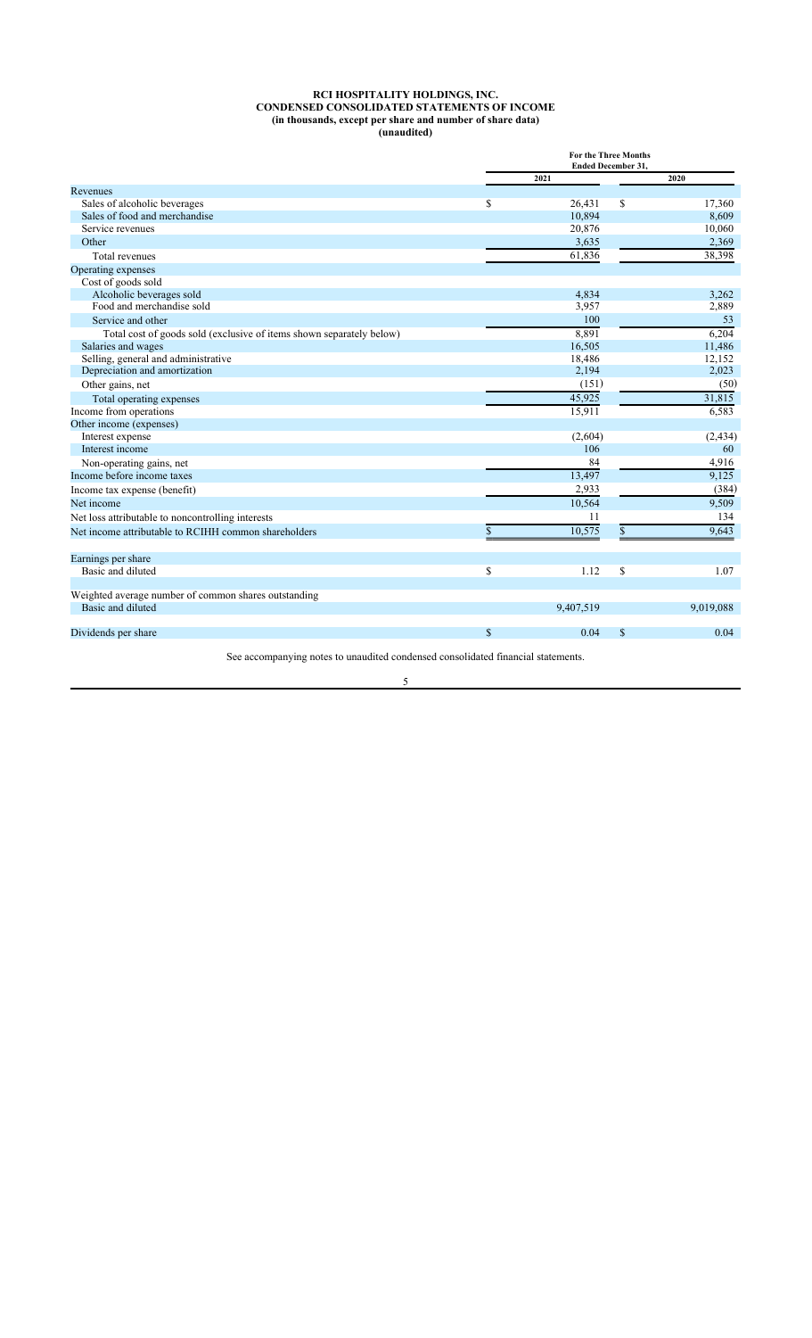#### **RCI HOSPITALITY HOLDINGS, INC. CONDENSED CONSOLIDATED STATEMENTS OF INCOME (in thousands, except per share and number of share data) (unaudited)**

|                                                                      |             | <b>For the Three Months</b> |              |           |
|----------------------------------------------------------------------|-------------|-----------------------------|--------------|-----------|
|                                                                      |             | 2021                        |              | 2020      |
| Revenues                                                             |             |                             |              |           |
| Sales of alcoholic beverages                                         | S           | 26,431                      | \$           | 17,360    |
| Sales of food and merchandise                                        |             | 10,894                      |              | 8,609     |
| Service revenues                                                     |             | 20,876                      |              | 10,060    |
| Other                                                                |             | 3,635                       |              | 2,369     |
| Total revenues                                                       |             | 61,836                      |              | 38,398    |
| Operating expenses                                                   |             |                             |              |           |
| Cost of goods sold                                                   |             |                             |              |           |
| Alcoholic beverages sold                                             |             | 4,834                       |              | 3,262     |
| Food and merchandise sold                                            |             | 3,957                       |              | 2,889     |
| Service and other                                                    |             | 100                         |              | 53        |
| Total cost of goods sold (exclusive of items shown separately below) |             | 8,891                       |              | 6,204     |
| Salaries and wages                                                   |             | 16,505                      |              | 11,486    |
| Selling, general and administrative                                  |             | 18,486                      |              | 12,152    |
| Depreciation and amortization                                        |             | 2,194                       |              | 2,023     |
| Other gains, net                                                     |             | (151)                       |              | (50)      |
| Total operating expenses                                             |             | 45.925                      |              | 31,815    |
| Income from operations                                               |             | 15,911                      |              | 6,583     |
| Other income (expenses)                                              |             |                             |              |           |
| Interest expense                                                     |             | (2,604)                     |              | (2, 434)  |
| Interest income                                                      |             | 106                         |              | 60        |
| Non-operating gains, net                                             |             | 84                          |              | 4,916     |
| Income before income taxes                                           |             | 13,497                      |              | 9,125     |
| Income tax expense (benefit)                                         |             | 2,933                       |              | (384)     |
| Net income                                                           |             | 10.564                      |              | 9,509     |
| Net loss attributable to noncontrolling interests                    |             | 11                          |              | 134       |
| Net income attributable to RCIHH common shareholders                 | \$          | 10,575                      | $\mathbb{S}$ | 9,643     |
| Earnings per share                                                   |             |                             |              |           |
| Basic and diluted                                                    | \$          | 1.12                        | \$           | 1.07      |
| Weighted average number of common shares outstanding                 |             |                             |              |           |
| Basic and diluted                                                    |             | 9,407,519                   |              | 9,019,088 |
| Dividends per share                                                  | $\mathbf S$ | 0.04                        | $\mathbf S$  | 0.04      |
|                                                                      |             |                             |              |           |

See accompanying notes to unaudited condensed consolidated financial statements.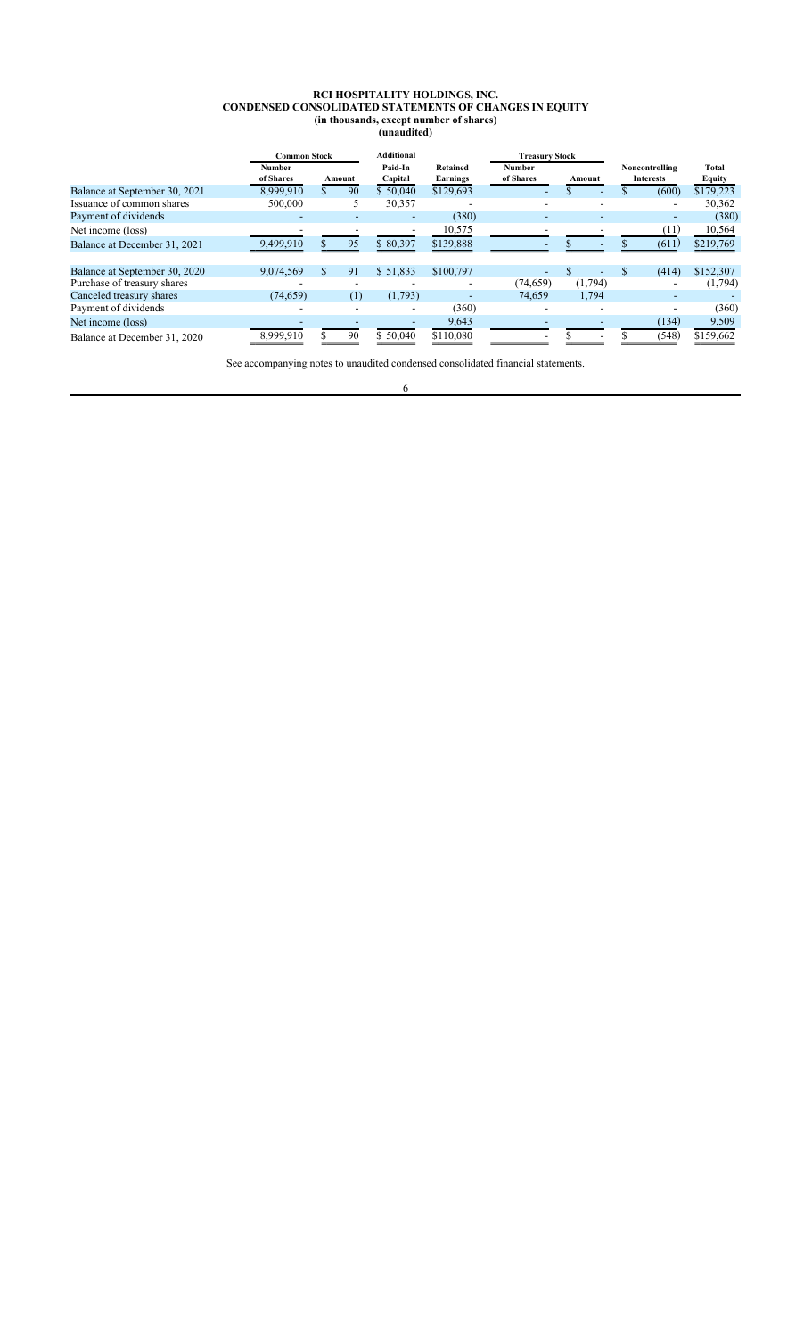#### **RCI HOSPITALITY HOLDINGS, INC. CONDENSED CONSOLIDATED STATEMENTS OF CHANGES IN EQUITY (in thousands, except number of shares) (unaudited)**

|                               |                     | Additional<br><b>Common Stock</b> |        |                    |                             | <b>Treasury Stock</b> |         |                                    |                 |
|-------------------------------|---------------------|-----------------------------------|--------|--------------------|-----------------------------|-----------------------|---------|------------------------------------|-----------------|
|                               | Number<br>of Shares |                                   | Amount | Paid-In<br>Capital | <b>Retained</b><br>Earnings | Number<br>of Shares   | Amount  | Noncontrolling<br><b>Interests</b> | Total<br>Equity |
| Balance at September 30, 2021 | 8.999.910           |                                   | 90     | \$50,040           | \$129,693                   | -                     |         | (600)                              | \$179,223       |
| Issuance of common shares     | 500,000             |                                   |        | 30,357             |                             |                       |         |                                    | 30,362          |
| Payment of dividends          |                     |                                   |        |                    | (380)                       |                       |         |                                    | (380)           |
| Net income (loss)             |                     |                                   |        |                    | 10,575                      |                       |         | (11)                               | 10,564          |
| Balance at December 31, 2021  | 9,499,910           |                                   | 95     | \$80,397           | \$139,888                   |                       |         | (611)                              | \$219,769       |
| Balance at September 30, 2020 | 9.074.569           | \$                                | 91     | \$51.833           | \$100,797                   | ۰                     | ۰       | (414)                              | \$152,307       |
| Purchase of treasury shares   |                     |                                   |        |                    |                             | (74,659)              | (1,794) |                                    | (1,794)         |
| Canceled treasury shares      | (74, 659)           |                                   | (1)    | (1,793)            |                             | 74,659                | 1,794   |                                    |                 |
| Payment of dividends          |                     |                                   |        |                    | (360)                       |                       |         |                                    | (360)           |
| Net income (loss)             |                     |                                   |        |                    | 9,643                       |                       |         | (134)                              | 9,509           |
| Balance at December 31, 2020  | 8.999.910           |                                   | 90     | \$50,040           | \$110,080                   |                       |         | (548)                              | \$159,662       |

See accompanying notes to unaudited condensed consolidated financial statements.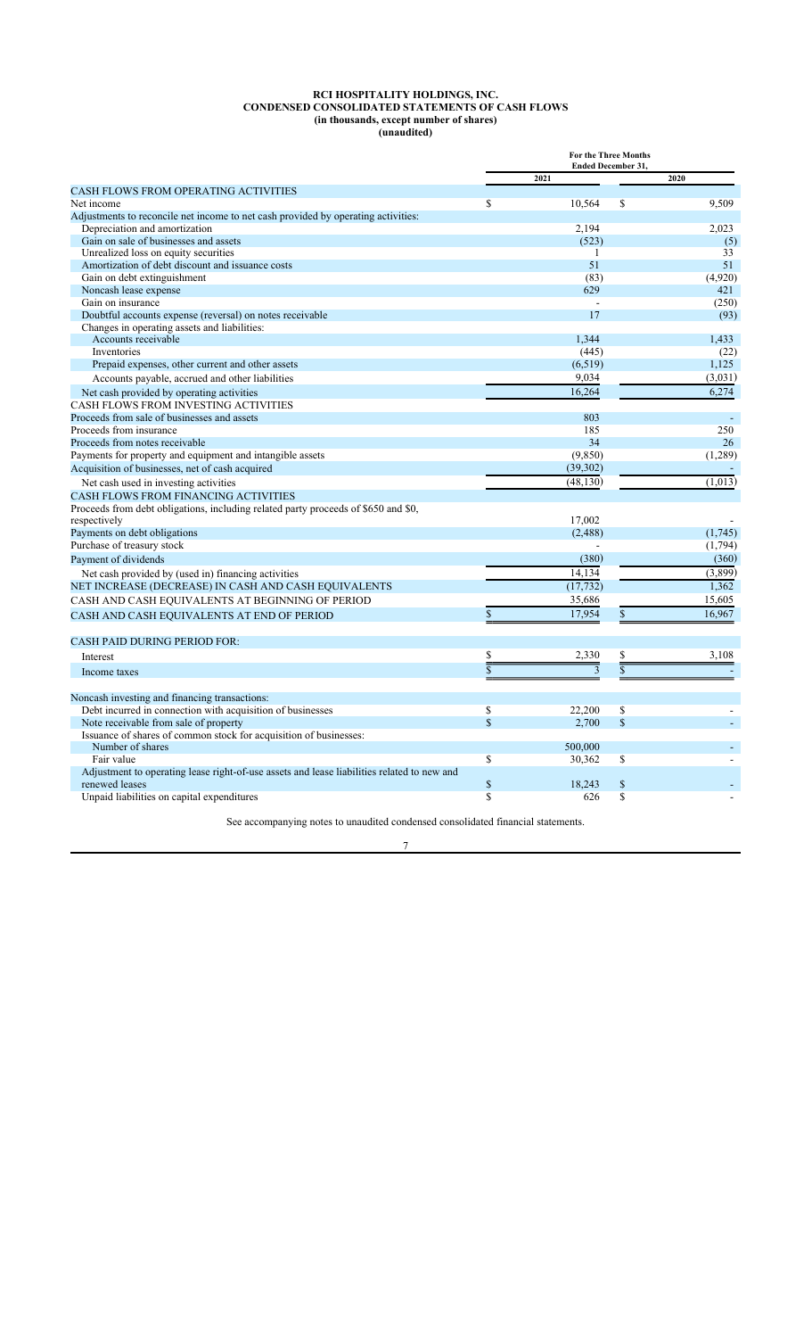#### **RCI HOSPITALITY HOLDINGS, INC. CONDENSED CONSOLIDATED STATEMENTS OF CASH FLOWS (in thousands, except number of shares) (unaudited)**

|                                                                                            | <b>For the Three Months</b><br><b>Ended December 31,</b> |                           |                |          |  |  |
|--------------------------------------------------------------------------------------------|----------------------------------------------------------|---------------------------|----------------|----------|--|--|
|                                                                                            |                                                          | 2021                      |                | 2020     |  |  |
| <b>CASH FLOWS FROM OPERATING ACTIVITIES</b>                                                |                                                          |                           |                |          |  |  |
| Net income                                                                                 | \$                                                       | 10,564                    | \$             | 9,509    |  |  |
| Adjustments to reconcile net income to net cash provided by operating activities:          |                                                          |                           |                |          |  |  |
| Depreciation and amortization                                                              |                                                          | 2,194                     |                | 2,023    |  |  |
| Gain on sale of businesses and assets                                                      |                                                          | (523)                     |                | (5)      |  |  |
| Unrealized loss on equity securities                                                       |                                                          | 1                         |                | 33       |  |  |
| Amortization of debt discount and issuance costs                                           |                                                          | 51                        |                | 51       |  |  |
| Gain on debt extinguishment                                                                |                                                          | (83)                      |                | (4,920)  |  |  |
| Noncash lease expense                                                                      |                                                          | 629                       |                | 421      |  |  |
| Gain on insurance                                                                          |                                                          |                           |                | (250)    |  |  |
| Doubtful accounts expense (reversal) on notes receivable                                   |                                                          | 17                        |                | (93)     |  |  |
| Changes in operating assets and liabilities:                                               |                                                          |                           |                |          |  |  |
| Accounts receivable                                                                        |                                                          | 1.344                     |                | 1,433    |  |  |
| Inventories                                                                                |                                                          | (445)                     |                | (22)     |  |  |
| Prepaid expenses, other current and other assets                                           |                                                          | (6, 519)                  |                | 1,125    |  |  |
| Accounts payable, accrued and other liabilities                                            |                                                          | 9,034                     |                | (3,031)  |  |  |
| Net cash provided by operating activities                                                  |                                                          | 16,264                    |                | 6,274    |  |  |
| CASH FLOWS FROM INVESTING ACTIVITIES                                                       |                                                          |                           |                |          |  |  |
| Proceeds from sale of businesses and assets                                                |                                                          | 803                       |                |          |  |  |
| Proceeds from insurance                                                                    |                                                          | 185                       |                | 250      |  |  |
| Proceeds from notes receivable                                                             |                                                          | 34                        |                | 26       |  |  |
| Payments for property and equipment and intangible assets                                  |                                                          | (9, 850)                  |                | (1, 289) |  |  |
| Acquisition of businesses, net of cash acquired                                            |                                                          | (39,302)                  |                |          |  |  |
| Net cash used in investing activities                                                      |                                                          | (48, 130)                 |                | (1,013)  |  |  |
| CASH FLOWS FROM FINANCING ACTIVITIES                                                       |                                                          |                           |                |          |  |  |
| Proceeds from debt obligations, including related party proceeds of \$650 and \$0,         |                                                          |                           |                |          |  |  |
| respectively                                                                               |                                                          | 17,002                    |                |          |  |  |
| Payments on debt obligations                                                               |                                                          | (2,488)                   |                | (1,745)  |  |  |
| Purchase of treasury stock                                                                 |                                                          |                           |                | (1,794)  |  |  |
| Payment of dividends                                                                       |                                                          | (380)                     |                | (360)    |  |  |
| Net cash provided by (used in) financing activities                                        |                                                          | 14,134                    |                | (3,899)  |  |  |
| NET INCREASE (DECREASE) IN CASH AND CASH EQUIVALENTS                                       |                                                          | (17, 732)                 |                | 1,362    |  |  |
| CASH AND CASH EQUIVALENTS AT BEGINNING OF PERIOD                                           |                                                          | 35,686                    |                | 15,605   |  |  |
|                                                                                            |                                                          | 17,954                    |                | 16,967   |  |  |
| CASH AND CASH EQUIVALENTS AT END OF PERIOD                                                 | \$                                                       |                           | \$             |          |  |  |
| <b>CASH PAID DURING PERIOD FOR:</b>                                                        |                                                          |                           |                |          |  |  |
| Interest                                                                                   | \$                                                       | 2,330                     | \$             | 3.108    |  |  |
| Income taxes                                                                               | $\bar{s}$                                                | $\overline{\overline{3}}$ | $\overline{s}$ |          |  |  |
| Noncash investing and financing transactions:                                              |                                                          |                           |                |          |  |  |
| Debt incurred in connection with acquisition of businesses                                 | \$                                                       | 22,200                    | \$             |          |  |  |
| Note receivable from sale of property                                                      | $\mathbf S$                                              | 2.700                     | $\mathbb{S}$   |          |  |  |
| Issuance of shares of common stock for acquisition of businesses:                          |                                                          |                           |                |          |  |  |
| Number of shares                                                                           |                                                          | 500,000                   |                |          |  |  |
| Fair value                                                                                 | \$                                                       | 30,362                    | \$             |          |  |  |
| Adjustment to operating lease right-of-use assets and lease liabilities related to new and |                                                          |                           |                |          |  |  |
| renewed leases                                                                             | \$                                                       | 18,243                    | $\mathbb{S}$   |          |  |  |
| Unpaid liabilities on capital expenditures                                                 | $\overline{\mathbb{S}}$                                  | 626                       | \$             |          |  |  |

See accompanying notes to unaudited condensed consolidated financial statements.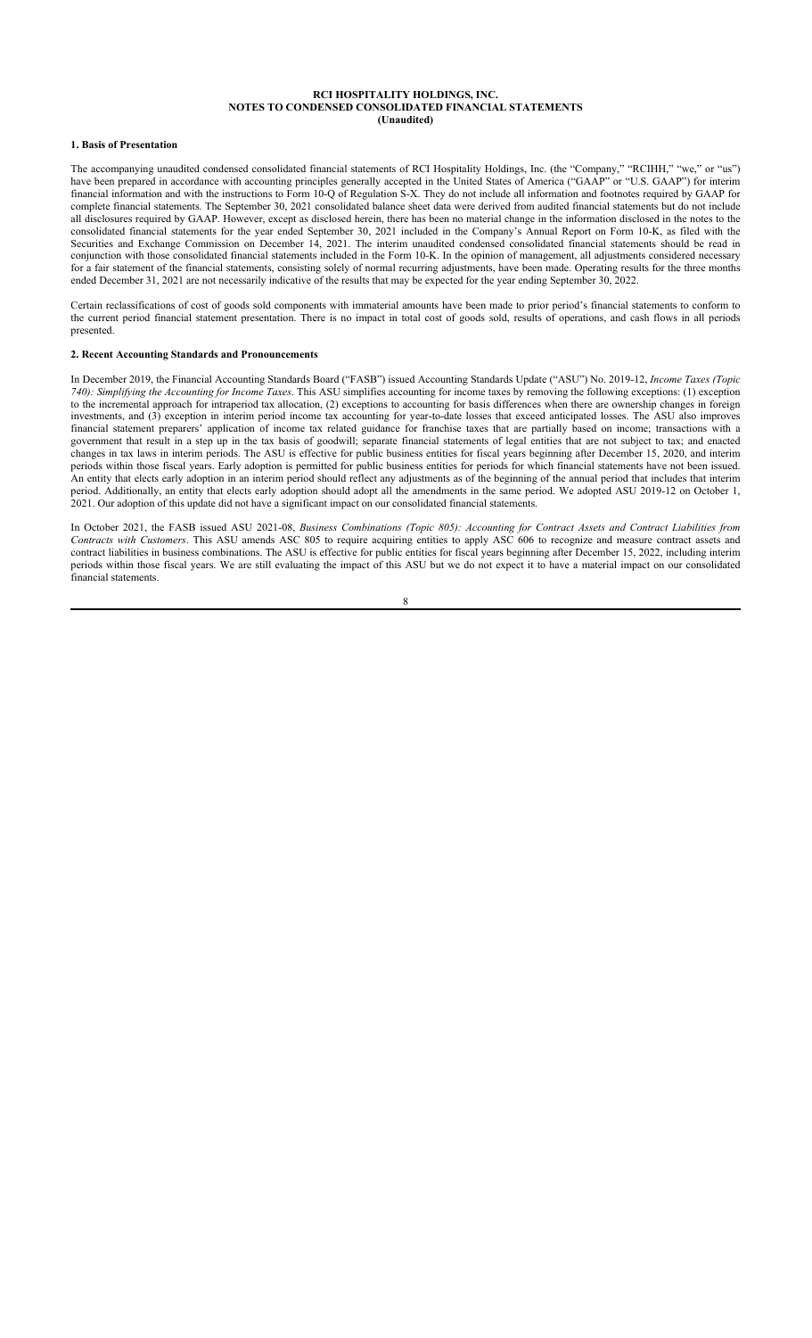#### **1. Basis of Presentation**

The accompanying unaudited condensed consolidated financial statements of RCI Hospitality Holdings, Inc. (the "Company," "RCIHH," "we," or "us") have been prepared in accordance with accounting principles generally accepted in the United States of America ("GAAP" or "U.S. GAAP") for interim financial information and with the instructions to Form 10-Q of Regulation S-X. They do not include all information and footnotes required by GAAP for complete financial statements. The September 30, 2021 consolidated balance sheet data were derived from audited financial statements but do not include all disclosures required by GAAP. However, except as disclosed herein, there has been no material change in the information disclosed in the notes to the consolidated financial statements for the year ended September 30, 2021 included in the Company's Annual Report on Form 10-K, as filed with the Securities and Exchange Commission on December 14, 2021. The interim unaudited condensed consolidated financial statements should be read in conjunction with those consolidated financial statements included in the Form 10-K. In the opinion of management, all adjustments considered necessary for a fair statement of the financial statements, consisting solely of normal recurring adjustments, have been made. Operating results for the three months ended December 31, 2021 are not necessarily indicative of the results that may be expected for the year ending September 30, 2022.

Certain reclassifications of cost of goods sold components with immaterial amounts have been made to prior period's financial statements to conform to the current period financial statement presentation. There is no impact in total cost of goods sold, results of operations, and cash flows in all periods presented.

#### **2. Recent Accounting Standards and Pronouncements**

In December 2019, the Financial Accounting Standards Board ("FASB") issued Accounting Standards Update ("ASU") No. 2019-12, *Income Taxes (Topic 740): Simplifying the Accounting for Income Taxes*. This ASU simplifies accounting for income taxes by removing the following exceptions: (1) exception to the incremental approach for intraperiod tax allocation, (2) exceptions to accounting for basis differences when there are ownership changes in foreign investments, and (3) exception in interim period income tax accounting for year-to-date losses that exceed anticipated losses. The ASU also improves financial statement preparers' application of income tax related guidance for franchise taxes that are partially based on income; transactions with a government that result in a step up in the tax basis of goodwill; separate financial statements of legal entities that are not subject to tax; and enacted changes in tax laws in interim periods. The ASU is effective for public business entities for fiscal years beginning after December 15, 2020, and interim periods within those fiscal years. Early adoption is permitted for public business entities for periods for which financial statements have not been issued. An entity that elects early adoption in an interim period should reflect any adjustments as of the beginning of the annual period that includes that interim period. Additionally, an entity that elects early adoption should adopt all the amendments in the same period. We adopted ASU 2019-12 on October 1, 2021. Our adoption of this update did not have a significant impact on our consolidated financial statements.

In October 2021, the FASB issued ASU 2021-08, *Business Combinations (Topic 805): Accounting for Contract Assets and Contract Liabilities from Contracts with Customers*. This ASU amends ASC 805 to require acquiring entities to apply ASC 606 to recognize and measure contract assets and contract liabilities in business combinations. The ASU is effective for public entities for fiscal years beginning after December 15, 2022, including interim periods within those fiscal years. We are still evaluating the impact of this ASU but we do not expect it to have a material impact on our consolidated financial statements.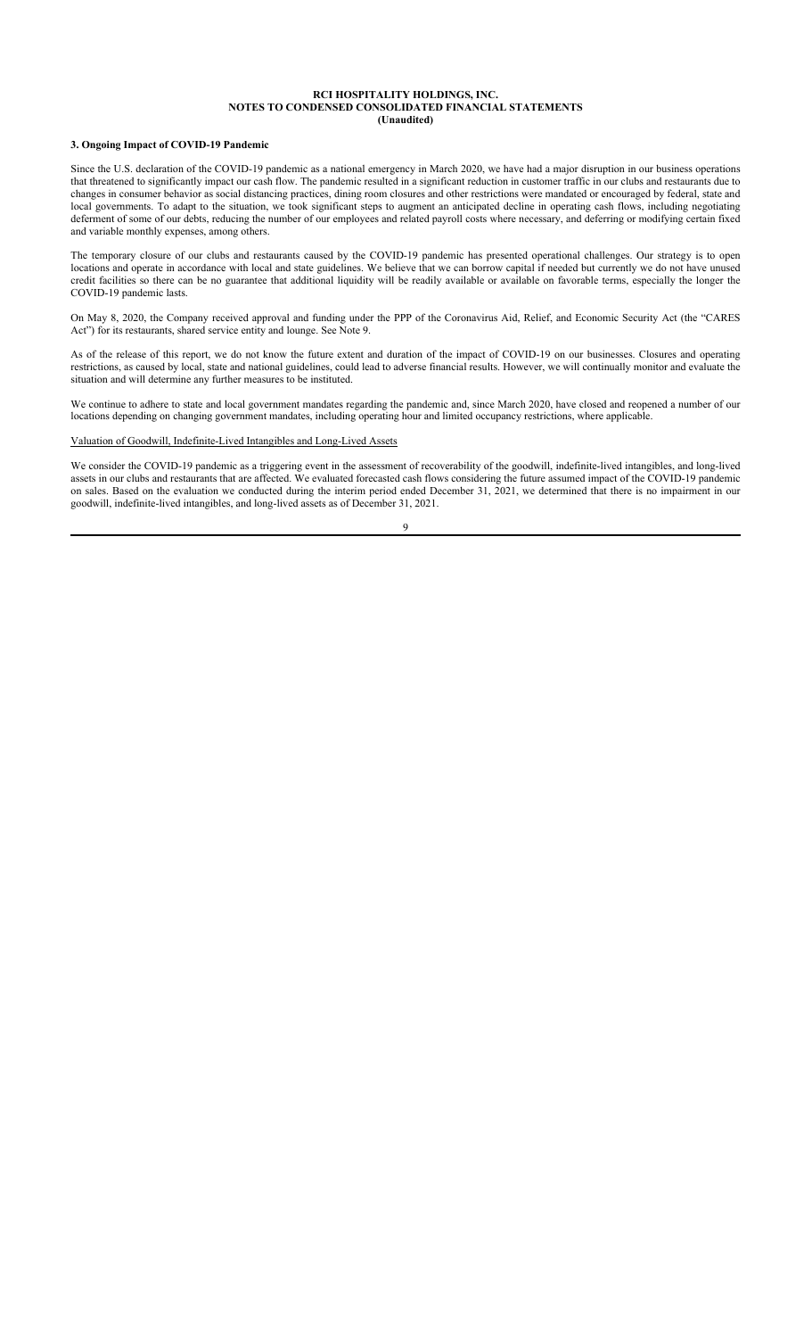## **3. Ongoing Impact of COVID-19 Pandemic**

Since the U.S. declaration of the COVID-19 pandemic as a national emergency in March 2020, we have had a major disruption in our business operations that threatened to significantly impact our cash flow. The pandemic resulted in a significant reduction in customer traffic in our clubs and restaurants due to changes in consumer behavior as social distancing practices, dining room closures and other restrictions were mandated or encouraged by federal, state and local governments. To adapt to the situation, we took significant steps to augment an anticipated decline in operating cash flows, including negotiating deferment of some of our debts, reducing the number of our employees and related payroll costs where necessary, and deferring or modifying certain fixed and variable monthly expenses, among others.

The temporary closure of our clubs and restaurants caused by the COVID-19 pandemic has presented operational challenges. Our strategy is to open locations and operate in accordance with local and state guidelines. We believe that we can borrow capital if needed but currently we do not have unused credit facilities so there can be no guarantee that additional liquidity will be readily available or available on favorable terms, especially the longer the COVID-19 pandemic lasts.

On May 8, 2020, the Company received approval and funding under the PPP of the Coronavirus Aid, Relief, and Economic Security Act (the "CARES Act") for its restaurants, shared service entity and lounge. See Note 9.

As of the release of this report, we do not know the future extent and duration of the impact of COVID-19 on our businesses. Closures and operating restrictions, as caused by local, state and national guidelines, could lead to adverse financial results. However, we will continually monitor and evaluate the situation and will determine any further measures to be instituted.

We continue to adhere to state and local government mandates regarding the pandemic and, since March 2020, have closed and reopened a number of our locations depending on changing government mandates, including operating hour and limited occupancy restrictions, where applicable.

Valuation of Goodwill, Indefinite-Lived Intangibles and Long-Lived Assets

We consider the COVID-19 pandemic as a triggering event in the assessment of recoverability of the goodwill, indefinite-lived intangibles, and long-lived assets in our clubs and restaurants that are affected. We evaluated forecasted cash flows considering the future assumed impact of the COVID-19 pandemic on sales. Based on the evaluation we conducted during the interim period ended December 31, 2021, we determined that there is no impairment in our goodwill, indefinite-lived intangibles, and long-lived assets as of December 31, 2021.

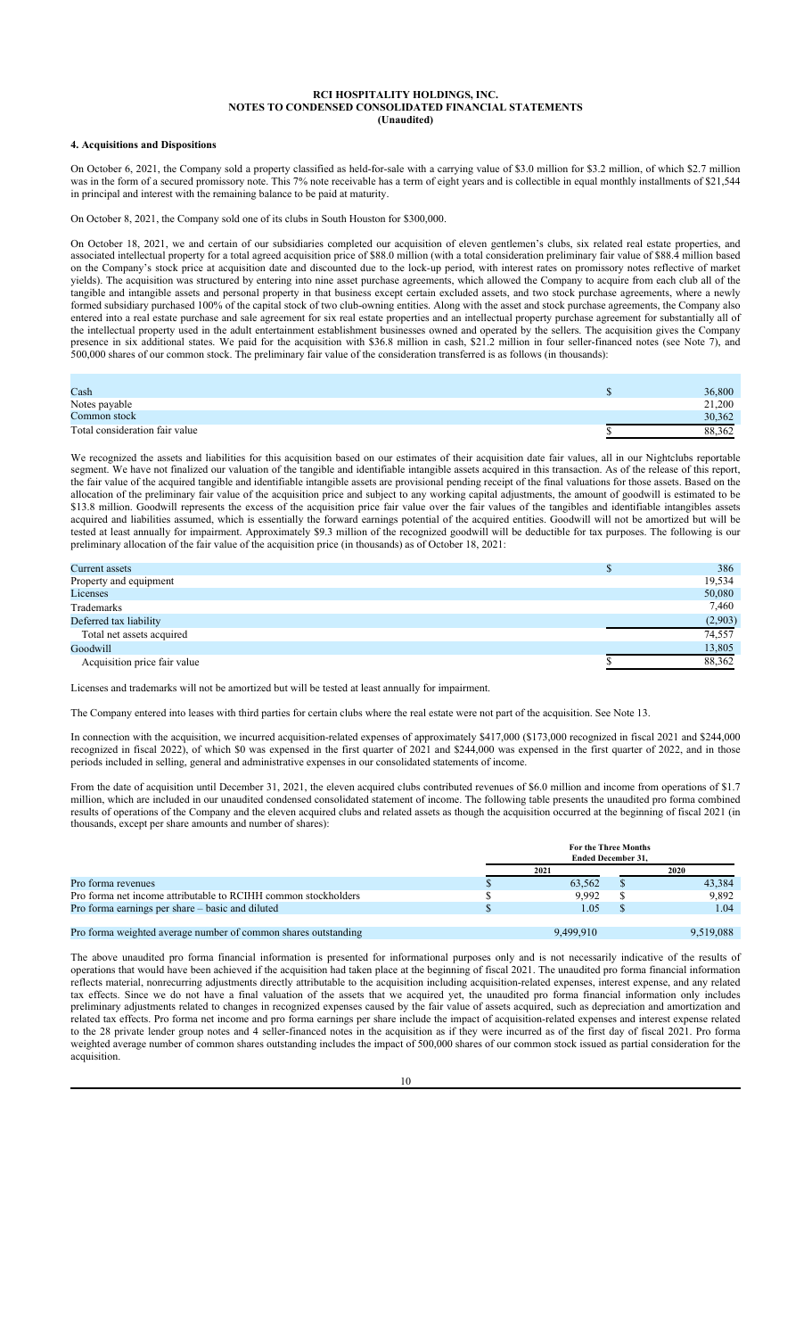#### **4. Acquisitions and Dispositions**

On October 6, 2021, the Company sold a property classified as held-for-sale with a carrying value of \$3.0 million for \$3.2 million, of which \$2.7 million was in the form of a secured promissory note. This 7% note receivable has a term of eight years and is collectible in equal monthly installments of \$21,544 in principal and interest with the remaining balance to be paid at maturity.

On October 8, 2021, the Company sold one of its clubs in South Houston for \$300,000.

On October 18, 2021, we and certain of our subsidiaries completed our acquisition of eleven gentlemen's clubs, six related real estate properties, and associated intellectual property for a total agreed acquisition price of \$88.0 million (with a total consideration preliminary fair value of \$88.4 million based on the Company's stock price at acquisition date and discounted due to the lock-up period, with interest rates on promissory notes reflective of market yields). The acquisition was structured by entering into nine asset purchase agreements, which allowed the Company to acquire from each club all of the tangible and intangible assets and personal property in that business except certain excluded assets, and two stock purchase agreements, where a newly formed subsidiary purchased 100% of the capital stock of two club-owning entities. Along with the asset and stock purchase agreements, the Company also entered into a real estate purchase and sale agreement for six real estate properties and an intellectual property purchase agreement for substantially all of the intellectual property used in the adult entertainment establishment businesses owned and operated by the sellers. The acquisition gives the Company presence in six additional states. We paid for the acquisition with \$36.8 million in cash, \$21.2 million in four seller-financed notes (see Note 7), and 500,000 shares of our common stock. The preliminary fair value of the consideration transferred is as follows (in thousands):

| Cash                           | 36,800 |
|--------------------------------|--------|
| Notes payable                  | 21,200 |
| Common stock                   | 30,362 |
| Total consideration fair value | 88.362 |

We recognized the assets and liabilities for this acquisition based on our estimates of their acquisition date fair values, all in our Nightclubs reportable segment. We have not finalized our valuation of the tangible and identifiable intangible assets acquired in this transaction. As of the release of this report, the fair value of the acquired tangible and identifiable intangible assets are provisional pending receipt of the final valuations for those assets. Based on the allocation of the preliminary fair value of the acquisition price and subject to any working capital adjustments, the amount of goodwill is estimated to be \$13.8 million. Goodwill represents the excess of the acquisition price fair value over the fair values of the tangibles and identifiable intangibles assets acquired and liabilities assumed, which is essentially the forward earnings potential of the acquired entities. Goodwill will not be amortized but will be tested at least annually for impairment. Approximately \$9.3 million of the recognized goodwill will be deductible for tax purposes. The following is our preliminary allocation of the fair value of the acquisition price (in thousands) as of October 18, 2021:

| Φ | 386     |
|---|---------|
|   | 19.534  |
|   | 50,080  |
|   | 7,460   |
|   | (2,903) |
|   | 74,557  |
|   | 13,805  |
|   | 88,362  |
|   |         |

Licenses and trademarks will not be amortized but will be tested at least annually for impairment.

The Company entered into leases with third parties for certain clubs where the real estate were not part of the acquisition. See Note 13.

In connection with the acquisition, we incurred acquisition-related expenses of approximately \$417,000 (\$173,000 recognized in fiscal 2021 and \$244,000 recognized in fiscal 2022), of which \$0 was expensed in the first quarter of 2021 and \$244,000 was expensed in the first quarter of 2022, and in those periods included in selling, general and administrative expenses in our consolidated statements of income.

From the date of acquisition until December 31, 2021, the eleven acquired clubs contributed revenues of \$6.0 million and income from operations of \$1.7 million, which are included in our unaudited condensed consolidated statement of income. The following table presents the unaudited pro forma combined results of operations of the Company and the eleven acquired clubs and related assets as though the acquisition occurred at the beginning of fiscal 2021 (in thousands, except per share amounts and number of shares):

|                                                                | <b>For the Three Months</b><br><b>Ended December 31.</b> |  |           |  |  |  |  |
|----------------------------------------------------------------|----------------------------------------------------------|--|-----------|--|--|--|--|
|                                                                | 2021                                                     |  | 2020      |  |  |  |  |
| Pro forma revenues                                             | 63,562                                                   |  | 43,384    |  |  |  |  |
| Pro forma net income attributable to RCIHH common stockholders | 9.992                                                    |  | 9.892     |  |  |  |  |
| Pro forma earnings per share – basic and diluted               | 1.05                                                     |  | 1.04      |  |  |  |  |
|                                                                |                                                          |  |           |  |  |  |  |
| Pro forma weighted average number of common shares outstanding | 9.499.910                                                |  | 9.519.088 |  |  |  |  |

The above unaudited pro forma financial information is presented for informational purposes only and is not necessarily indicative of the results of operations that would have been achieved if the acquisition had taken place at the beginning of fiscal 2021. The unaudited pro forma financial information reflects material, nonrecurring adjustments directly attributable to the acquisition including acquisition-related expenses, interest expense, and any related tax effects. Since we do not have a final valuation of the assets that we acquired yet, the unaudited pro forma financial information only includes preliminary adjustments related to changes in recognized expenses caused by the fair value of assets acquired, such as depreciation and amortization and related tax effects. Pro forma net income and pro forma earnings per share include the impact of acquisition-related expenses and interest expense related to the 28 private lender group notes and 4 seller-financed notes in the acquisition as if they were incurred as of the first day of fiscal 2021. Pro forma weighted average number of common shares outstanding includes the impact of 500,000 shares of our common stock issued as partial consideration for the acquisition.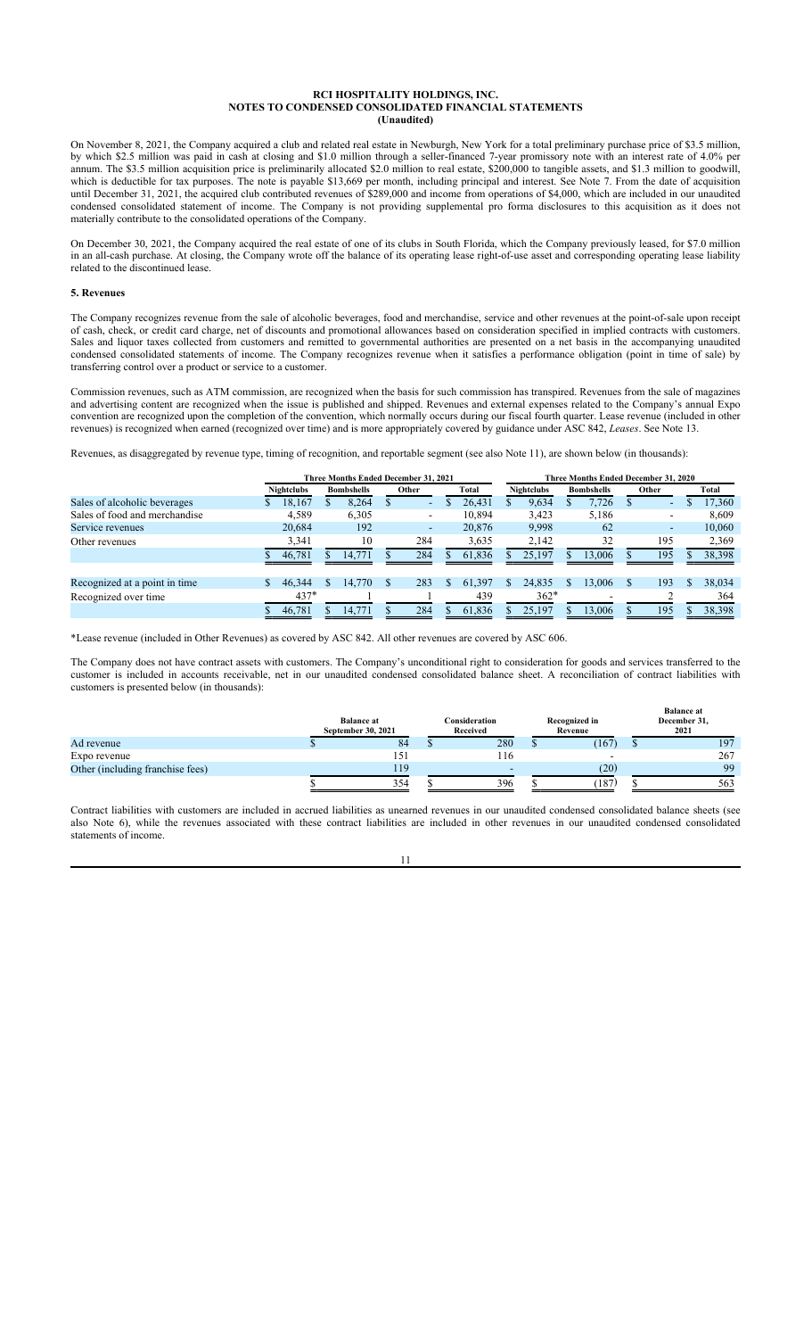On November 8, 2021, the Company acquired a club and related real estate in Newburgh, New York for a total preliminary purchase price of \$3.5 million, by which \$2.5 million was paid in cash at closing and \$1.0 million through a seller-financed 7-year promissory note with an interest rate of 4.0% per annum. The \$3.5 million acquisition price is preliminarily allocated \$2.0 million to real estate, \$200,000 to tangible assets, and \$1.3 million to goodwill, which is deductible for tax purposes. The note is payable \$13,669 per month, including principal and interest. See Note 7. From the date of acquisition until December 31, 2021, the acquired club contributed revenues of \$289,000 and income from operations of \$4,000, which are included in our unaudited condensed consolidated statement of income. The Company is not providing supplemental pro forma disclosures to this acquisition as it does not materially contribute to the consolidated operations of the Company.

On December 30, 2021, the Company acquired the real estate of one of its clubs in South Florida, which the Company previously leased, for \$7.0 million in an all-cash purchase. At closing, the Company wrote off the balance of its operating lease right-of-use asset and corresponding operating lease liability related to the discontinued lease.

## **5. Revenues**

The Company recognizes revenue from the sale of alcoholic beverages, food and merchandise, service and other revenues at the point-of-sale upon receipt of cash, check, or credit card charge, net of discounts and promotional allowances based on consideration specified in implied contracts with customers. Sales and liquor taxes collected from customers and remitted to governmental authorities are presented on a net basis in the accompanying unaudited condensed consolidated statements of income. The Company recognizes revenue when it satisfies a performance obligation (point in time of sale) by transferring control over a product or service to a customer.

Commission revenues, such as ATM commission, are recognized when the basis for such commission has transpired. Revenues from the sale of magazines and advertising content are recognized when the issue is published and shipped. Revenues and external expenses related to the Company's annual Expo convention are recognized upon the completion of the convention, which normally occurs during our fiscal fourth quarter. Lease revenue (included in other revenues) is recognized when earned (recognized over time) and is more appropriately covered by guidance under ASC 842, *Leases*. See Note 13.

Revenues, as disaggregated by revenue type, timing of recognition, and reportable segment (see also Note 11), are shown below (in thousands):

|                               | Three Months Ended December 31, 2021 |  |                   |  |       | Three Months Ended December 31, 2020 |  |                   |  |                   |     |        |        |
|-------------------------------|--------------------------------------|--|-------------------|--|-------|--------------------------------------|--|-------------------|--|-------------------|-----|--------|--------|
|                               | <b>Nightclubs</b>                    |  | <b>Bombshells</b> |  | Other | Total                                |  | <b>Nightclubs</b> |  | <b>Bombshells</b> |     | Other  | Total  |
| Sales of alcoholic beverages  | 18,167                               |  | 8.264             |  | ٠     | 26,431                               |  | 9,634             |  | 7,726             |     | $\sim$ | 17,360 |
| Sales of food and merchandise | 4,589                                |  | 6,305             |  |       | 10.894                               |  | 3,423             |  | 5,186             |     |        | 8,609  |
| Service revenues              | 20,684                               |  | 192               |  | -     | 20,876                               |  | 9,998             |  | 62                |     | ٠      | 10,060 |
| Other revenues                | 3.341                                |  | 10                |  | 284   | 3,635                                |  | 2,142             |  | 32                |     | 195    | 2,369  |
|                               | 46,781                               |  | 14.771            |  | 284   | 61,836                               |  | 25,197            |  | 13,006            |     | 195    | 38,398 |
|                               |                                      |  |                   |  |       |                                      |  |                   |  |                   |     |        |        |
| Recognized at a point in time | 46.344                               |  | 14,770            |  | 283   | 61.397                               |  | 24,835            |  | 13,006            | \$. | 193    | 38.034 |
| Recognized over time          | 437*                                 |  |                   |  |       | 439                                  |  | $362*$            |  |                   |     |        | 364    |
|                               | 46,781                               |  | 14.771            |  | 284   | 61,836                               |  | 25.197            |  | 13,006            |     | 195    | 38,398 |

\*Lease revenue (included in Other Revenues) as covered by ASC 842. All other revenues are covered by ASC 606.

The Company does not have contract assets with customers. The Company's unconditional right to consideration for goods and services transferred to the customer is included in accounts receivable, net in our unaudited condensed consolidated balance sheet. A reconciliation of contract liabilities with customers is presented below (in thousands):

|                                  | <b>Balance at</b><br>September 30, 2021 | Consideration<br>Received | <b>Recognized in</b><br>Revenue | <b>Balance</b> at<br>December 31,<br>2021 |
|----------------------------------|-----------------------------------------|---------------------------|---------------------------------|-------------------------------------------|
| Ad revenue                       | 84                                      | 280                       | (167)                           | 197                                       |
| Expo revenue                     | 151                                     | 116                       | $\overline{\phantom{a}}$        | 267                                       |
| Other (including franchise fees) | 119                                     | -                         | (20)                            | 99                                        |
|                                  | 354                                     | 396                       | (187)                           | 563                                       |

Contract liabilities with customers are included in accrued liabilities as unearned revenues in our unaudited condensed consolidated balance sheets (see also Note 6), while the revenues associated with these contract liabilities are included in other revenues in our unaudited condensed consolidated statements of income.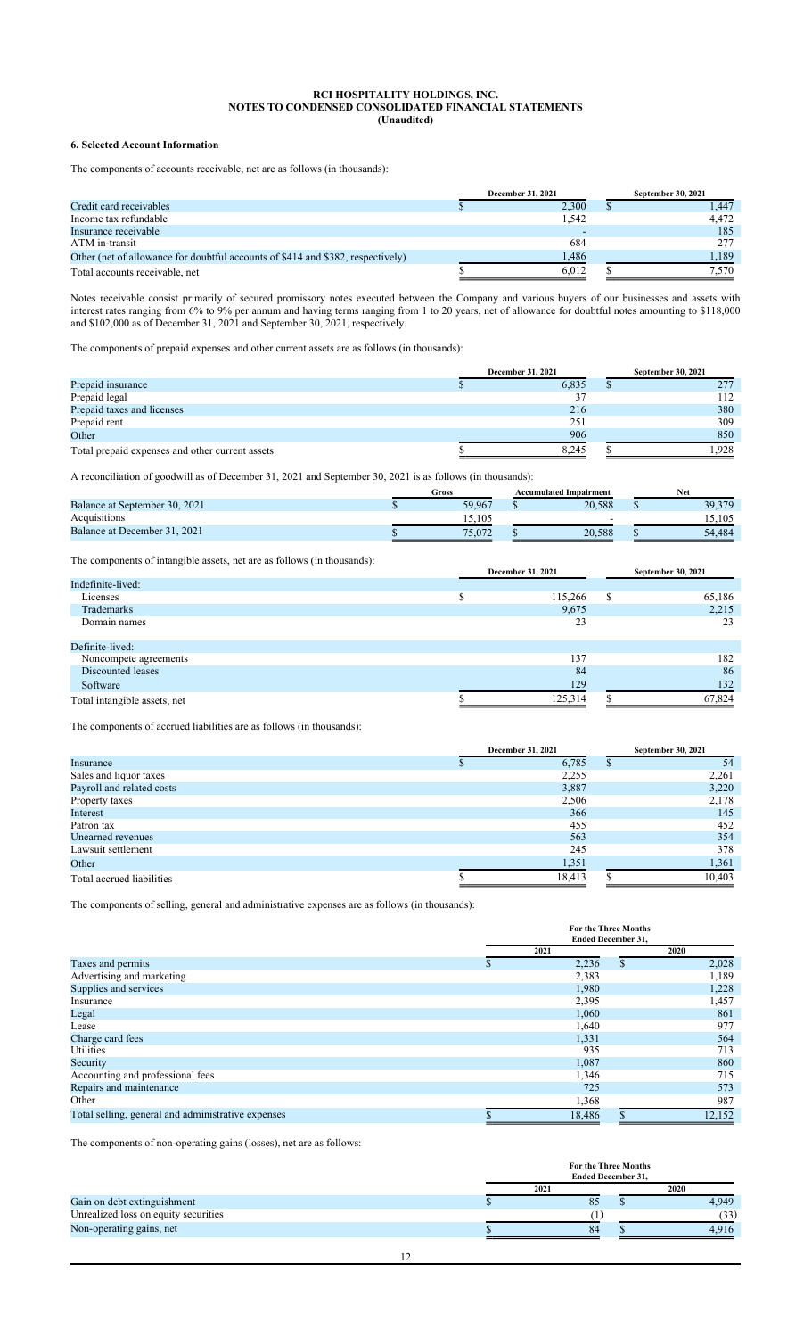## **6. Selected Account Information**

The components of accounts receivable, net are as follows (in thousands):

|                                                                                 | <b>December 31, 2021</b> | September 30, 2021 |
|---------------------------------------------------------------------------------|--------------------------|--------------------|
| Credit card receivables                                                         | 2.300                    | .447               |
| Income tax refundable                                                           | 1.542                    | 4.472              |
| Insurance receivable                                                            | -                        | 185                |
| ATM in-transit                                                                  | 684                      | 277                |
| Other (net of allowance for doubtful accounts of \$414 and \$382, respectively) | 1.486                    | 1,189              |
| Total accounts receivable, net                                                  | 6.012                    | 7.570              |

Notes receivable consist primarily of secured promissory notes executed between the Company and various buyers of our businesses and assets with interest rates ranging from 6% to 9% per annum and having terms ranging from 1 to 20 years, net of allowance for doubtful notes amounting to \$118,000 and \$102,000 as of December 31, 2021 and September 30, 2021, respectively.

The components of prepaid expenses and other current assets are as follows (in thousands):

|                                                 | <b>December 31, 2021</b> |       |  | September 30, 2021 |  |  |
|-------------------------------------------------|--------------------------|-------|--|--------------------|--|--|
| Prepaid insurance                               |                          | 6,835 |  | 277                |  |  |
| Prepaid legal                                   |                          |       |  | 12                 |  |  |
| Prepaid taxes and licenses                      |                          | 216   |  | 380                |  |  |
| Prepaid rent                                    |                          | 251   |  | 309                |  |  |
| Other                                           |                          | 906   |  | 850                |  |  |
| Total prepaid expenses and other current assets |                          | 8.245 |  | 1.928              |  |  |

A reconciliation of goodwill as of December 31, 2021 and September 30, 2021 is as follows (in thousands):

|                               | Gross |        | <b>Accumulated Impairment</b> | <b>Net</b> |
|-------------------------------|-------|--------|-------------------------------|------------|
| Balance at September 30, 2021 |       | 59,967 | 20,588                        | 39,379     |
| Acquisitions                  |       | 15.105 | -                             | 5.105      |
| Balance at December 31, 2021  |       | 75,072 | 20.588                        | 54,484     |

The components of intangible assets, net are as follows (in thousands):

|                              | December 31, 2021 |              | September 30, 2021 |
|------------------------------|-------------------|--------------|--------------------|
| Indefinite-lived:            |                   |              |                    |
| Licenses                     |                   | S<br>115,266 | 65,186             |
| Trademarks                   |                   | 9,675        | 2,215              |
| Domain names                 |                   | 23           | 23                 |
| Definite-lived:              |                   |              |                    |
| Noncompete agreements        |                   | 137          | 182                |
| Discounted leases            |                   | 84           | 86                 |
| Software                     |                   | 129          | 132                |
| Total intangible assets, net |                   | 125,314      | 67,824             |

The components of accrued liabilities are as follows (in thousands):

|                           | December 31, 2021 |   | September 30, 2021 |
|---------------------------|-------------------|---|--------------------|
| Insurance                 | 6,785             | S | 54                 |
| Sales and liquor taxes    | 2,255             |   | 2,261              |
| Payroll and related costs | 3,887             |   | 3,220              |
| Property taxes            | 2,506             |   | 2,178              |
| Interest                  | 366               |   | 145                |
| Patron tax                | 455               |   | 452                |
| Unearned revenues         | 563               |   | 354                |
| Lawsuit settlement        | 245               |   | 378                |
| Other                     | 1,351             |   | 1,361              |
| Total accrued liabilities | 18.413            |   | 10,403             |

The components of selling, general and administrative expenses are as follows (in thousands):

|                                                    | <b>For the Three Months</b> |              |        |  |
|----------------------------------------------------|-----------------------------|--------------|--------|--|
|                                                    | <b>Ended December 31,</b>   |              |        |  |
|                                                    | 2021                        |              | 2020   |  |
| Taxes and permits                                  | 2,236                       | $\mathbf{s}$ | 2,028  |  |
| Advertising and marketing                          | 2,383                       |              | 1,189  |  |
| Supplies and services                              | 1,980                       |              | 1,228  |  |
| Insurance                                          | 2,395                       |              | 1,457  |  |
| Legal                                              | 1,060                       |              | 861    |  |
| Lease                                              | 1,640                       |              | 977    |  |
| Charge card fees                                   | 1,331                       |              | 564    |  |
| Utilities                                          | 935                         |              | 713    |  |
| Security                                           | 1,087                       |              | 860    |  |
| Accounting and professional fees                   | 1,346                       |              | 715    |  |
| Repairs and maintenance                            | 725                         |              | 573    |  |
| Other                                              | 1,368                       |              | 987    |  |
| Total selling, general and administrative expenses | 18,486                      |              | 12,152 |  |

The components of non-operating gains (losses), net are as follows:

|                                      | <b>For the Three Months</b><br><b>Ended December 31.</b> |  |       |  |
|--------------------------------------|----------------------------------------------------------|--|-------|--|
|                                      | 2021                                                     |  | 2020  |  |
| Gain on debt extinguishment          | 85                                                       |  | 4.949 |  |
| Unrealized loss on equity securities |                                                          |  | (33)  |  |
| Non-operating gains, net             | 84                                                       |  | 4.916 |  |
|                                      |                                                          |  |       |  |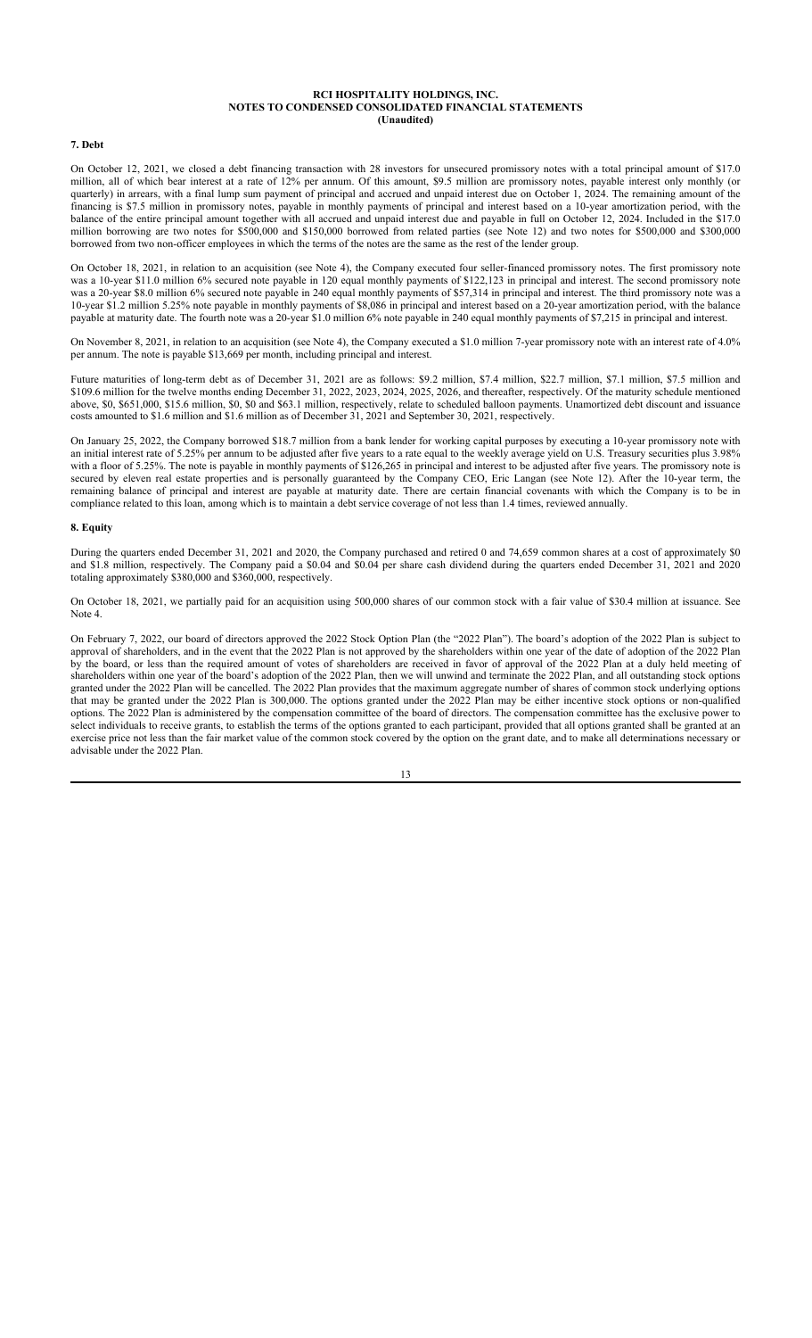#### **7. Debt**

On October 12, 2021, we closed a debt financing transaction with 28 investors for unsecured promissory notes with a total principal amount of \$17.0 million, all of which bear interest at a rate of 12% per annum. Of this amount, \$9.5 million are promissory notes, payable interest only monthly (or quarterly) in arrears, with a final lump sum payment of principal and accrued and unpaid interest due on October 1, 2024. The remaining amount of the financing is \$7.5 million in promissory notes, payable in monthly payments of principal and interest based on a 10-year amortization period, with the balance of the entire principal amount together with all accrued and unpaid interest due and payable in full on October 12, 2024. Included in the \$17.0 million borrowing are two notes for \$500,000 and \$150,000 borrowed from related parties (see Note 12) and two notes for \$500,000 and \$300,000 borrowed from two non-officer employees in which the terms of the notes are the same as the rest of the lender group.

On October 18, 2021, in relation to an acquisition (see Note 4), the Company executed four seller-financed promissory notes. The first promissory note was a 10-year \$11.0 million 6% secured note payable in 120 equal monthly payments of \$122,123 in principal and interest. The second promissory note was a 20-year \$8.0 million 6% secured note payable in 240 equal monthly payments of \$57,314 in principal and interest. The third promissory note was a 10-year \$1.2 million 5.25% note payable in monthly payments of \$8,086 in principal and interest based on a 20-year amortization period, with the balance payable at maturity date. The fourth note was a 20-year \$1.0 million 6% note payable in 240 equal monthly payments of \$7,215 in principal and interest.

On November 8, 2021, in relation to an acquisition (see Note 4), the Company executed a \$1.0 million 7-year promissory note with an interest rate of 4.0% per annum. The note is payable \$13,669 per month, including principal and interest.

Future maturities of long-term debt as of December 31, 2021 are as follows: \$9.2 million, \$7.4 million, \$22.7 million, \$7.1 million, \$7.5 million and \$109.6 million for the twelve months ending December 31, 2022, 2023, 2024, 2025, 2026, and thereafter, respectively. Of the maturity schedule mentioned above, \$0, \$651,000, \$15.6 million, \$0, \$0 and \$63.1 million, respectively, relate to scheduled balloon payments. Unamortized debt discount and issuance costs amounted to \$1.6 million and \$1.6 million as of December 31, 2021 and September 30, 2021, respectively.

On January 25, 2022, the Company borrowed \$18.7 million from a bank lender for working capital purposes by executing a 10-year promissory note with an initial interest rate of 5.25% per annum to be adjusted after five years to a rate equal to the weekly average yield on U.S. Treasury securities plus 3.98% with a floor of 5.25%. The note is payable in monthly payments of \$126,265 in principal and interest to be adjusted after five years. The promissory note is secured by eleven real estate properties and is personally guaranteed by the Company CEO, Eric Langan (see Note 12). After the 10-year term, the remaining balance of principal and interest are payable at maturity date. There are certain financial covenants with which the Company is to be in compliance related to this loan, among which is to maintain a debt service coverage of not less than 1.4 times, reviewed annually.

### **8. Equity**

During the quarters ended December 31, 2021 and 2020, the Company purchased and retired 0 and 74,659 common shares at a cost of approximately \$0 and \$1.8 million, respectively. The Company paid a \$0.04 and \$0.04 per share cash dividend during the quarters ended December 31, 2021 and 2020 totaling approximately \$380,000 and \$360,000, respectively.

On October 18, 2021, we partially paid for an acquisition using 500,000 shares of our common stock with a fair value of \$30.4 million at issuance. See Note 4.

On February 7, 2022, our board of directors approved the 2022 Stock Option Plan (the "2022 Plan"). The board's adoption of the 2022 Plan is subject to approval of shareholders, and in the event that the 2022 Plan is not approved by the shareholders within one year of the date of adoption of the 2022 Plan by the board, or less than the required amount of votes of shareholders are received in favor of approval of the 2022 Plan at a duly held meeting of shareholders within one year of the board's adoption of the 2022 Plan, then we will unwind and terminate the 2022 Plan, and all outstanding stock options granted under the 2022 Plan will be cancelled. The 2022 Plan provides that the maximum aggregate number of shares of common stock underlying options that may be granted under the 2022 Plan is 300,000. The options granted under the 2022 Plan may be either incentive stock options or non-qualified options. The 2022 Plan is administered by the compensation committee of the board of directors. The compensation committee has the exclusive power to select individuals to receive grants, to establish the terms of the options granted to each participant, provided that all options granted shall be granted at an exercise price not less than the fair market value of the common stock covered by the option on the grant date, and to make all determinations necessary or advisable under the 2022 Plan.

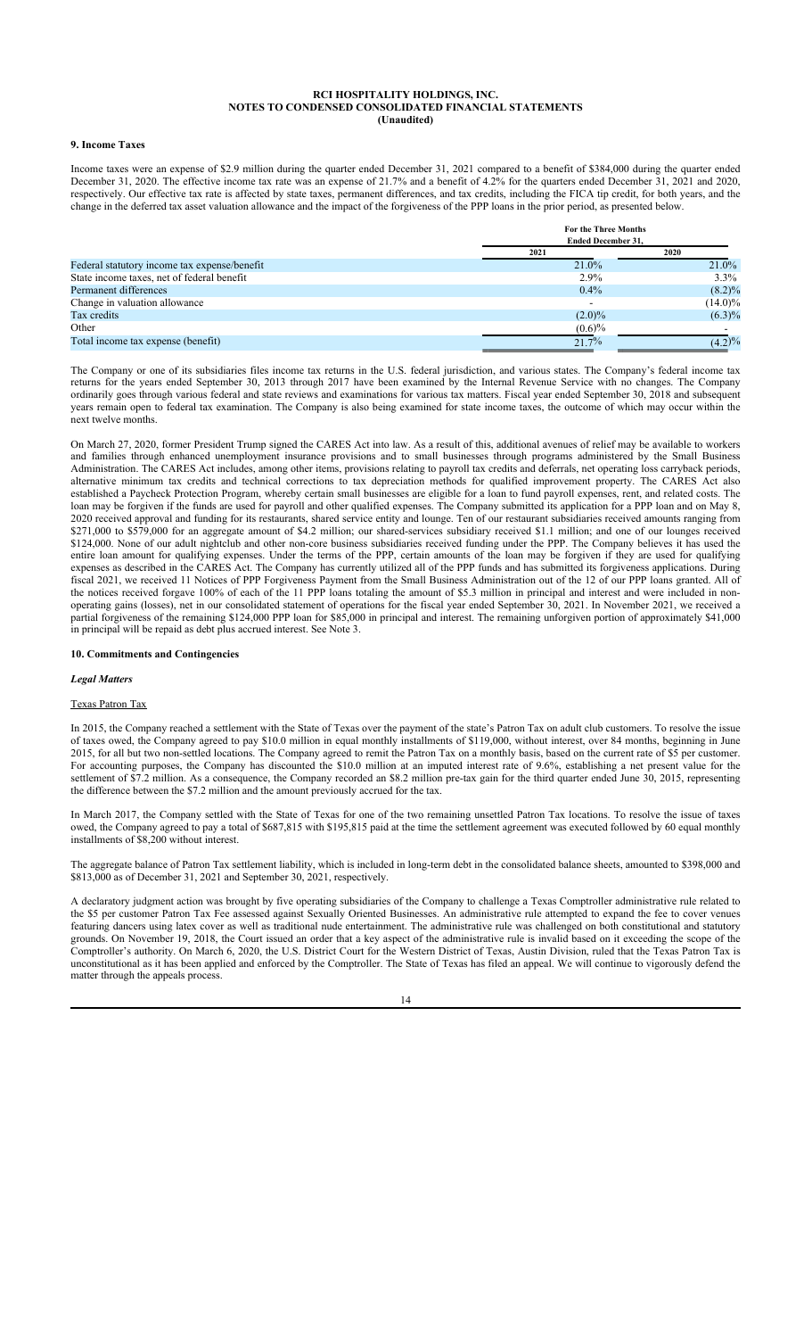#### **9. Income Taxes**

Income taxes were an expense of \$2.9 million during the quarter ended December 31, 2021 compared to a benefit of \$384,000 during the quarter ended December 31, 2020. The effective income tax rate was an expense of 21.7% and a benefit of 4.2% for the quarters ended December 31, 2021 and 2020, respectively. Our effective tax rate is affected by state taxes, permanent differences, and tax credits, including the FICA tip credit, for both years, and the change in the deferred tax asset valuation allowance and the impact of the forgiveness of the PPP loans in the prior period, as presented below.

|                                              |           | <b>For the Three Months</b><br><b>Ended December 31,</b> |  |  |  |
|----------------------------------------------|-----------|----------------------------------------------------------|--|--|--|
|                                              | 2021      | 2020                                                     |  |  |  |
| Federal statutory income tax expense/benefit | 21.0%     | 21.0%                                                    |  |  |  |
| State income taxes, net of federal benefit   | 2.9%      | $3.3\%$                                                  |  |  |  |
| Permanent differences                        | $0.4\%$   | $(8.2)\%$                                                |  |  |  |
| Change in valuation allowance                |           | $(14.0)\%$                                               |  |  |  |
| Tax credits                                  | $(2.0)\%$ | $(6.3)\%$                                                |  |  |  |
| Other                                        | $(0.6)\%$ |                                                          |  |  |  |
| Total income tax expense (benefit)           | 21.7%     | $(4.2)\%$                                                |  |  |  |

The Company or one of its subsidiaries files income tax returns in the U.S. federal jurisdiction, and various states. The Company's federal income tax returns for the years ended September 30, 2013 through 2017 have been examined by the Internal Revenue Service with no changes. The Company ordinarily goes through various federal and state reviews and examinations for various tax matters. Fiscal year ended September 30, 2018 and subsequent years remain open to federal tax examination. The Company is also being examined for state income taxes, the outcome of which may occur within the next twelve months.

On March 27, 2020, former President Trump signed the CARES Act into law. As a result of this, additional avenues of relief may be available to workers and families through enhanced unemployment insurance provisions and to small businesses through programs administered by the Small Business Administration. The CARES Act includes, among other items, provisions relating to payroll tax credits and deferrals, net operating loss carryback periods, alternative minimum tax credits and technical corrections to tax depreciation methods for qualified improvement property. The CARES Act also established a Paycheck Protection Program, whereby certain small businesses are eligible for a loan to fund payroll expenses, rent, and related costs. The loan may be forgiven if the funds are used for payroll and other qualified expenses. The Company submitted its application for a PPP loan and on May 8, 2020 received approval and funding for its restaurants, shared service entity and lounge. Ten of our restaurant subsidiaries received amounts ranging from \$271,000 to \$579,000 for an aggregate amount of \$4.2 million; our shared-services subsidiary received \$1.1 million; and one of our lounges received \$124,000. None of our adult nightclub and other non-core business subsidiaries received funding under the PPP. The Company believes it has used the entire loan amount for qualifying expenses. Under the terms of the PPP, certain amounts of the loan may be forgiven if they are used for qualifying expenses as described in the CARES Act. The Company has currently utilized all of the PPP funds and has submitted its forgiveness applications. During fiscal 2021, we received 11 Notices of PPP Forgiveness Payment from the Small Business Administration out of the 12 of our PPP loans granted. All of the notices received forgave 100% of each of the 11 PPP loans totaling the amount of \$5.3 million in principal and interest and were included in nonoperating gains (losses), net in our consolidated statement of operations for the fiscal year ended September 30, 2021. In November 2021, we received a partial forgiveness of the remaining \$124,000 PPP loan for \$85,000 in principal and interest. The remaining unforgiven portion of approximately \$41,000 in principal will be repaid as debt plus accrued interest. See Note 3.

## **10. Commitments and Contingencies**

### *Legal Matters*

### Texas Patron Tax

In 2015, the Company reached a settlement with the State of Texas over the payment of the state's Patron Tax on adult club customers. To resolve the issue of taxes owed, the Company agreed to pay \$10.0 million in equal monthly installments of \$119,000, without interest, over 84 months, beginning in June 2015, for all but two non-settled locations. The Company agreed to remit the Patron Tax on a monthly basis, based on the current rate of \$5 per customer. For accounting purposes, the Company has discounted the \$10.0 million at an imputed interest rate of 9.6%, establishing a net present value for the settlement of \$7.2 million. As a consequence, the Company recorded an \$8.2 million pre-tax gain for the third quarter ended June 30, 2015, representing the difference between the \$7.2 million and the amount previously accrued for the tax.

In March 2017, the Company settled with the State of Texas for one of the two remaining unsettled Patron Tax locations. To resolve the issue of taxes owed, the Company agreed to pay a total of \$687,815 with \$195,815 paid at the time the settlement agreement was executed followed by 60 equal monthly installments of \$8,200 without interest.

The aggregate balance of Patron Tax settlement liability, which is included in long-term debt in the consolidated balance sheets, amounted to \$398,000 and \$813,000 as of December 31, 2021 and September 30, 2021, respectively.

A declaratory judgment action was brought by five operating subsidiaries of the Company to challenge a Texas Comptroller administrative rule related to the \$5 per customer Patron Tax Fee assessed against Sexually Oriented Businesses. An administrative rule attempted to expand the fee to cover venues featuring dancers using latex cover as well as traditional nude entertainment. The administrative rule was challenged on both constitutional and statutory grounds. On November 19, 2018, the Court issued an order that a key aspect of the administrative rule is invalid based on it exceeding the scope of the Comptroller's authority. On March 6, 2020, the U.S. District Court for the Western District of Texas, Austin Division, ruled that the Texas Patron Tax is unconstitutional as it has been applied and enforced by the Comptroller. The State of Texas has filed an appeal. We will continue to vigorously defend the matter through the appeals process.

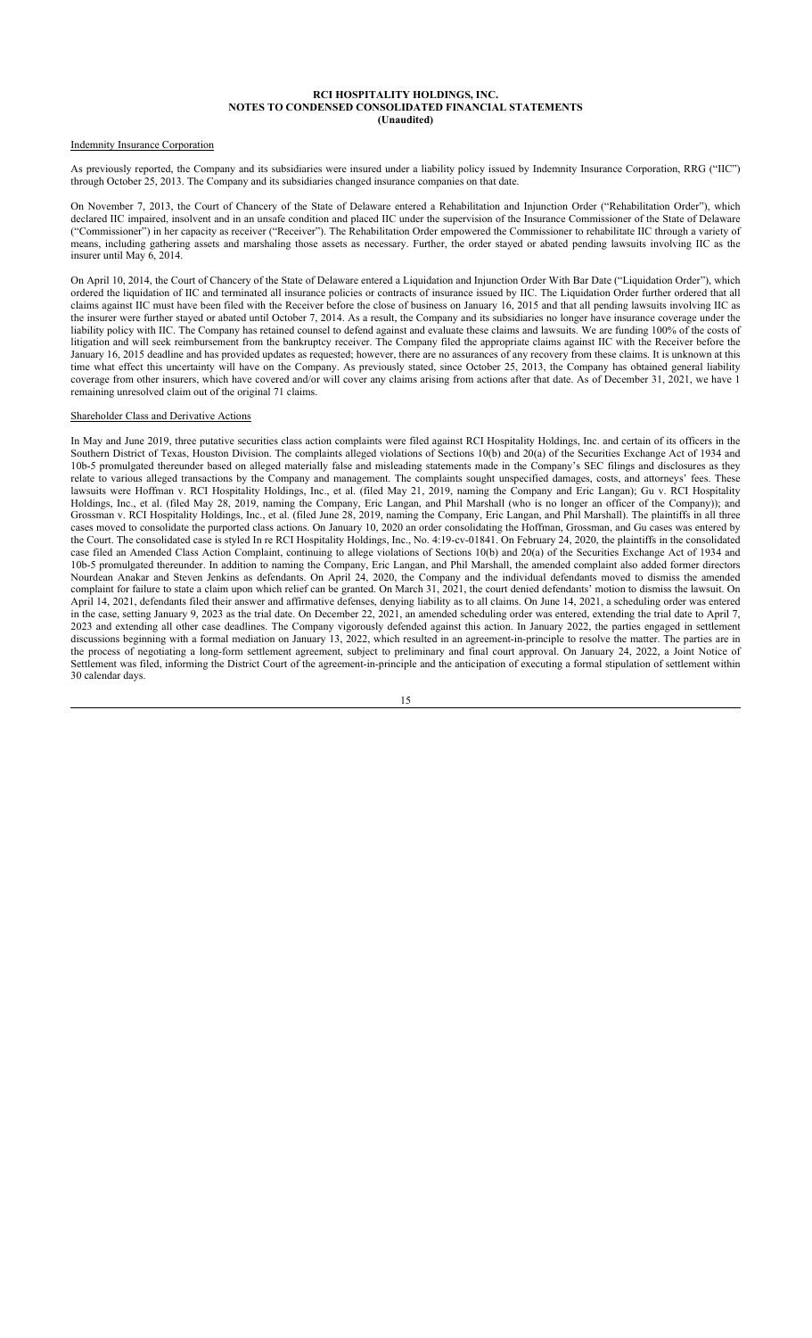#### Indemnity Insurance Corporation

As previously reported, the Company and its subsidiaries were insured under a liability policy issued by Indemnity Insurance Corporation, RRG ("IIC") through October 25, 2013. The Company and its subsidiaries changed insurance companies on that date.

On November 7, 2013, the Court of Chancery of the State of Delaware entered a Rehabilitation and Injunction Order ("Rehabilitation Order"), which declared IIC impaired, insolvent and in an unsafe condition and placed IIC under the supervision of the Insurance Commissioner of the State of Delaware ("Commissioner") in her capacity as receiver ("Receiver"). The Rehabilitation Order empowered the Commissioner to rehabilitate IIC through a variety of means, including gathering assets and marshaling those assets as necessary. Further, the order stayed or abated pending lawsuits involving IIC as the insurer until May 6, 2014.

On April 10, 2014, the Court of Chancery of the State of Delaware entered a Liquidation and Injunction Order With Bar Date ("Liquidation Order"), which ordered the liquidation of IIC and terminated all insurance policies or contracts of insurance issued by IIC. The Liquidation Order further ordered that all claims against IIC must have been filed with the Receiver before the close of business on January 16, 2015 and that all pending lawsuits involving IIC as the insurer were further stayed or abated until October 7, 2014. As a result, the Company and its subsidiaries no longer have insurance coverage under the liability policy with IIC. The Company has retained counsel to defend against and evaluate these claims and lawsuits. We are funding 100% of the costs of litigation and will seek reimbursement from the bankruptcy receiver. The Company filed the appropriate claims against IIC with the Receiver before the January 16, 2015 deadline and has provided updates as requested; however, there are no assurances of any recovery from these claims. It is unknown at this time what effect this uncertainty will have on the Company. As previously stated, since October 25, 2013, the Company has obtained general liability coverage from other insurers, which have covered and/or will cover any claims arising from actions after that date. As of December 31, 2021, we have 1 remaining unresolved claim out of the original 71 claims.

### Shareholder Class and Derivative Actions

In May and June 2019, three putative securities class action complaints were filed against RCI Hospitality Holdings, Inc. and certain of its officers in the Southern District of Texas, Houston Division. The complaints alleged violations of Sections 10(b) and 20(a) of the Securities Exchange Act of 1934 and 10b-5 promulgated thereunder based on alleged materially false and misleading statements made in the Company's SEC filings and disclosures as they relate to various alleged transactions by the Company and management. The complaints sought unspecified damages, costs, and attorneys' fees. These lawsuits were Hoffman v. RCI Hospitality Holdings, Inc., et al. (filed May 21, 2019, naming the Company and Eric Langan); Gu v. RCI Hospitality Holdings, Inc., et al. (filed May 28, 2019, naming the Company, Eric Langan, and Phil Marshall (who is no longer an officer of the Company)); and Grossman v. RCI Hospitality Holdings, Inc., et al. (filed June 28, 2019, naming the Company, Eric Langan, and Phil Marshall). The plaintiffs in all three cases moved to consolidate the purported class actions. On January 10, 2020 an order consolidating the Hoffman, Grossman, and Gu cases was entered by the Court. The consolidated case is styled In re RCI Hospitality Holdings, Inc., No. 4:19-cv-01841. On February 24, 2020, the plaintiffs in the consolidated case filed an Amended Class Action Complaint, continuing to allege violations of Sections 10(b) and 20(a) of the Securities Exchange Act of 1934 and 10b-5 promulgated thereunder. In addition to naming the Company, Eric Langan, and Phil Marshall, the amended complaint also added former directors Nourdean Anakar and Steven Jenkins as defendants. On April 24, 2020, the Company and the individual defendants moved to dismiss the amended complaint for failure to state a claim upon which relief can be granted. On March 31, 2021, the court denied defendants' motion to dismiss the lawsuit. On April 14, 2021, defendants filed their answer and affirmative defenses, denying liability as to all claims. On June 14, 2021, a scheduling order was entered in the case, setting January 9, 2023 as the trial date. On December 22, 2021, an amended scheduling order was entered, extending the trial date to April 7, 2023 and extending all other case deadlines. The Company vigorously defended against this action. In January 2022, the parties engaged in settlement discussions beginning with a formal mediation on January 13, 2022, which resulted in an agreement-in-principle to resolve the matter. The parties are in the process of negotiating a long-form settlement agreement, subject to preliminary and final court approval. On January 24, 2022, a Joint Notice of Settlement was filed, informing the District Court of the agreement-in-principle and the anticipation of executing a formal stipulation of settlement within 30 calendar days.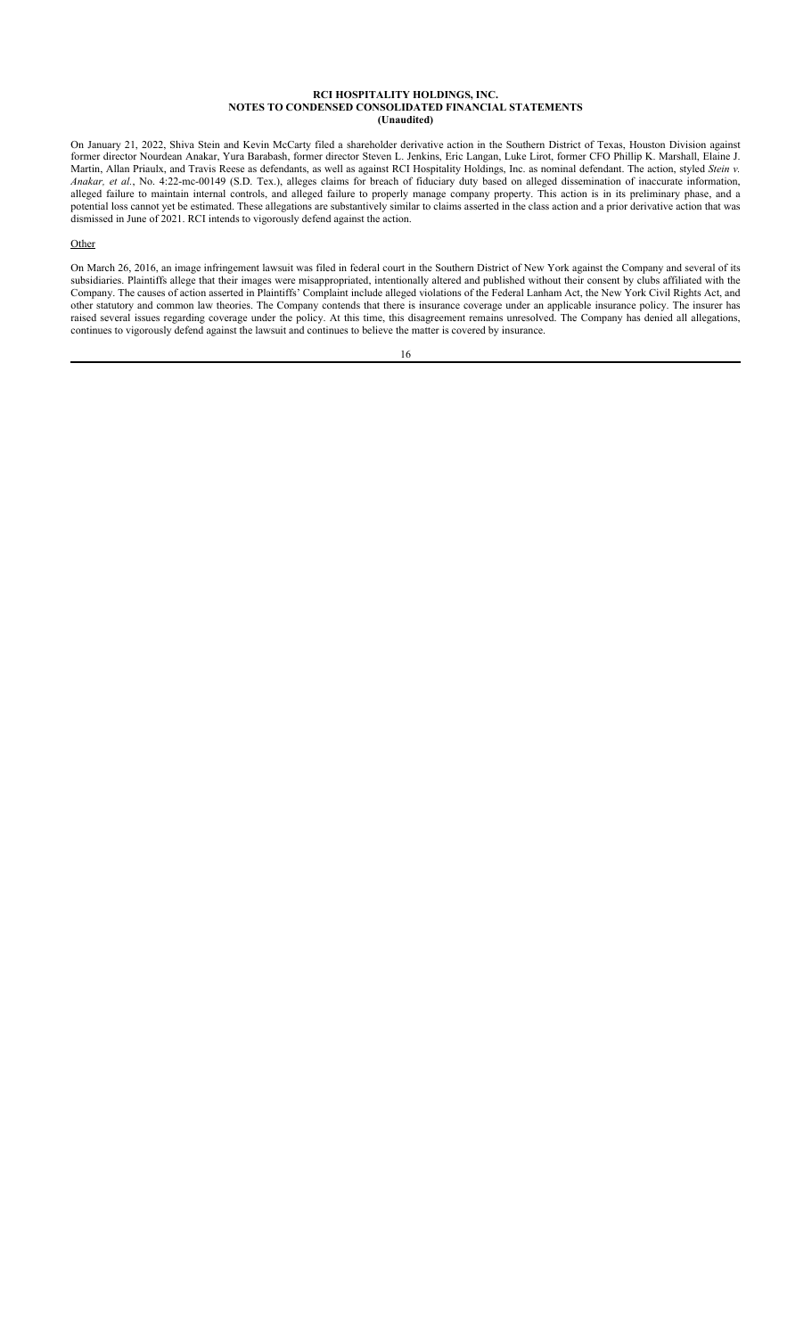On January 21, 2022, Shiva Stein and Kevin McCarty filed a shareholder derivative action in the Southern District of Texas, Houston Division against former director Nourdean Anakar, Yura Barabash, former director Steven L. Jenkins, Eric Langan, Luke Lirot, former CFO Phillip K. Marshall, Elaine J. Martin, Allan Priaulx, and Travis Reese as defendants, as well as against RCI Hospitality Holdings, Inc. as nominal defendant. The action, styled *Stein v. Anakar, et al.*, No. 4:22-mc-00149 (S.D. Tex.), alleges claims for breach of fiduciary duty based on alleged dissemination of inaccurate information, alleged failure to maintain internal controls, and alleged failure to properly manage company property. This action is in its preliminary phase, and a potential loss cannot yet be estimated. These allegations are substantively similar to claims asserted in the class action and a prior derivative action that was dismissed in June of 2021. RCI intends to vigorously defend against the action.

## Other

On March 26, 2016, an image infringement lawsuit was filed in federal court in the Southern District of New York against the Company and several of its subsidiaries. Plaintiffs allege that their images were misappropriated, intentionally altered and published without their consent by clubs affiliated with the Company. The causes of action asserted in Plaintiffs' Complaint include alleged violations of the Federal Lanham Act, the New York Civil Rights Act, and other statutory and common law theories. The Company contends that there is insurance coverage under an applicable insurance policy. The insurer has raised several issues regarding coverage under the policy. At this time, this disagreement remains unresolved. The Company has denied all allegations, continues to vigorously defend against the lawsuit and continues to believe the matter is covered by insurance.

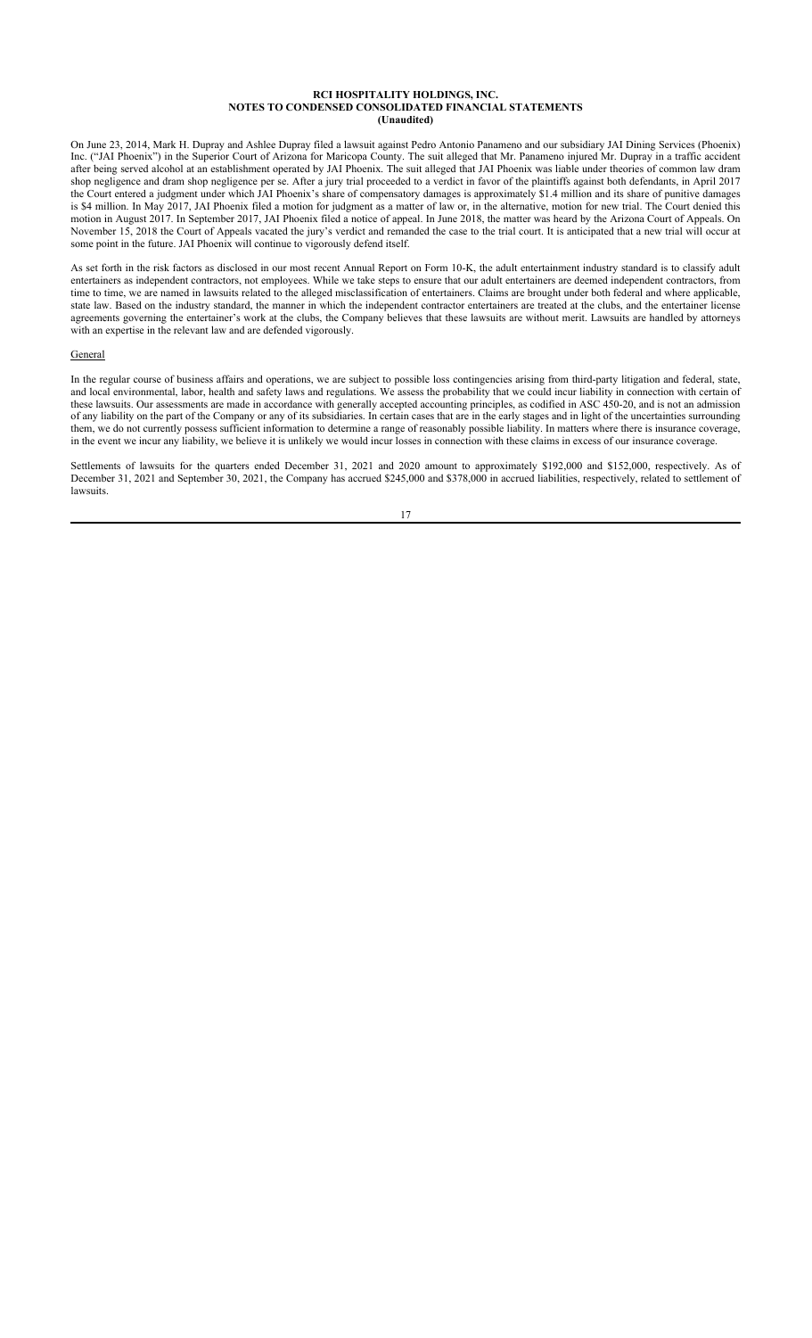On June 23, 2014, Mark H. Dupray and Ashlee Dupray filed a lawsuit against Pedro Antonio Panameno and our subsidiary JAI Dining Services (Phoenix) Inc. ("JAI Phoenix") in the Superior Court of Arizona for Maricopa County. The suit alleged that Mr. Panameno injured Mr. Dupray in a traffic accident after being served alcohol at an establishment operated by JAI Phoenix. The suit alleged that JAI Phoenix was liable under theories of common law dram shop negligence and dram shop negligence per se. After a jury trial proceeded to a verdict in favor of the plaintiffs against both defendants, in April 2017 the Court entered a judgment under which JAI Phoenix's share of compensatory damages is approximately \$1.4 million and its share of punitive damages is \$4 million. In May 2017, JAI Phoenix filed a motion for judgment as a matter of law or, in the alternative, motion for new trial. The Court denied this motion in August 2017. In September 2017, JAI Phoenix filed a notice of appeal. In June 2018, the matter was heard by the Arizona Court of Appeals. On November 15, 2018 the Court of Appeals vacated the jury's verdict and remanded the case to the trial court. It is anticipated that a new trial will occur at some point in the future. JAI Phoenix will continue to vigorously defend itself.

As set forth in the risk factors as disclosed in our most recent Annual Report on Form 10-K, the adult entertainment industry standard is to classify adult entertainers as independent contractors, not employees. While we take steps to ensure that our adult entertainers are deemed independent contractors, from time to time, we are named in lawsuits related to the alleged misclassification of entertainers. Claims are brought under both federal and where applicable, state law. Based on the industry standard, the manner in which the independent contractor entertainers are treated at the clubs, and the entertainer license agreements governing the entertainer's work at the clubs, the Company believes that these lawsuits are without merit. Lawsuits are handled by attorneys with an expertise in the relevant law and are defended vigorously.

## General

In the regular course of business affairs and operations, we are subject to possible loss contingencies arising from third-party litigation and federal, state, and local environmental, labor, health and safety laws and regulations. We assess the probability that we could incur liability in connection with certain of these lawsuits. Our assessments are made in accordance with generally accepted accounting principles, as codified in ASC 450-20, and is not an admission of any liability on the part of the Company or any of its subsidiaries. In certain cases that are in the early stages and in light of the uncertainties surrounding them, we do not currently possess sufficient information to determine a range of reasonably possible liability. In matters where there is insurance coverage, in the event we incur any liability, we believe it is unlikely we would incur losses in connection with these claims in excess of our insurance coverage.

Settlements of lawsuits for the quarters ended December 31, 2021 and 2020 amount to approximately \$192,000 and \$152,000, respectively. As of December 31, 2021 and September 30, 2021, the Company has accrued \$245,000 and \$378,000 in accrued liabilities, respectively, related to settlement of lawsuits.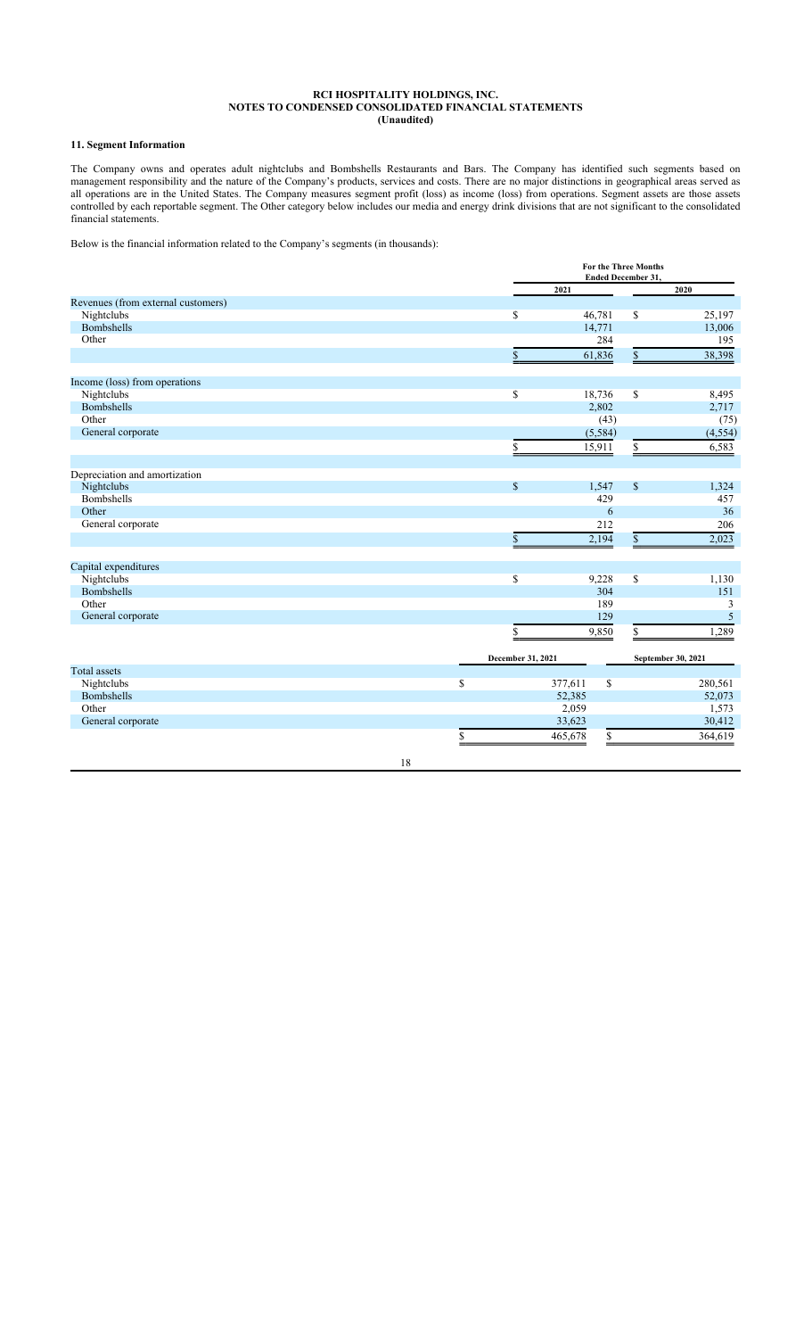## **11. Segment Information**

The Company owns and operates adult nightclubs and Bombshells Restaurants and Bars. The Company has identified such segments based on management responsibility and the nature of the Company's products, services and costs. There are no major distinctions in geographical areas served as all operations are in the United States. The Company measures segment profit (loss) as income (loss) from operations. Segment assets are those assets controlled by each reportable segment. The Other category below includes our media and energy drink divisions that are not significant to the consolidated financial statements.

Below is the financial information related to the Company's segments (in thousands):

|                                    | <b>For the Three Months</b><br>Ended December 31, |                       |                    |  |
|------------------------------------|---------------------------------------------------|-----------------------|--------------------|--|
|                                    | 2021                                              |                       | 2020               |  |
| Revenues (from external customers) |                                                   |                       |                    |  |
| Nightclubs                         | \$<br>46,781                                      | \$                    | 25,197             |  |
| <b>Bombshells</b>                  | 14,771                                            |                       | 13,006             |  |
| Other                              |                                                   | 284                   | 195                |  |
|                                    | 61,836<br>\$                                      | \$                    | 38,398             |  |
| Income (loss) from operations      |                                                   |                       |                    |  |
| Nightclubs                         | \$<br>18,736                                      | \$                    | 8,495              |  |
| <b>Bombshells</b>                  |                                                   | 2,802                 | 2,717              |  |
| Other                              |                                                   | (43)                  | (75)               |  |
| General corporate                  |                                                   | (5, 584)              | (4, 554)           |  |
|                                    | 15,911<br>\$                                      | \$                    | 6,583              |  |
| Depreciation and amortization      |                                                   |                       |                    |  |
| Nightclubs                         | $\mathcal{S}$                                     | $\mathbb{S}$<br>1,547 | 1,324              |  |
| Bombshells                         |                                                   | 429                   | 457                |  |
| Other                              |                                                   | 6                     | 36                 |  |
| General corporate                  |                                                   | 212                   | 206                |  |
|                                    | \$                                                | 2,194<br>$\mathbb{S}$ | 2,023              |  |
| Capital expenditures               |                                                   |                       |                    |  |
| Nightclubs                         | $\mathbb{S}$                                      | \$<br>9,228           | 1,130              |  |
| <b>Bombshells</b>                  |                                                   | 304                   | 151                |  |
| Other                              |                                                   | 189                   | 3                  |  |
| General corporate                  |                                                   | 129                   | 5                  |  |
|                                    | \$                                                | 9,850<br>\$           | 1,289              |  |
|                                    | December 31, 2021                                 |                       | September 30, 2021 |  |
| <b>Total</b> assets                |                                                   |                       |                    |  |
| Nightclubs                         | \$<br>377,611                                     | \$                    | 280,561            |  |
| <b>Bombshells</b>                  | 52,385                                            |                       | 52,073             |  |
| Other                              | 2,059                                             |                       | 1,573              |  |
| General corporate                  | 33,623                                            |                       | 30,412             |  |
|                                    | \$<br>465,678                                     | \$                    | 364,619            |  |

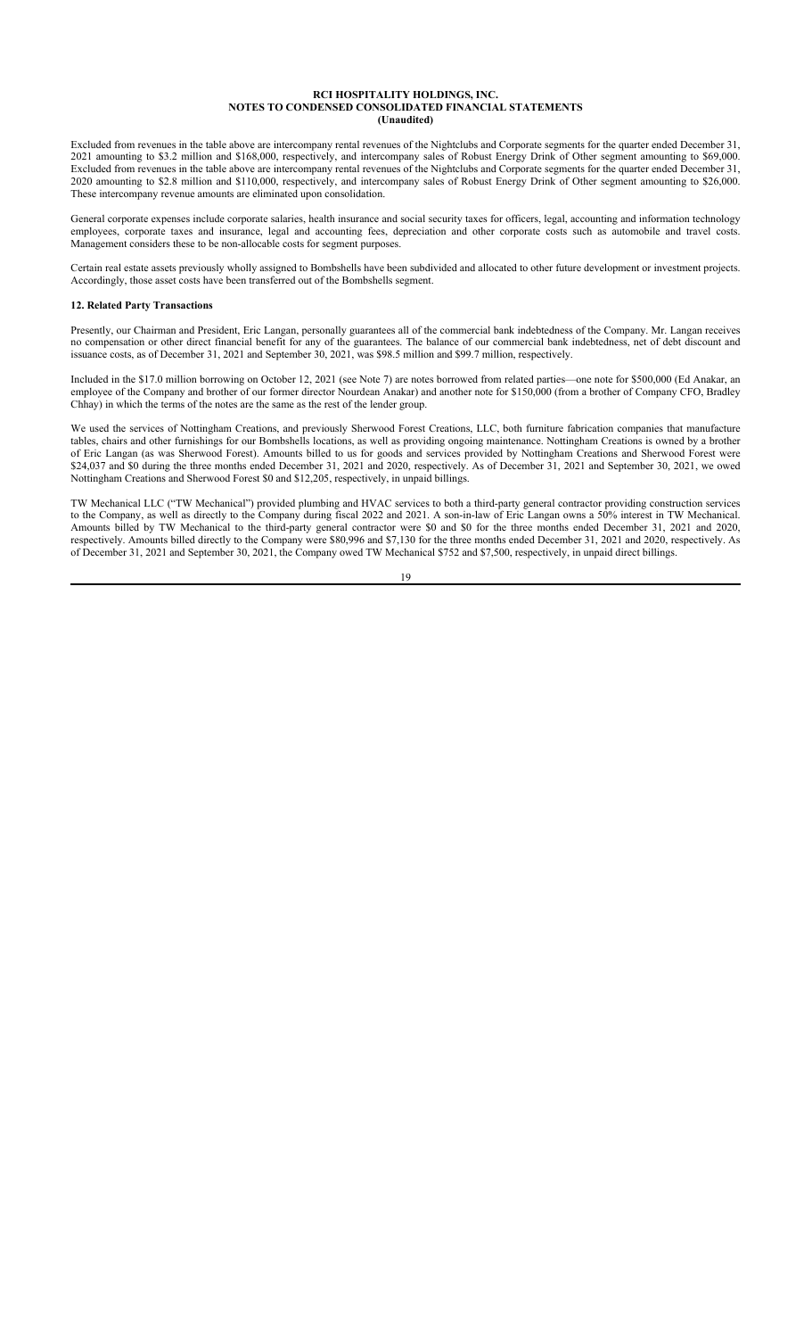Excluded from revenues in the table above are intercompany rental revenues of the Nightclubs and Corporate segments for the quarter ended December 31, 2021 amounting to \$3.2 million and \$168,000, respectively, and intercompany sales of Robust Energy Drink of Other segment amounting to \$69,000. Excluded from revenues in the table above are intercompany rental revenues of the Nightclubs and Corporate segments for the quarter ended December 31, 2020 amounting to \$2.8 million and \$110,000, respectively, and intercompany sales of Robust Energy Drink of Other segment amounting to \$26,000. These intercompany revenue amounts are eliminated upon consolidation.

General corporate expenses include corporate salaries, health insurance and social security taxes for officers, legal, accounting and information technology employees, corporate taxes and insurance, legal and accounting fees, depreciation and other corporate costs such as automobile and travel costs. Management considers these to be non-allocable costs for segment purposes.

Certain real estate assets previously wholly assigned to Bombshells have been subdivided and allocated to other future development or investment projects. Accordingly, those asset costs have been transferred out of the Bombshells segment.

#### **12. Related Party Transactions**

Presently, our Chairman and President, Eric Langan, personally guarantees all of the commercial bank indebtedness of the Company. Mr. Langan receives no compensation or other direct financial benefit for any of the guarantees. The balance of our commercial bank indebtedness, net of debt discount and issuance costs, as of December 31, 2021 and September 30, 2021, was \$98.5 million and \$99.7 million, respectively.

Included in the \$17.0 million borrowing on October 12, 2021 (see Note 7) are notes borrowed from related parties—one note for \$500,000 (Ed Anakar, an employee of the Company and brother of our former director Nourdean Anakar) and another note for \$150,000 (from a brother of Company CFO, Bradley Chhay) in which the terms of the notes are the same as the rest of the lender group.

We used the services of Nottingham Creations, and previously Sherwood Forest Creations, LLC, both furniture fabrication companies that manufacture tables, chairs and other furnishings for our Bombshells locations, as well as providing ongoing maintenance. Nottingham Creations is owned by a brother of Eric Langan (as was Sherwood Forest). Amounts billed to us for goods and services provided by Nottingham Creations and Sherwood Forest were \$24,037 and \$0 during the three months ended December 31, 2021 and 2020, respectively. As of December 31, 2021 and September 30, 2021, we owed Nottingham Creations and Sherwood Forest \$0 and \$12,205, respectively, in unpaid billings.

TW Mechanical LLC ("TW Mechanical") provided plumbing and HVAC services to both a third-party general contractor providing construction services to the Company, as well as directly to the Company during fiscal 2022 and 2021. A son-in-law of Eric Langan owns a 50% interest in TW Mechanical. Amounts billed by TW Mechanical to the third-party general contractor were \$0 and \$0 for the three months ended December 31, 2021 and 2020, respectively. Amounts billed directly to the Company were \$80,996 and \$7,130 for the three months ended December 31, 2021 and 2020, respectively. As of December 31, 2021 and September 30, 2021, the Company owed TW Mechanical \$752 and \$7,500, respectively, in unpaid direct billings.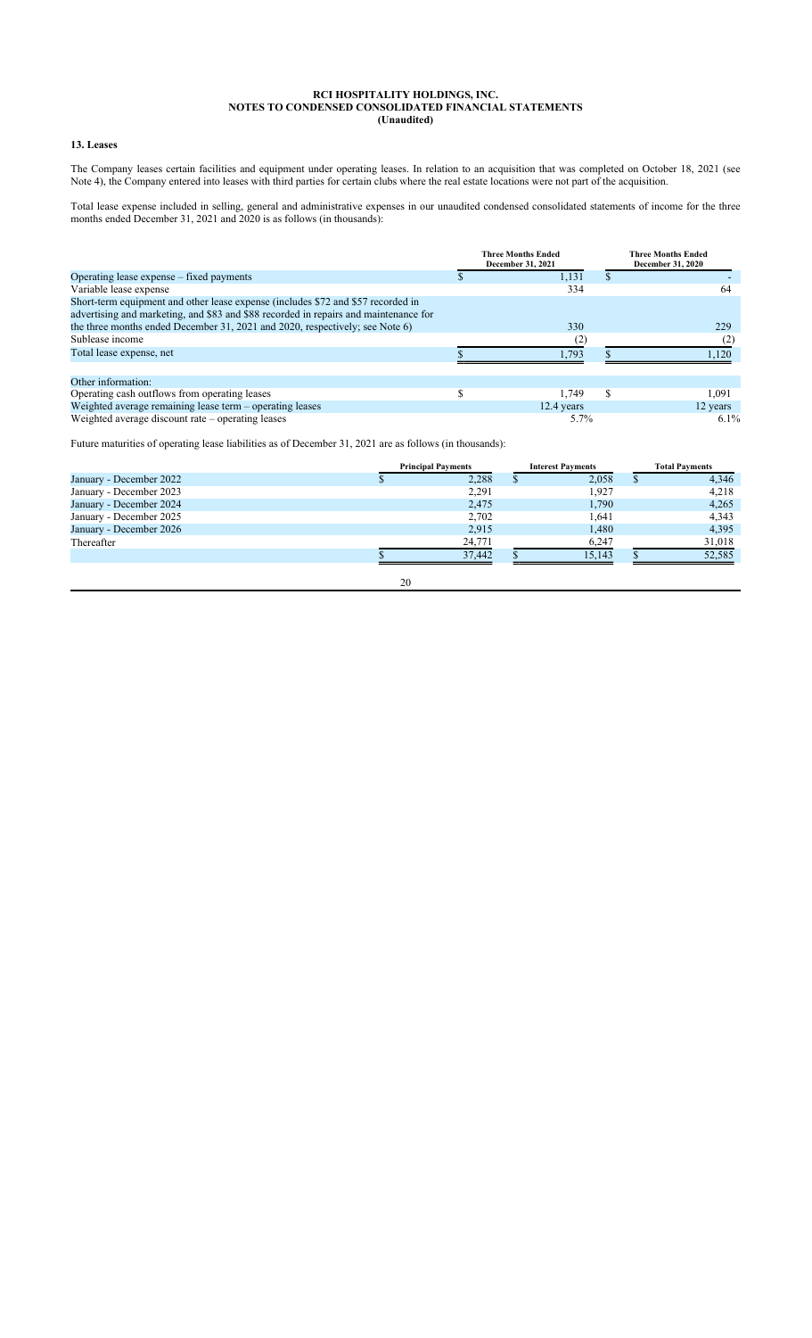## **13. Leases**

The Company leases certain facilities and equipment under operating leases. In relation to an acquisition that was completed on October 18, 2021 (see Note 4), the Company entered into leases with third parties for certain clubs where the real estate locations were not part of the acquisition.

Total lease expense included in selling, general and administrative expenses in our unaudited condensed consolidated statements of income for the three months ended December 31, 2021 and 2020 is as follows (in thousands):

|                                                                                                                                                                          | <b>Three Months Ended</b><br>December 31, 2021 |              | <b>Three Months Ended</b><br>December 31, 2020 |          |  |
|--------------------------------------------------------------------------------------------------------------------------------------------------------------------------|------------------------------------------------|--------------|------------------------------------------------|----------|--|
| Operating lease expense – fixed payments                                                                                                                                 |                                                | 1,131        |                                                |          |  |
| Variable lease expense                                                                                                                                                   |                                                | 334          |                                                | 64       |  |
| Short-term equipment and other lease expense (includes \$72 and \$57 recorded in<br>advertising and marketing, and \$83 and \$88 recorded in repairs and maintenance for |                                                |              |                                                |          |  |
| the three months ended December 31, 2021 and 2020, respectively; see Note 6)                                                                                             |                                                | 330          |                                                | 229      |  |
| Sublease income                                                                                                                                                          |                                                | (2           |                                                | (2)      |  |
| Total lease expense, net                                                                                                                                                 |                                                | 1.793        |                                                | 1.120    |  |
|                                                                                                                                                                          |                                                |              |                                                |          |  |
| Other information:                                                                                                                                                       |                                                |              |                                                |          |  |
| Operating cash outflows from operating leases                                                                                                                            |                                                | 1.749        | S                                              | 1.091    |  |
| Weighted average remaining lease term – operating leases                                                                                                                 |                                                | $12.4$ years |                                                | 12 years |  |
| Weighted average discount rate – operating leases                                                                                                                        |                                                | 5.7%         |                                                | 6.1%     |  |

Future maturities of operating lease liabilities as of December 31, 2021 are as follows (in thousands):

|                         |        | <b>Principal Payments</b> |  | <b>Interest Payments</b> |  | <b>Total Payments</b> |  |
|-------------------------|--------|---------------------------|--|--------------------------|--|-----------------------|--|
| January - December 2022 |        | 2,288                     |  | 2,058                    |  | 4,346                 |  |
| January - December 2023 |        | 2,291                     |  | 1,927                    |  | 4,218                 |  |
| January - December 2024 |        | 2,475                     |  | 1,790                    |  | 4,265                 |  |
| January - December 2025 |        | 2,702                     |  | 1,641                    |  | 4,343                 |  |
| January - December 2026 |        | 2,915                     |  | 1,480                    |  | 4,395                 |  |
| Thereafter              |        | 24,771                    |  | 6,247                    |  | 31,018                |  |
|                         |        | 37.442                    |  | 15.143                   |  | 52,585                |  |
|                         | $\sim$ |                           |  |                          |  |                       |  |

$$
20\quad
$$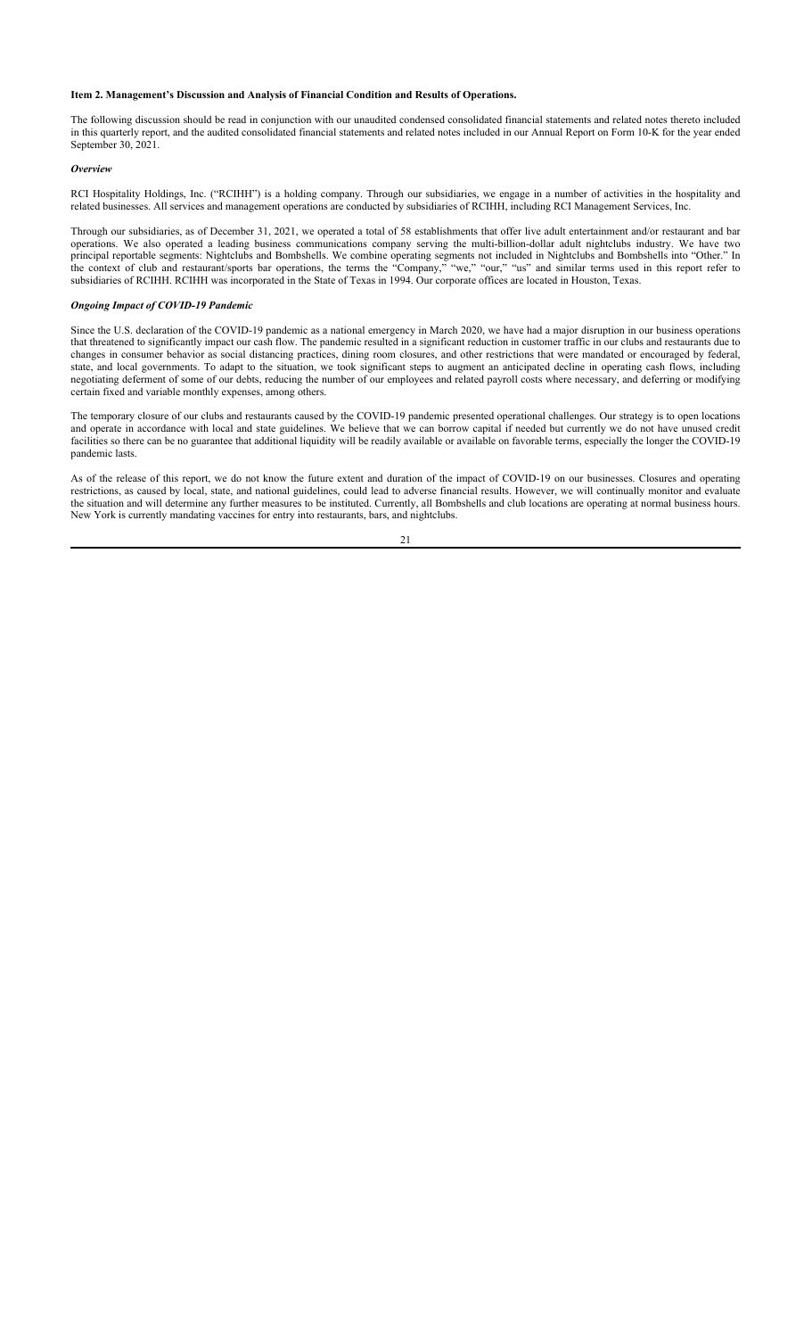## **Item 2. Management's Discussion and Analysis of Financial Condition and Results of Operations.**

The following discussion should be read in conjunction with our unaudited condensed consolidated financial statements and related notes thereto included in this quarterly report, and the audited consolidated financial statements and related notes included in our Annual Report on Form 10-K for the year ended September 30, 2021.

#### *Overview*

RCI Hospitality Holdings, Inc. ("RCIHH") is a holding company. Through our subsidiaries, we engage in a number of activities in the hospitality and related businesses. All services and management operations are conducted by subsidiaries of RCIHH, including RCI Management Services, Inc.

Through our subsidiaries, as of December 31, 2021, we operated a total of 58 establishments that offer live adult entertainment and/or restaurant and bar operations. We also operated a leading business communications company serving the multi-billion-dollar adult nightclubs industry. We have two principal reportable segments: Nightclubs and Bombshells. We combine operating segments not included in Nightclubs and Bombshells into "Other." In the context of club and restaurant/sports bar operations, the terms the "Company," "we," "our," "us" and similar terms used in this report refer to subsidiaries of RCIHH. RCIHH was incorporated in the State of Texas in 1994. Our corporate offices are located in Houston, Texas.

## *Ongoing Impact of COVID-19 Pandemic*

Since the U.S. declaration of the COVID-19 pandemic as a national emergency in March 2020, we have had a major disruption in our business operations that threatened to significantly impact our cash flow. The pandemic resulted in a significant reduction in customer traffic in our clubs and restaurants due to changes in consumer behavior as social distancing practices, dining room closures, and other restrictions that were mandated or encouraged by federal, state, and local governments. To adapt to the situation, we took significant steps to augment an anticipated decline in operating cash flows, including negotiating deferment of some of our debts, reducing the number of our employees and related payroll costs where necessary, and deferring or modifying certain fixed and variable monthly expenses, among others.

The temporary closure of our clubs and restaurants caused by the COVID-19 pandemic presented operational challenges. Our strategy is to open locations and operate in accordance with local and state guidelines. We believe that we can borrow capital if needed but currently we do not have unused credit facilities so there can be no guarantee that additional liquidity will be readily available or available on favorable terms, especially the longer the COVID-19 pandemic lasts.

As of the release of this report, we do not know the future extent and duration of the impact of COVID-19 on our businesses. Closures and operating restrictions, as caused by local, state, and national guidelines, could lead to adverse financial results. However, we will continually monitor and evaluate the situation and will determine any further measures to be instituted. Currently, all Bombshells and club locations are operating at normal business hours. New York is currently mandating vaccines for entry into restaurants, bars, and nightclubs.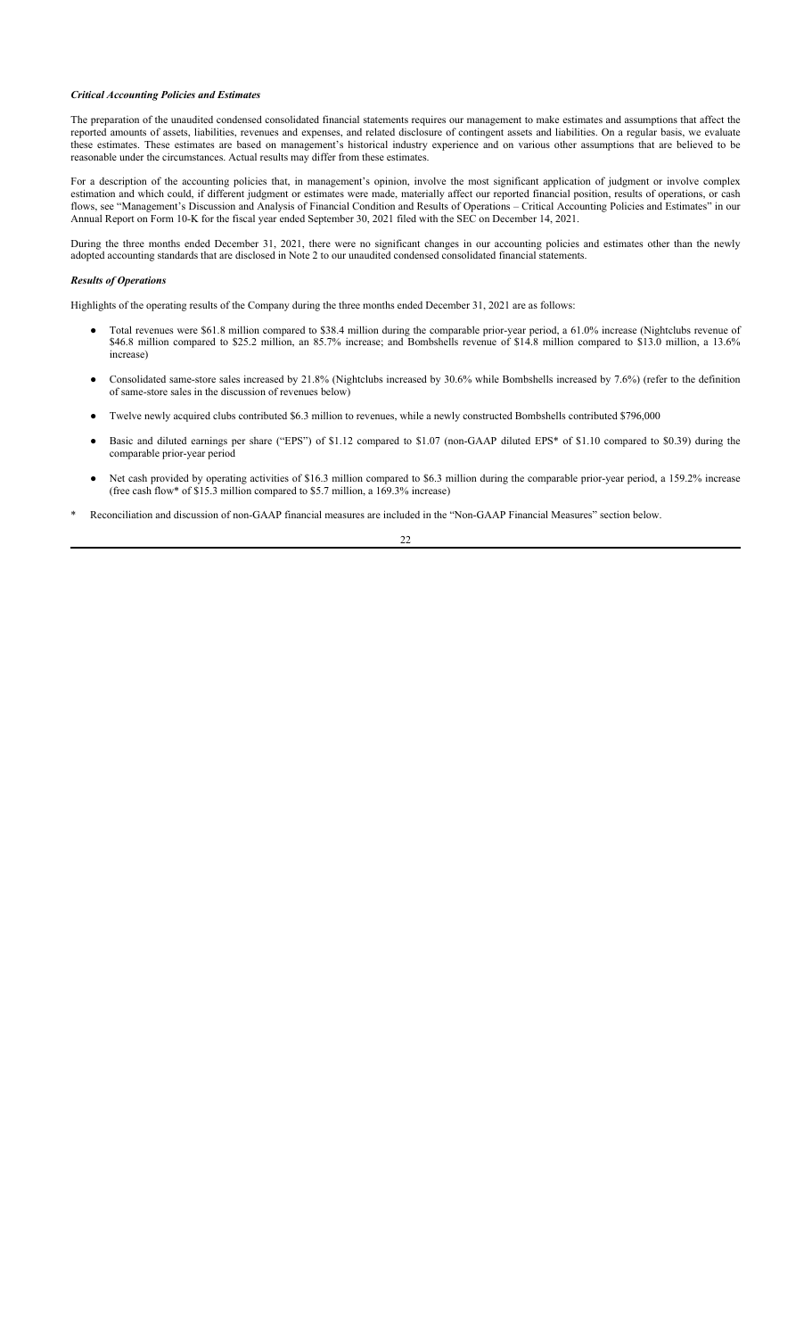### *Critical Accounting Policies and Estimates*

The preparation of the unaudited condensed consolidated financial statements requires our management to make estimates and assumptions that affect the reported amounts of assets, liabilities, revenues and expenses, and related disclosure of contingent assets and liabilities. On a regular basis, we evaluate these estimates. These estimates are based on management's historical industry experience and on various other assumptions that are believed to be reasonable under the circumstances. Actual results may differ from these estimates.

For a description of the accounting policies that, in management's opinion, involve the most significant application of judgment or involve complex estimation and which could, if different judgment or estimates were made, materially affect our reported financial position, results of operations, or cash flows, see "Management's Discussion and Analysis of Financial Condition and Results of Operations – Critical Accounting Policies and Estimates" in our Annual Report on Form 10-K for the fiscal year ended September 30, 2021 filed with the SEC on December 14, 2021.

During the three months ended December 31, 2021, there were no significant changes in our accounting policies and estimates other than the newly adopted accounting standards that are disclosed in Note 2 to our unaudited condensed consolidated financial statements.

### *Results of Operations*

Highlights of the operating results of the Company during the three months ended December 31, 2021 are as follows:

- Total revenues were \$61.8 million compared to \$38.4 million during the comparable prior-year period, a 61.0% increase (Nightclubs revenue of \$46.8 million compared to \$25.2 million, an 85.7% increase; and Bombshells revenue of \$14.8 million compared to \$13.0 million, a 13.6% increase)
- Consolidated same-store sales increased by 21.8% (Nightclubs increased by 30.6% while Bombshells increased by 7.6%) (refer to the definition of same-store sales in the discussion of revenues below)
- Twelve newly acquired clubs contributed \$6.3 million to revenues, while a newly constructed Bombshells contributed \$796,000
- Basic and diluted earnings per share ("EPS") of \$1.12 compared to \$1.07 (non-GAAP diluted EPS\* of \$1.10 compared to \$0.39) during the comparable prior-year period
- Net cash provided by operating activities of \$16.3 million compared to \$6.3 million during the comparable prior-year period, a 159.2% increase (free cash flow\* of \$15.3 million compared to \$5.7 million, a 169.3% increase)
- \* Reconciliation and discussion of non-GAAP financial measures are included in the "Non-GAAP Financial Measures" section below.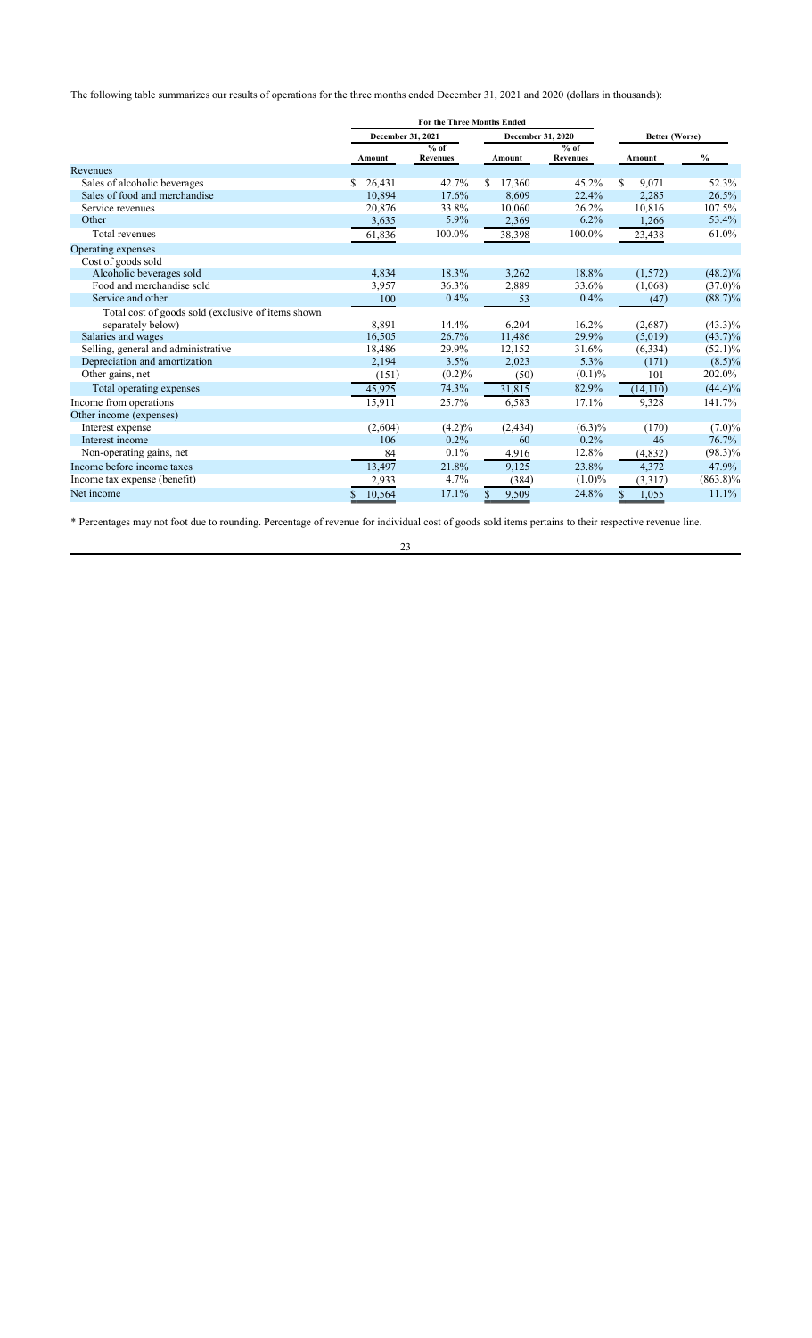The following table summarizes our results of operations for the three months ended December 31, 2021 and 2020 (dollars in thousands):

|                                                    | For the Three Months Ended |                           |                   |                           |                       |             |  |
|----------------------------------------------------|----------------------------|---------------------------|-------------------|---------------------------|-----------------------|-------------|--|
|                                                    | December 31, 2021          |                           | December 31, 2020 |                           | <b>Better (Worse)</b> |             |  |
|                                                    | Amount                     | $%$ of<br><b>Revenues</b> | Amount            | $%$ of<br><b>Revenues</b> | Amount                | $\%$        |  |
| Revenues                                           |                            |                           |                   |                           |                       |             |  |
| Sales of alcoholic beverages                       | 26,431                     | 42.7%                     | 17,360<br>\$.     | 45.2%                     | \$<br>9,071           | 52.3%       |  |
| Sales of food and merchandise                      | 10.894                     | 17.6%                     | 8,609             | 22.4%                     | 2,285                 | 26.5%       |  |
| Service revenues                                   | 20,876                     | 33.8%                     | 10,060            | 26.2%                     | 10,816                | 107.5%      |  |
| Other                                              | 3,635                      | 5.9%                      | 2,369             | 6.2%                      | 1,266                 | 53.4%       |  |
| Total revenues                                     | 61,836                     | 100.0%                    | 38,398            | 100.0%                    | 23,438                | 61.0%       |  |
| Operating expenses                                 |                            |                           |                   |                           |                       |             |  |
| Cost of goods sold                                 |                            |                           |                   |                           |                       |             |  |
| Alcoholic beverages sold                           | 4,834                      | 18.3%                     | 3,262             | 18.8%                     | (1,572)               | $(48.2)\%$  |  |
| Food and merchandise sold                          | 3,957                      | 36.3%                     | 2,889             | 33.6%                     | (1,068)               | $(37.0)\%$  |  |
| Service and other                                  | 100                        | 0.4%                      | 53                | 0.4%                      | (47)                  | $(88.7)\%$  |  |
| Total cost of goods sold (exclusive of items shown |                            |                           |                   |                           |                       |             |  |
| separately below)                                  | 8,891                      | 14.4%                     | 6,204             | 16.2%                     | (2,687)               | $(43.3)\%$  |  |
| Salaries and wages                                 | 16,505                     | 26.7%                     | 11,486            | 29.9%                     | (5,019)               | $(43.7)\%$  |  |
| Selling, general and administrative                | 18,486                     | 29.9%                     | 12,152            | 31.6%                     | (6,334)               | $(52.1)\%$  |  |
| Depreciation and amortization                      | 2,194                      | 3.5%                      | 2,023             | 5.3%                      | (171)                 | $(8.5)\%$   |  |
| Other gains, net                                   | (151)                      | (0.2)%                    | (50)              | (0.1)%                    | 101                   | 202.0%      |  |
| Total operating expenses                           | 45,925                     | 74.3%                     | 31,815            | 82.9%                     | (14, 110)             | $(44.4)\%$  |  |
| Income from operations                             | 15,911                     | 25.7%                     | 6,583             | 17.1%                     | 9,328                 | 141.7%      |  |
| Other income (expenses)                            |                            |                           |                   |                           |                       |             |  |
| Interest expense                                   | (2,604)                    | $(4.2)\%$                 | (2, 434)          | $(6.3)\%$                 | (170)                 | $(7.0)\%$   |  |
| Interest income                                    | 106                        | $0.2\%$                   | 60                | $0.2\%$                   | 46                    | 76.7%       |  |
| Non-operating gains, net                           | 84                         | $0.1\%$                   | 4,916             | 12.8%                     | (4,832)               | $(98.3)\%$  |  |
| Income before income taxes                         | 13,497                     | 21.8%                     | 9,125             | 23.8%                     | 4,372                 | 47.9%       |  |
| Income tax expense (benefit)                       | 2,933                      | 4.7%                      | (384)             | $(1.0)\%$                 | (3,317)               | $(863.8)\%$ |  |
| Net income                                         | 10,564                     | 17.1%                     | 9,509             | 24.8%                     | 1,055                 | 11.1%       |  |

\* Percentages may not foot due to rounding. Percentage of revenue for individual cost of goods sold items pertains to their respective revenue line.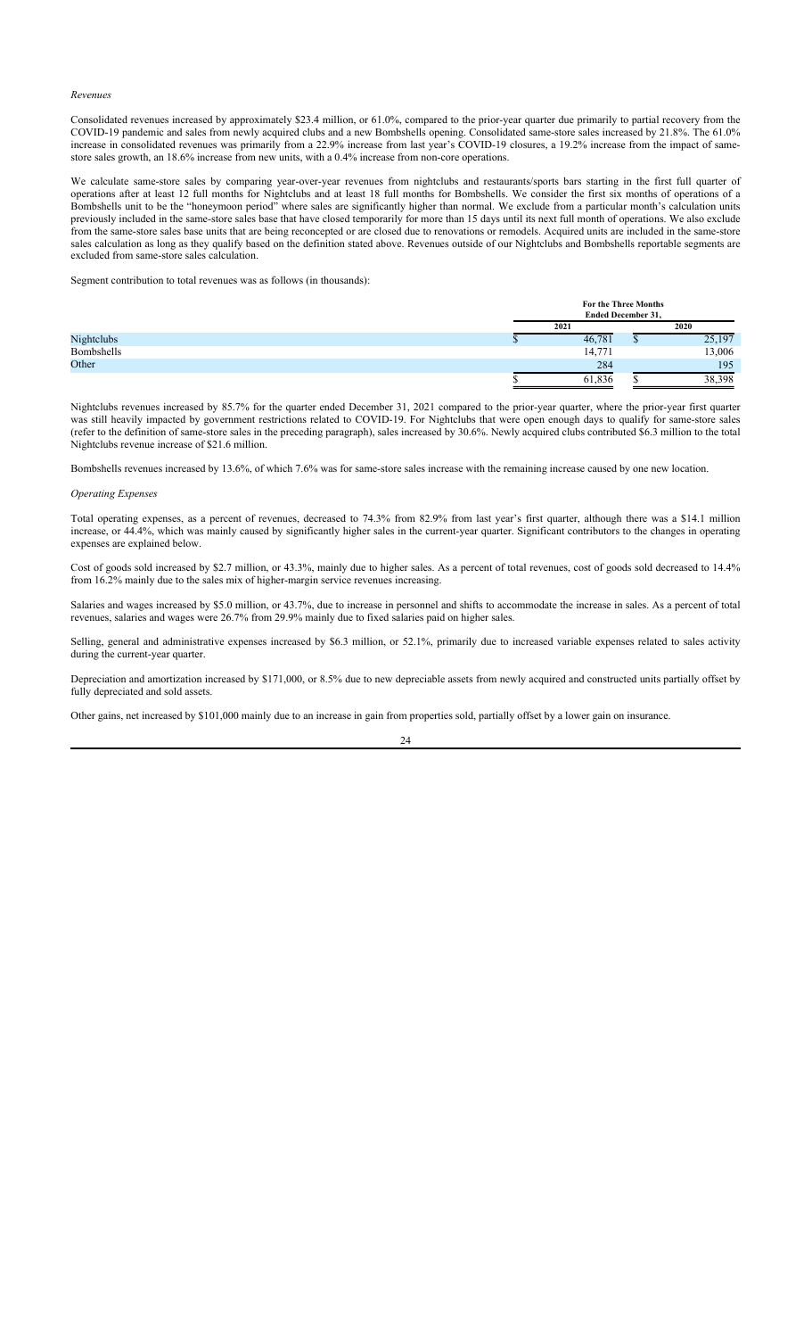### *Revenues*

Consolidated revenues increased by approximately \$23.4 million, or 61.0%, compared to the prior-year quarter due primarily to partial recovery from the COVID-19 pandemic and sales from newly acquired clubs and a new Bombshells opening. Consolidated same-store sales increased by 21.8%. The 61.0% increase in consolidated revenues was primarily from a 22.9% increase from last year's COVID-19 closures, a 19.2% increase from the impact of samestore sales growth, an 18.6% increase from new units, with a 0.4% increase from non-core operations.

We calculate same-store sales by comparing year-over-year revenues from nightclubs and restaurants/sports bars starting in the first full quarter of operations after at least 12 full months for Nightclubs and at least 18 full months for Bombshells. We consider the first six months of operations of a Bombshells unit to be the "honeymoon period" where sales are significantly higher than normal. We exclude from a particular month's calculation units previously included in the same-store sales base that have closed temporarily for more than 15 days until its next full month of operations. We also exclude from the same-store sales base units that are being reconcepted or are closed due to renovations or remodels. Acquired units are included in the same-store sales calculation as long as they qualify based on the definition stated above. Revenues outside of our Nightclubs and Bombshells reportable segments are excluded from same-store sales calculation.

Segment contribution to total revenues was as follows (in thousands):

|            | For the Three Months<br><b>Ended December 31,</b> |        |
|------------|---------------------------------------------------|--------|
|            | 2021                                              | 2020   |
| Nightclubs | 46,781                                            | 25,197 |
| Bombshells | 14,771                                            | 13,006 |
| Other      | 284                                               | 195    |
|            | 61,836                                            | 38,398 |

Nightclubs revenues increased by 85.7% for the quarter ended December 31, 2021 compared to the prior-year quarter, where the prior-year first quarter was still heavily impacted by government restrictions related to COVID-19. For Nightclubs that were open enough days to qualify for same-store sales (refer to the definition of same-store sales in the preceding paragraph), sales increased by 30.6%. Newly acquired clubs contributed \$6.3 million to the total Nightclubs revenue increase of \$21.6 million.

Bombshells revenues increased by 13.6%, of which 7.6% was for same-store sales increase with the remaining increase caused by one new location.

#### *Operating Expenses*

Total operating expenses, as a percent of revenues, decreased to 74.3% from 82.9% from last year's first quarter, although there was a \$14.1 million increase, or 44.4%, which was mainly caused by significantly higher sales in the current-year quarter. Significant contributors to the changes in operating expenses are explained below.

Cost of goods sold increased by \$2.7 million, or 43.3%, mainly due to higher sales. As a percent of total revenues, cost of goods sold decreased to 14.4% from 16.2% mainly due to the sales mix of higher-margin service revenues increasing.

Salaries and wages increased by \$5.0 million, or 43.7%, due to increase in personnel and shifts to accommodate the increase in sales. As a percent of total revenues, salaries and wages were 26.7% from 29.9% mainly due to fixed salaries paid on higher sales.

Selling, general and administrative expenses increased by \$6.3 million, or 52.1%, primarily due to increased variable expenses related to sales activity during the current-year quarter.

Depreciation and amortization increased by \$171,000, or 8.5% due to new depreciable assets from newly acquired and constructed units partially offset by fully depreciated and sold assets.

Other gains, net increased by \$101,000 mainly due to an increase in gain from properties sold, partially offset by a lower gain on insurance.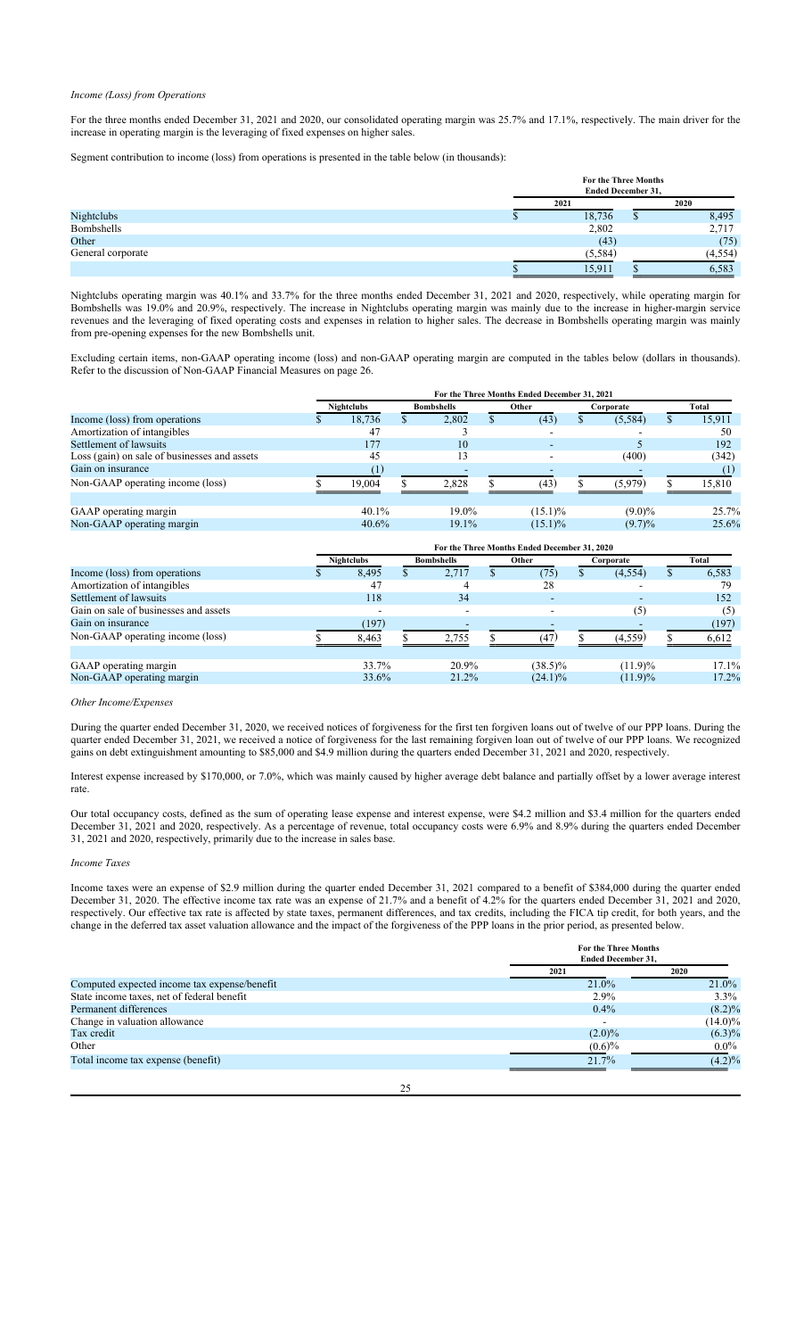## *Income (Loss) from Operations*

For the three months ended December 31, 2021 and 2020, our consolidated operating margin was 25.7% and 17.1%, respectively. The main driver for the increase in operating margin is the leveraging of fixed expenses on higher sales.

Segment contribution to income (loss) from operations is presented in the table below (in thousands):

|                   | For the Three Months<br><b>Ended December 31,</b> |      |          |  |  |
|-------------------|---------------------------------------------------|------|----------|--|--|
|                   | 2021                                              | 2020 |          |  |  |
| Nightclubs        | 18,736                                            |      | 8,495    |  |  |
| Bombshells        | 2,802                                             |      | 2,717    |  |  |
| Other             | (43)                                              |      | (75)     |  |  |
| General corporate | (5,584)                                           |      | (4, 554) |  |  |
|                   | 15,911                                            |      | 6,583    |  |  |

Nightclubs operating margin was 40.1% and 33.7% for the three months ended December 31, 2021 and 2020, respectively, while operating margin for Bombshells was 19.0% and 20.9%, respectively. The increase in Nightclubs operating margin was mainly due to the increase in higher-margin service revenues and the leveraging of fixed operating costs and expenses in relation to higher sales. The decrease in Bombshells operating margin was mainly from pre-opening expenses for the new Bombshells unit.

Excluding certain items, non-GAAP operating income (loss) and non-GAAP operating margin are computed in the tables below (dollars in thousands). Refer to the discussion of Non-GAAP Financial Measures on page 26.

|                                              | For the Three Months Ended December 31, 2021 |                   |  |                   |  |            |  |           |  |        |
|----------------------------------------------|----------------------------------------------|-------------------|--|-------------------|--|------------|--|-----------|--|--------|
|                                              |                                              | <b>Nightclubs</b> |  | <b>Bombshells</b> |  | Other      |  | Corporate |  | Total  |
| Income (loss) from operations                |                                              | 18.736            |  | 2.802             |  | (43)       |  | (5,584)   |  | 15,911 |
| Amortization of intangibles                  |                                              | 47                |  |                   |  |            |  |           |  | 50     |
| Settlement of lawsuits                       |                                              | 177               |  | 10                |  |            |  |           |  | 192    |
| Loss (gain) on sale of businesses and assets |                                              | 45                |  | 13                |  |            |  | (400)     |  | (342)  |
| Gain on insurance                            |                                              |                   |  |                   |  |            |  |           |  |        |
| Non-GAAP operating income (loss)             |                                              | 19.004            |  | 2.828             |  | (43)       |  | (5.979)   |  | 15.810 |
| GAAP operating margin                        |                                              | $40.1\%$          |  | 19.0%             |  | $(15.1)\%$ |  | $(9.0)\%$ |  | 25.7%  |
| Non-GAAP operating margin                    |                                              | $40.6\%$          |  | 19.1%             |  | $(15.1)\%$ |  | (9.7)%    |  | 25.6%  |

|                                       | For the Three Months Ended December 31, 2020 |       |                   |          |  |            |  |            |  |       |
|---------------------------------------|----------------------------------------------|-------|-------------------|----------|--|------------|--|------------|--|-------|
|                                       | <b>Nightclubs</b>                            |       | <b>Bombshells</b> |          |  | Other      |  | Corporate  |  | Total |
| Income (loss) from operations         |                                              | 8.495 |                   | 2.717    |  | (75)       |  | (4,554)    |  | 6,583 |
| Amortization of intangibles           |                                              | 47    |                   |          |  | 28         |  |            |  | 79    |
| Settlement of lawsuits                |                                              | 118   |                   | 34       |  |            |  |            |  | 152   |
| Gain on sale of businesses and assets |                                              | -     |                   | ۰        |  |            |  | (5)        |  | (5)   |
| Gain on insurance                     |                                              | (197) |                   |          |  |            |  |            |  | (197) |
| Non-GAAP operating income (loss)      |                                              | 8.463 |                   | 2.755    |  | (47)       |  | (4,559)    |  | 6,612 |
| GAAP operating margin                 |                                              | 33.7% |                   | 20.9%    |  | $(38.5)\%$ |  | $(11.9)\%$ |  | 17.1% |
| Non-GAAP operating margin             |                                              | 33.6% |                   | $21.2\%$ |  | $(24.1)\%$ |  | $(11.9)\%$ |  | 17.2% |

#### *Other Income/Expenses*

During the quarter ended December 31, 2020, we received notices of forgiveness for the first ten forgiven loans out of twelve of our PPP loans. During the quarter ended December 31, 2021, we received a notice of forgiveness for the last remaining forgiven loan out of twelve of our PPP loans. We recognized gains on debt extinguishment amounting to \$85,000 and \$4.9 million during the quarters ended December 31, 2021 and 2020, respectively.

Interest expense increased by \$170,000, or 7.0%, which was mainly caused by higher average debt balance and partially offset by a lower average interest rate.

Our total occupancy costs, defined as the sum of operating lease expense and interest expense, were \$4.2 million and \$3.4 million for the quarters ended December 31, 2021 and 2020, respectively. As a percentage of revenue, total occupancy costs were 6.9% and 8.9% during the quarters ended December 31, 2021 and 2020, respectively, primarily due to the increase in sales base.

## *Income Taxes*

Income taxes were an expense of \$2.9 million during the quarter ended December 31, 2021 compared to a benefit of \$384,000 during the quarter ended December 31, 2020. The effective income tax rate was an expense of 21.7% and a benefit of 4.2% for the quarters ended December 31, 2021 and 2020, respectively. Our effective tax rate is affected by state taxes, permanent differences, and tax credits, including the FICA tip credit, for both years, and the change in the deferred tax asset valuation allowance and the impact of the forgiveness of the PPP loans in the prior period, as presented below.

|                                              | <b>For the Three Months</b><br><b>Ended December 31,</b> |            |
|----------------------------------------------|----------------------------------------------------------|------------|
|                                              | 2021                                                     | 2020       |
| Computed expected income tax expense/benefit | 21.0%                                                    | 21.0%      |
| State income taxes, net of federal benefit   | 2.9%                                                     | $3.3\%$    |
| Permanent differences                        | $0.4\%$                                                  | $(8.2)\%$  |
| Change in valuation allowance                | -                                                        | $(14.0)\%$ |
| Tax credit                                   | $(2.0)\%$                                                | $(6.3)\%$  |
| Other                                        | $(0.6)\%$                                                | $0.0\%$    |
| Total income tax expense (benefit)           | 21.7%                                                    | $(4.2)\%$  |
|                                              |                                                          |            |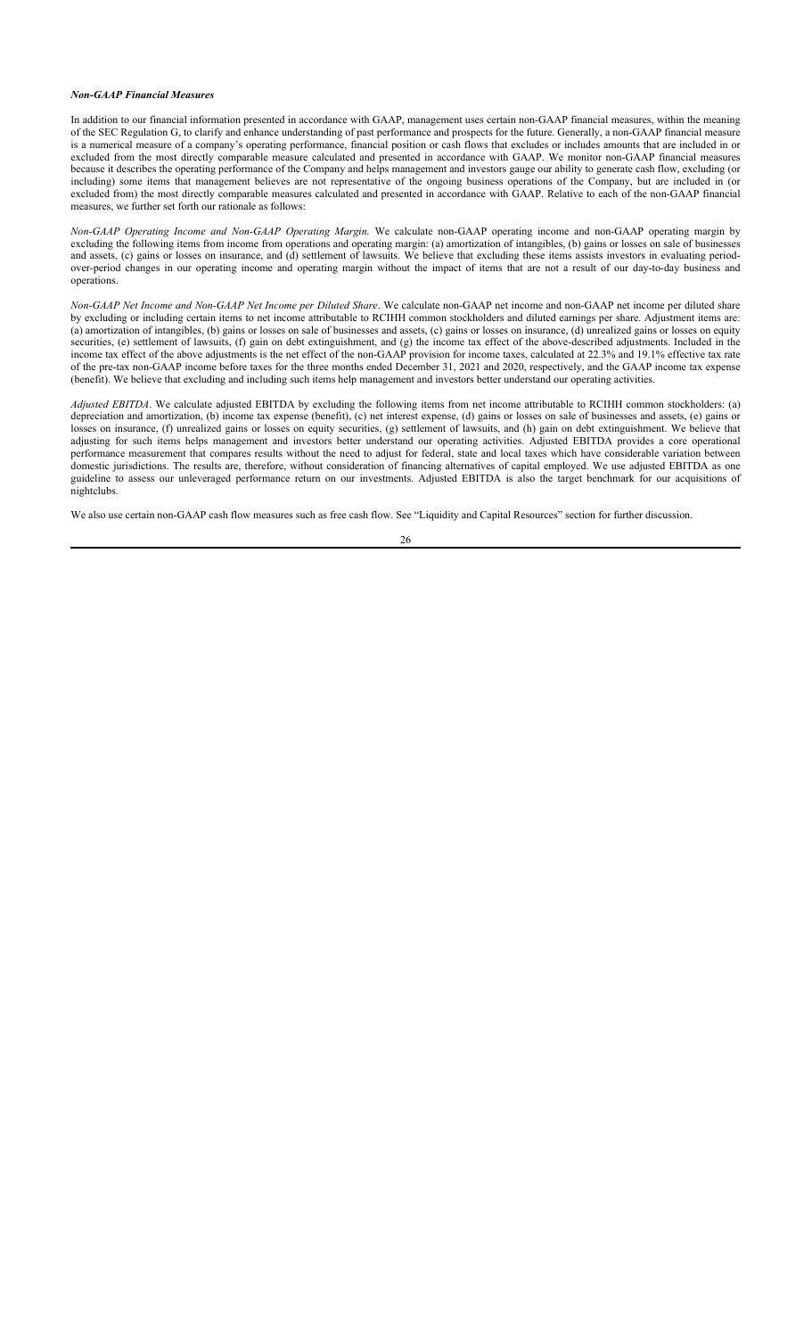## *Non-GAAP Financial Measures*

In addition to our financial information presented in accordance with GAAP, management uses certain non-GAAP financial measures, within the meaning of the SEC Regulation G, to clarify and enhance understanding of past performance and prospects for the future. Generally, a non-GAAP financial measure is a numerical measure of a company's operating performance, financial position or cash flows that excludes or includes amounts that are included in or excluded from the most directly comparable measure calculated and presented in accordance with GAAP. We monitor non-GAAP financial measures because it describes the operating performance of the Company and helps management and investors gauge our ability to generate cash flow, excluding (or including) some items that management believes are not representative of the ongoing business operations of the Company, but are included in (or excluded from) the most directly comparable measures calculated and presented in accordance with GAAP. Relative to each of the non-GAAP financial measures, we further set forth our rationale as follows:

*Non-GAAP Operating Income and Non-GAAP Operating Margin.* We calculate non-GAAP operating income and non-GAAP operating margin by excluding the following items from income from operations and operating margin: (a) amortization of intangibles, (b) gains or losses on sale of businesses and assets, (c) gains or losses on insurance, and (d) settlement of lawsuits. We believe that excluding these items assists investors in evaluating periodover-period changes in our operating income and operating margin without the impact of items that are not a result of our day-to-day business and operations.

*Non-GAAP Net Income and Non-GAAP Net Income per Diluted Share*. We calculate non-GAAP net income and non-GAAP net income per diluted share by excluding or including certain items to net income attributable to RCIHH common stockholders and diluted earnings per share. Adjustment items are: (a) amortization of intangibles, (b) gains or losses on sale of businesses and assets, (c) gains or losses on insurance, (d) unrealized gains or losses on equity securities, (e) settlement of lawsuits, (f) gain on debt extinguishment, and (g) the income tax effect of the above-described adjustments. Included in the income tax effect of the above adjustments is the net effect of the non-GAAP provision for income taxes, calculated at 22.3% and 19.1% effective tax rate of the pre-tax non-GAAP income before taxes for the three months ended December 31, 2021 and 2020, respectively, and the GAAP income tax expense (benefit). We believe that excluding and including such items help management and investors better understand our operating activities.

*Adjusted EBITDA*. We calculate adjusted EBITDA by excluding the following items from net income attributable to RCIHH common stockholders: (a) depreciation and amortization, (b) income tax expense (benefit), (c) net interest expense, (d) gains or losses on sale of businesses and assets, (e) gains or losses on insurance, (f) unrealized gains or losses on equity securities, (g) settlement of lawsuits, and (h) gain on debt extinguishment. We believe that adjusting for such items helps management and investors better understand our operating activities. Adjusted EBITDA provides a core operational performance measurement that compares results without the need to adjust for federal, state and local taxes which have considerable variation between domestic jurisdictions. The results are, therefore, without consideration of financing alternatives of capital employed. We use adjusted EBITDA as one guideline to assess our unleveraged performance return on our investments. Adjusted EBITDA is also the target benchmark for our acquisitions of nightclubs.

We also use certain non-GAAP cash flow measures such as free cash flow. See "Liquidity and Capital Resources" section for further discussion.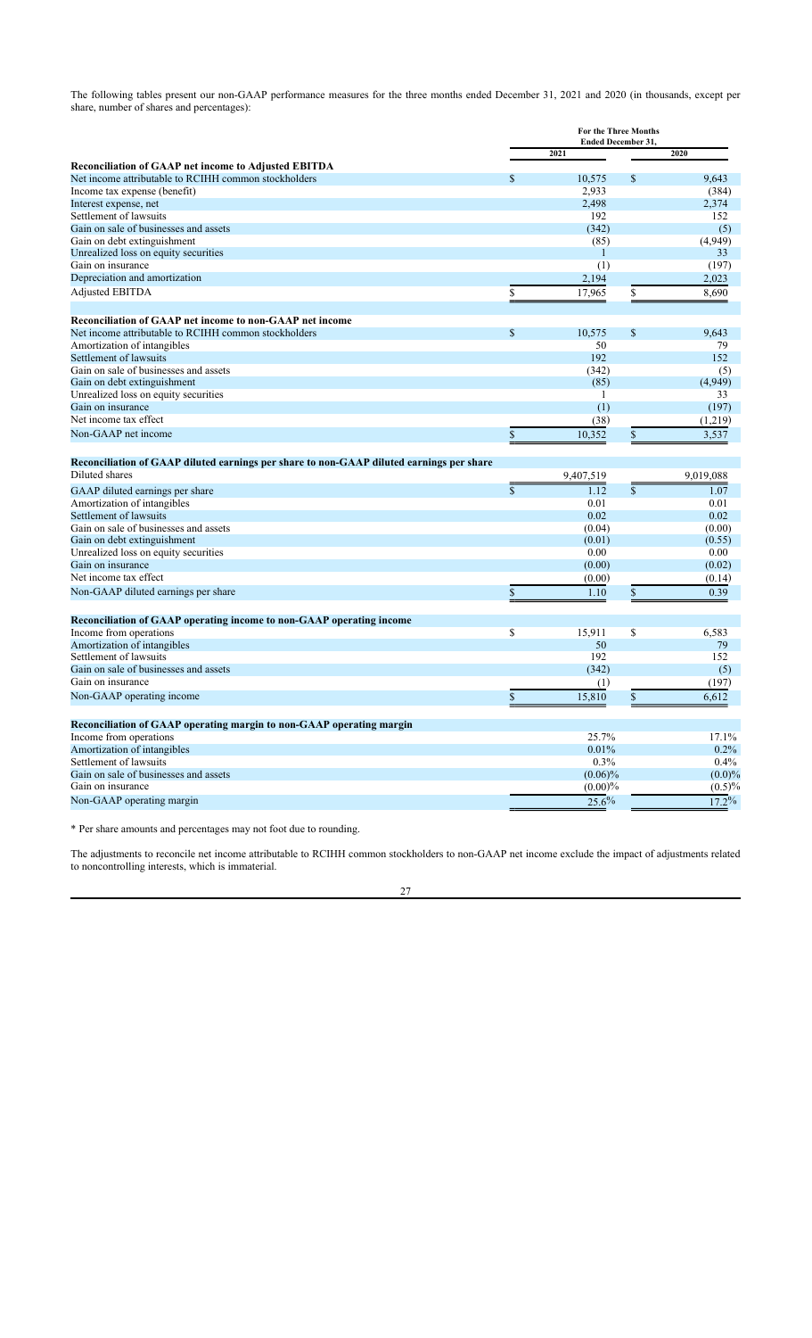The following tables present our non-GAAP performance measures for the three months ended December 31, 2021 and 2020 (in thousands, except per share, number of shares and percentages):

|                                                                                          | <b>For the Three Months</b><br><b>Ended December 31.</b> |                     |              |             |  |  |  |
|------------------------------------------------------------------------------------------|----------------------------------------------------------|---------------------|--------------|-------------|--|--|--|
|                                                                                          |                                                          | 2021                |              | 2020        |  |  |  |
| <b>Reconciliation of GAAP net income to Adjusted EBITDA</b>                              |                                                          |                     |              |             |  |  |  |
| Net income attributable to RCIHH common stockholders                                     | $\mathbf{s}$                                             | 10.575              | S            | 9.643       |  |  |  |
| Income tax expense (benefit)                                                             |                                                          | 2,933               |              | (384)       |  |  |  |
| Interest expense, net                                                                    |                                                          | 2,498               |              | 2,374       |  |  |  |
| Settlement of lawsuits                                                                   |                                                          | 192                 |              | 152         |  |  |  |
| Gain on sale of businesses and assets                                                    |                                                          | (342)               |              | (5)         |  |  |  |
| Gain on debt extinguishment                                                              |                                                          | (85)                |              | (4,949)     |  |  |  |
| Unrealized loss on equity securities<br>Gain on insurance                                |                                                          | $\mathbf{1}$<br>(1) |              | 33<br>(197) |  |  |  |
| Depreciation and amortization                                                            |                                                          |                     |              |             |  |  |  |
|                                                                                          |                                                          | 2,194               |              | 2,023       |  |  |  |
| Adjusted EBITDA                                                                          | \$                                                       | 17,965              | \$           | 8.690       |  |  |  |
| <b>Reconciliation of GAAP net income to non-GAAP net income</b>                          |                                                          |                     |              |             |  |  |  |
| Net income attributable to RCIHH common stockholders                                     | $\mathbb{S}$                                             | 10,575              | \$           | 9,643       |  |  |  |
| Amortization of intangibles                                                              |                                                          | 50                  |              | 79          |  |  |  |
| Settlement of lawsuits                                                                   |                                                          | 192                 |              | 152         |  |  |  |
| Gain on sale of businesses and assets                                                    |                                                          | (342)               |              | (5)         |  |  |  |
| Gain on debt extinguishment                                                              |                                                          | (85)                |              | (4,949)     |  |  |  |
| Unrealized loss on equity securities                                                     |                                                          | -1                  |              | 33          |  |  |  |
| Gain on insurance                                                                        |                                                          | (1)                 |              | (197)       |  |  |  |
| Net income tax effect                                                                    |                                                          | (38)                |              | (1,219)     |  |  |  |
| Non-GAAP net income                                                                      | $\mathbf S$                                              | 10.352              | $\mathbb{S}$ | 3,537       |  |  |  |
|                                                                                          |                                                          |                     |              |             |  |  |  |
| Reconciliation of GAAP diluted earnings per share to non-GAAP diluted earnings per share |                                                          |                     |              |             |  |  |  |
| Diluted shares                                                                           |                                                          | 9,407,519           |              | 9,019,088   |  |  |  |
| GAAP diluted earnings per share                                                          | $\mathbf S$                                              | 1.12                | $\mathbb{S}$ | 1.07        |  |  |  |
| Amortization of intangibles                                                              |                                                          | 0.01                |              | 0.01        |  |  |  |
| Settlement of lawsuits                                                                   |                                                          | 0.02                |              | 0.02        |  |  |  |
| Gain on sale of businesses and assets                                                    |                                                          | (0.04)              |              | (0.00)      |  |  |  |
| Gain on debt extinguishment                                                              |                                                          | (0.01)              |              | (0.55)      |  |  |  |
| Unrealized loss on equity securities                                                     |                                                          | 0.00                |              | 0.00        |  |  |  |
| Gain on insurance                                                                        |                                                          | (0.00)              |              | (0.02)      |  |  |  |
| Net income tax effect                                                                    |                                                          | (0.00)              |              | (0.14)      |  |  |  |
| Non-GAAP diluted earnings per share                                                      | \$                                                       | 1.10                | \$           | 0.39        |  |  |  |
|                                                                                          |                                                          |                     |              |             |  |  |  |
| <b>Reconciliation of GAAP operating income to non-GAAP operating income</b>              |                                                          |                     |              |             |  |  |  |
| Income from operations                                                                   | \$                                                       | 15.911              | S            | 6,583       |  |  |  |
| Amortization of intangibles                                                              |                                                          | 50                  |              | 79          |  |  |  |
| Settlement of lawsuits                                                                   |                                                          | 192                 |              | 152         |  |  |  |
| Gain on sale of businesses and assets                                                    |                                                          | (342)               |              | (5)         |  |  |  |
| Gain on insurance                                                                        |                                                          | (1)                 |              | (197)       |  |  |  |
| Non-GAAP operating income                                                                | \$                                                       | 15,810              | \$           | 6,612       |  |  |  |
|                                                                                          |                                                          |                     |              |             |  |  |  |
| Reconciliation of GAAP operating margin to non-GAAP operating margin                     |                                                          | 25.7%               |              | 17.1%       |  |  |  |
| Income from operations<br>Amortization of intangibles                                    |                                                          | 0.01%               |              | 0.2%        |  |  |  |
| Settlement of lawsuits                                                                   |                                                          | 0.3%                |              | 0.4%        |  |  |  |
| Gain on sale of businesses and assets                                                    |                                                          |                     |              | $(0.0)\%$   |  |  |  |
| Gain on insurance                                                                        |                                                          | $(0.06)\%$          |              |             |  |  |  |
|                                                                                          |                                                          | $(0.00)\%$          |              | $(0.5)\%$   |  |  |  |
| Non-GAAP operating margin                                                                |                                                          | 25.6%               |              | 17.2%       |  |  |  |

\* Per share amounts and percentages may not foot due to rounding.

The adjustments to reconcile net income attributable to RCIHH common stockholders to non-GAAP net income exclude the impact of adjustments related to noncontrolling interests, which is immaterial.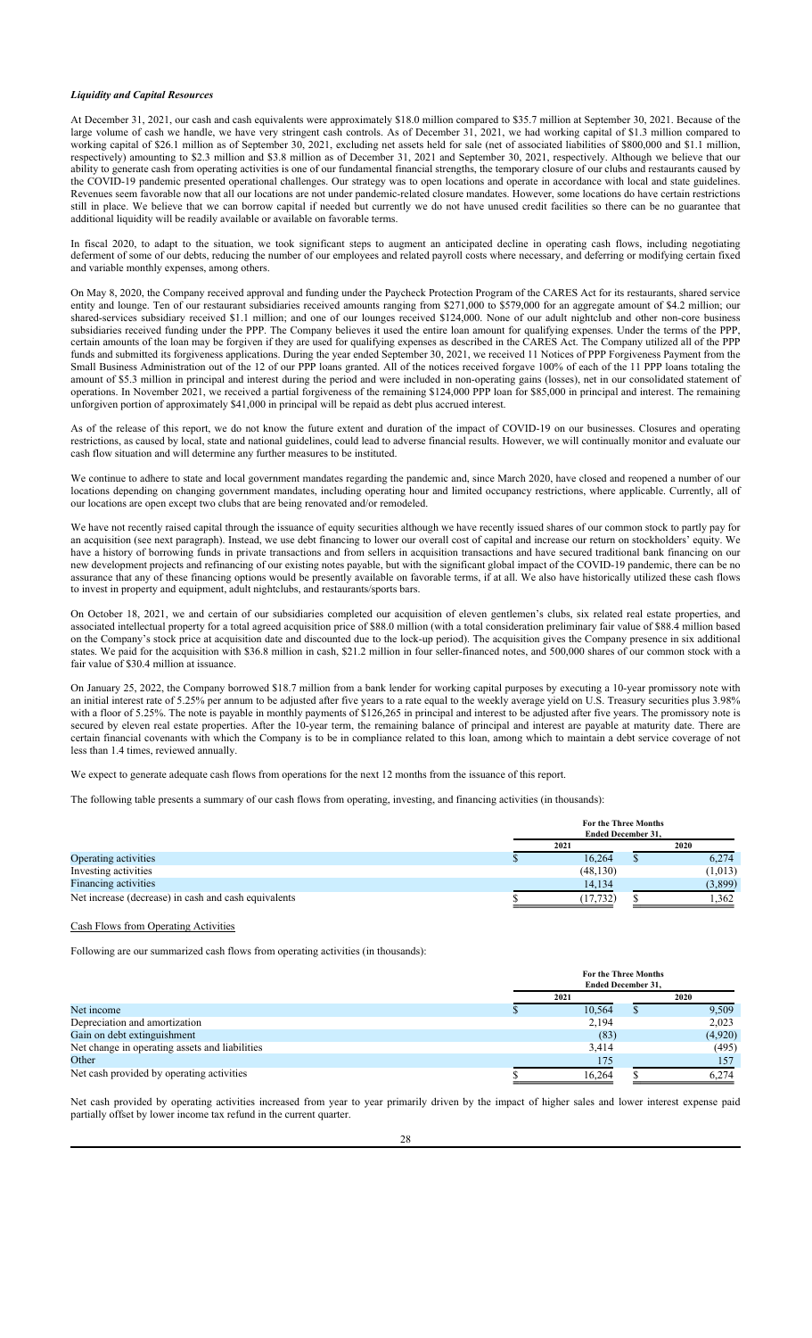#### *Liquidity and Capital Resources*

At December 31, 2021, our cash and cash equivalents were approximately \$18.0 million compared to \$35.7 million at September 30, 2021. Because of the large volume of cash we handle, we have very stringent cash controls. As of December 31, 2021, we had working capital of \$1.3 million compared to working capital of \$26.1 million as of September 30, 2021, excluding net assets held for sale (net of associated liabilities of \$800,000 and \$1.1 million, respectively) amounting to \$2.3 million and \$3.8 million as of December 31, 2021 and September 30, 2021, respectively. Although we believe that our ability to generate cash from operating activities is one of our fundamental financial strengths, the temporary closure of our clubs and restaurants caused by the COVID-19 pandemic presented operational challenges. Our strategy was to open locations and operate in accordance with local and state guidelines. Revenues seem favorable now that all our locations are not under pandemic-related closure mandates. However, some locations do have certain restrictions still in place. We believe that we can borrow capital if needed but currently we do not have unused credit facilities so there can be no guarantee that additional liquidity will be readily available or available on favorable terms.

In fiscal 2020, to adapt to the situation, we took significant steps to augment an anticipated decline in operating cash flows, including negotiating deferment of some of our debts, reducing the number of our employees and related payroll costs where necessary, and deferring or modifying certain fixed and variable monthly expenses, among others.

On May 8, 2020, the Company received approval and funding under the Paycheck Protection Program of the CARES Act for its restaurants, shared service entity and lounge. Ten of our restaurant subsidiaries received amounts ranging from \$271,000 to \$579,000 for an aggregate amount of \$4.2 million; our shared-services subsidiary received \$1.1 million; and one of our lounges received \$124,000. None of our adult nightclub and other non-core business subsidiaries received funding under the PPP. The Company believes it used the entire loan amount for qualifying expenses. Under the terms of the PPP, certain amounts of the loan may be forgiven if they are used for qualifying expenses as described in the CARES Act. The Company utilized all of the PPP funds and submitted its forgiveness applications. During the year ended September 30, 2021, we received 11 Notices of PPP Forgiveness Payment from the Small Business Administration out of the 12 of our PPP loans granted. All of the notices received forgave 100% of each of the 11 PPP loans totaling the amount of \$5.3 million in principal and interest during the period and were included in non-operating gains (losses), net in our consolidated statement of operations. In November 2021, we received a partial forgiveness of the remaining \$124,000 PPP loan for \$85,000 in principal and interest. The remaining unforgiven portion of approximately \$41,000 in principal will be repaid as debt plus accrued interest.

As of the release of this report, we do not know the future extent and duration of the impact of COVID-19 on our businesses. Closures and operating restrictions, as caused by local, state and national guidelines, could lead to adverse financial results. However, we will continually monitor and evaluate our cash flow situation and will determine any further measures to be instituted.

We continue to adhere to state and local government mandates regarding the pandemic and, since March 2020, have closed and reopened a number of our locations depending on changing government mandates, including operating hour and limited occupancy restrictions, where applicable. Currently, all of our locations are open except two clubs that are being renovated and/or remodeled.

We have not recently raised capital through the issuance of equity securities although we have recently issued shares of our common stock to partly pay for an acquisition (see next paragraph). Instead, we use debt financing to lower our overall cost of capital and increase our return on stockholders' equity. We have a history of borrowing funds in private transactions and from sellers in acquisition transactions and have secured traditional bank financing on our new development projects and refinancing of our existing notes payable, but with the significant global impact of the COVID-19 pandemic, there can be no assurance that any of these financing options would be presently available on favorable terms, if at all. We also have historically utilized these cash flows to invest in property and equipment, adult nightclubs, and restaurants/sports bars.

On October 18, 2021, we and certain of our subsidiaries completed our acquisition of eleven gentlemen's clubs, six related real estate properties, and associated intellectual property for a total agreed acquisition price of \$88.0 million (with a total consideration preliminary fair value of \$88.4 million based on the Company's stock price at acquisition date and discounted due to the lock-up period). The acquisition gives the Company presence in six additional states. We paid for the acquisition with \$36.8 million in cash, \$21.2 million in four seller-financed notes, and 500,000 shares of our common stock with a fair value of \$30.4 million at issuance.

On January 25, 2022, the Company borrowed \$18.7 million from a bank lender for working capital purposes by executing a 10-year promissory note with an initial interest rate of 5.25% per annum to be adjusted after five years to a rate equal to the weekly average yield on U.S. Treasury securities plus 3.98% with a floor of 5.25%. The note is payable in monthly payments of \$126,265 in principal and interest to be adjusted after five years. The promissory note is secured by eleven real estate properties. After the 10-year term, the remaining balance of principal and interest are payable at maturity date. There are certain financial covenants with which the Company is to be in compliance related to this loan, among which to maintain a debt service coverage of not less than 1.4 times, reviewed annually.

We expect to generate adequate cash flows from operations for the next 12 months from the issuance of this report.

The following table presents a summary of our cash flows from operating, investing, and financing activities (in thousands):

|                                                      | <b>For the Three Months</b><br><b>Ended December 31.</b> |  |         |  |  |  |
|------------------------------------------------------|----------------------------------------------------------|--|---------|--|--|--|
|                                                      | 2021                                                     |  | 2020    |  |  |  |
| Operating activities                                 | 16.264                                                   |  | 6,274   |  |  |  |
| Investing activities                                 | (48, 130)                                                |  | (1,013) |  |  |  |
| Financing activities                                 | 14.134                                                   |  | (3,899) |  |  |  |
| Net increase (decrease) in cash and cash equivalents | (17.732)                                                 |  | .362    |  |  |  |

### Cash Flows from Operating Activities

Following are our summarized cash flows from operating activities (in thousands):

|                                                | <b>For the Three Months</b><br><b>Ended December 31.</b> |  |         |  |  |  |
|------------------------------------------------|----------------------------------------------------------|--|---------|--|--|--|
|                                                | 2021                                                     |  | 2020    |  |  |  |
| Net income                                     | 10,564                                                   |  | 9,509   |  |  |  |
| Depreciation and amortization                  | 2,194                                                    |  | 2,023   |  |  |  |
| Gain on debt extinguishment                    | (83)                                                     |  | (4,920) |  |  |  |
| Net change in operating assets and liabilities | 3,414                                                    |  | (495)   |  |  |  |
| Other                                          | 175                                                      |  | 157     |  |  |  |
| Net cash provided by operating activities      | 16.264                                                   |  | 6.274   |  |  |  |

Net cash provided by operating activities increased from year to year primarily driven by the impact of higher sales and lower interest expense paid partially offset by lower income tax refund in the current quarter.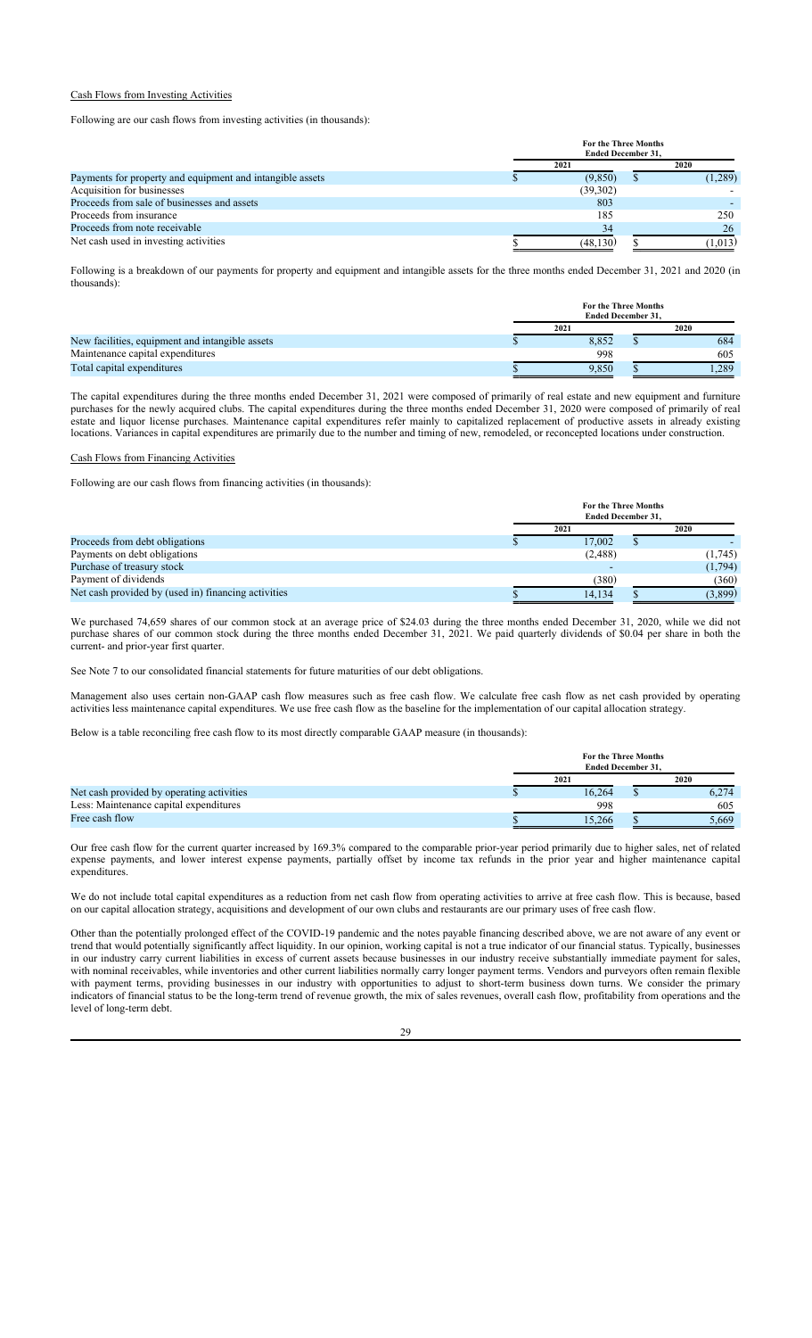## Cash Flows from Investing Activities

Following are our cash flows from investing activities (in thousands):

|                                                           | <b>For the Three Months</b><br><b>Ended December 31.</b> |  |         |  |  |
|-----------------------------------------------------------|----------------------------------------------------------|--|---------|--|--|
|                                                           | 2021                                                     |  | 2020    |  |  |
| Payments for property and equipment and intangible assets | (9,850)                                                  |  | (1,289) |  |  |
| Acquisition for businesses                                | (39,302)                                                 |  |         |  |  |
| Proceeds from sale of businesses and assets               | 803                                                      |  |         |  |  |
| Proceeds from insurance                                   | 185                                                      |  | 250     |  |  |
| Proceeds from note receivable                             | 34                                                       |  | 26      |  |  |
| Net cash used in investing activities                     | (48, 130)                                                |  | (1.013) |  |  |

Following is a breakdown of our payments for property and equipment and intangible assets for the three months ended December 31, 2021 and 2020 (in thousands):

|                                                 | <b>For the Three Months</b><br><b>Ended December 31.</b> |  |       |  |  |  |
|-------------------------------------------------|----------------------------------------------------------|--|-------|--|--|--|
|                                                 | 2021                                                     |  | 2020  |  |  |  |
| New facilities, equipment and intangible assets | 8.852                                                    |  | 684   |  |  |  |
| Maintenance capital expenditures                | 998                                                      |  | 605   |  |  |  |
| Total capital expenditures                      | 9.850                                                    |  | 1,289 |  |  |  |

The capital expenditures during the three months ended December 31, 2021 were composed of primarily of real estate and new equipment and furniture purchases for the newly acquired clubs. The capital expenditures during the three months ended December 31, 2020 were composed of primarily of real estate and liquor license purchases. Maintenance capital expenditures refer mainly to capitalized replacement of productive assets in already existing locations. Variances in capital expenditures are primarily due to the number and timing of new, remodeled, or reconcepted locations under construction.

Cash Flows from Financing Activities

Following are our cash flows from financing activities (in thousands):

|                                                     | <b>For the Three Months</b><br><b>Ended December 31.</b> |  |         |  |  |  |
|-----------------------------------------------------|----------------------------------------------------------|--|---------|--|--|--|
|                                                     | 2021                                                     |  | 2020    |  |  |  |
| Proceeds from debt obligations                      | 17,002                                                   |  |         |  |  |  |
| Payments on debt obligations                        | (2,488)                                                  |  | (1,745) |  |  |  |
| Purchase of treasury stock                          |                                                          |  | (1,794) |  |  |  |
| Payment of dividends                                | (380)                                                    |  | (360)   |  |  |  |
| Net cash provided by (used in) financing activities | 14.134                                                   |  | (3,899) |  |  |  |

We purchased 74,659 shares of our common stock at an average price of \$24.03 during the three months ended December 31, 2020, while we did not purchase shares of our common stock during the three months ended December 31, 2021. We paid quarterly dividends of \$0.04 per share in both the current- and prior-year first quarter.

See Note 7 to our consolidated financial statements for future maturities of our debt obligations.

Management also uses certain non-GAAP cash flow measures such as free cash flow. We calculate free cash flow as net cash provided by operating activities less maintenance capital expenditures. We use free cash flow as the baseline for the implementation of our capital allocation strategy.

Below is a table reconciling free cash flow to its most directly comparable GAAP measure (in thousands):

|                                           | <b>For the Three Months</b><br><b>Ended December 31.</b> |  |       |  |  |  |
|-------------------------------------------|----------------------------------------------------------|--|-------|--|--|--|
|                                           | 2021                                                     |  | 2020  |  |  |  |
| Net cash provided by operating activities | 16.264                                                   |  | 6,274 |  |  |  |
| Less: Maintenance capital expenditures    | 998                                                      |  | 605   |  |  |  |
| Free cash flow                            | 15.266                                                   |  | 5.669 |  |  |  |

Our free cash flow for the current quarter increased by 169.3% compared to the comparable prior-year period primarily due to higher sales, net of related expense payments, and lower interest expense payments, partially offset by income tax refunds in the prior year and higher maintenance capital expenditures.

We do not include total capital expenditures as a reduction from net cash flow from operating activities to arrive at free cash flow. This is because, based on our capital allocation strategy, acquisitions and development of our own clubs and restaurants are our primary uses of free cash flow.

Other than the potentially prolonged effect of the COVID-19 pandemic and the notes payable financing described above, we are not aware of any event or trend that would potentially significantly affect liquidity. In our opinion, working capital is not a true indicator of our financial status. Typically, businesses in our industry carry current liabilities in excess of current assets because businesses in our industry receive substantially immediate payment for sales, with nominal receivables, while inventories and other current liabilities normally carry longer payment terms. Vendors and purveyors often remain flexible with payment terms, providing businesses in our industry with opportunities to adjust to short-term business down turns. We consider the primary indicators of financial status to be the long-term trend of revenue growth, the mix of sales revenues, overall cash flow, profitability from operations and the level of long-term debt.

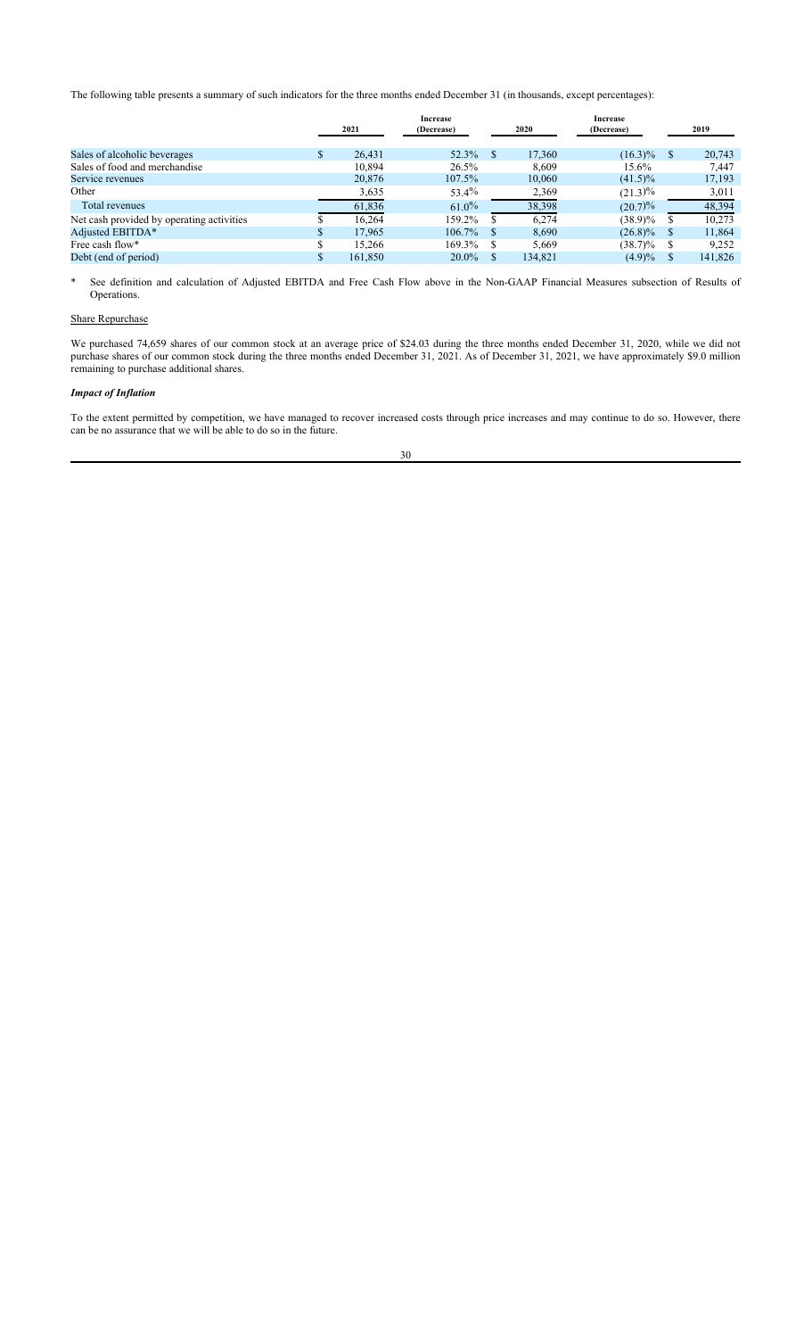The following table presents a summary of such indicators for the three months ended December 31 (in thousands, except percentages):

|                                           | 2021          | Increase<br>(Decrease) |          | 2020    | <b>Increase</b><br>(Decrease) |     | 2019    |
|-------------------------------------------|---------------|------------------------|----------|---------|-------------------------------|-----|---------|
| Sales of alcoholic beverages              | 26,431        | 52.3%                  | S        | 17,360  | $(16.3)\%$                    |     | 20,743  |
| Sales of food and merchandise             | 10.894        | 26.5%                  |          | 8.609   | 15.6%                         |     | 7.447   |
| Service revenues                          | 20,876        | 107.5%                 |          | 10,060  | $(41.5)\%$                    |     | 17,193  |
| Other                                     | 3,635         | 53.4%                  |          | 2,369   | $(21.3)\%$                    |     | 3,011   |
| Total revenues                            | 61,836        | $61.0\%$               |          | 38,398  | $(20.7)$ %                    |     | 48,394  |
| Net cash provided by operating activities | 16.264        | 159.2%                 |          | 6.274   | $(38.9)\%$                    |     | 10.273  |
| Adjusted EBITDA*                          | 17,965        | 106.7%                 | <b>S</b> | 8.690   | $(26.8)\%$                    | \$. | 11,864  |
| Free cash flow*                           | 15.266        | 169.3%                 | S        | 5,669   | $(38.7)\%$                    |     | 9.252   |
| Debt (end of period)                      | \$<br>161,850 | 20.0%                  |          | 134,821 | $(4.9)\%$                     |     | 141,826 |
|                                           |               |                        |          |         |                               |     |         |

\* See definition and calculation of Adjusted EBITDA and Free Cash Flow above in the Non-GAAP Financial Measures subsection of Results of Operations.

## Share Repurchase

We purchased 74,659 shares of our common stock at an average price of \$24.03 during the three months ended December 31, 2020, while we did not purchase shares of our common stock during the three months ended December 31, 2021. As of December 31, 2021, we have approximately \$9.0 million remaining to purchase additional shares.

## *Impact of Inflation*

To the extent permitted by competition, we have managed to recover increased costs through price increases and may continue to do so. However, there can be no assurance that we will be able to do so in the future.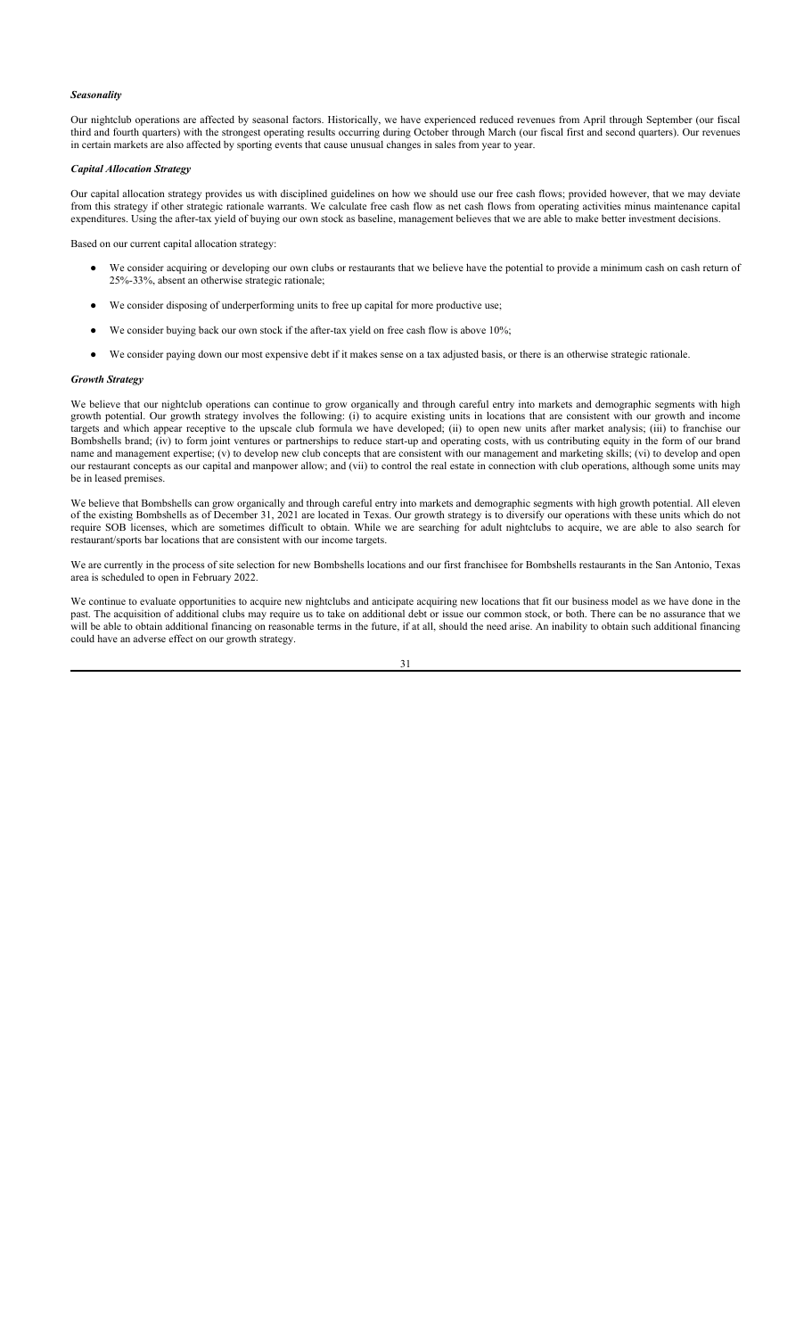## *Seasonality*

Our nightclub operations are affected by seasonal factors. Historically, we have experienced reduced revenues from April through September (our fiscal third and fourth quarters) with the strongest operating results occurring during October through March (our fiscal first and second quarters). Our revenues in certain markets are also affected by sporting events that cause unusual changes in sales from year to year.

## *Capital Allocation Strategy*

Our capital allocation strategy provides us with disciplined guidelines on how we should use our free cash flows; provided however, that we may deviate from this strategy if other strategic rationale warrants. We calculate free cash flow as net cash flows from operating activities minus maintenance capital expenditures. Using the after-tax yield of buying our own stock as baseline, management believes that we are able to make better investment decisions.

Based on our current capital allocation strategy:

- We consider acquiring or developing our own clubs or restaurants that we believe have the potential to provide a minimum cash on cash return of 25%-33%, absent an otherwise strategic rationale;
- We consider disposing of underperforming units to free up capital for more productive use;
- We consider buying back our own stock if the after-tax yield on free cash flow is above 10%;
- We consider paying down our most expensive debt if it makes sense on a tax adjusted basis, or there is an otherwise strategic rationale.

#### *Growth Strategy*

We believe that our nightclub operations can continue to grow organically and through careful entry into markets and demographic segments with high growth potential. Our growth strategy involves the following: (i) to acquire existing units in locations that are consistent with our growth and income targets and which appear receptive to the upscale club formula we have developed; (ii) to open new units after market analysis; (iii) to franchise our Bombshells brand; (iv) to form joint ventures or partnerships to reduce start-up and operating costs, with us contributing equity in the form of our brand name and management expertise; (v) to develop new club concepts that are consistent with our management and marketing skills; (vi) to develop and open our restaurant concepts as our capital and manpower allow; and (vii) to control the real estate in connection with club operations, although some units may be in leased premises.

We believe that Bombshells can grow organically and through careful entry into markets and demographic segments with high growth potential. All eleven of the existing Bombshells as of December 31, 2021 are located in Texas. Our growth strategy is to diversify our operations with these units which do not require SOB licenses, which are sometimes difficult to obtain. While we are searching for adult nightclubs to acquire, we are able to also search for restaurant/sports bar locations that are consistent with our income targets.

We are currently in the process of site selection for new Bombshells locations and our first franchisee for Bombshells restaurants in the San Antonio, Texas area is scheduled to open in February 2022.

We continue to evaluate opportunities to acquire new nightclubs and anticipate acquiring new locations that fit our business model as we have done in the past. The acquisition of additional clubs may require us to take on additional debt or issue our common stock, or both. There can be no assurance that we will be able to obtain additional financing on reasonable terms in the future, if at all, should the need arise. An inability to obtain such additional financing could have an adverse effect on our growth strategy.

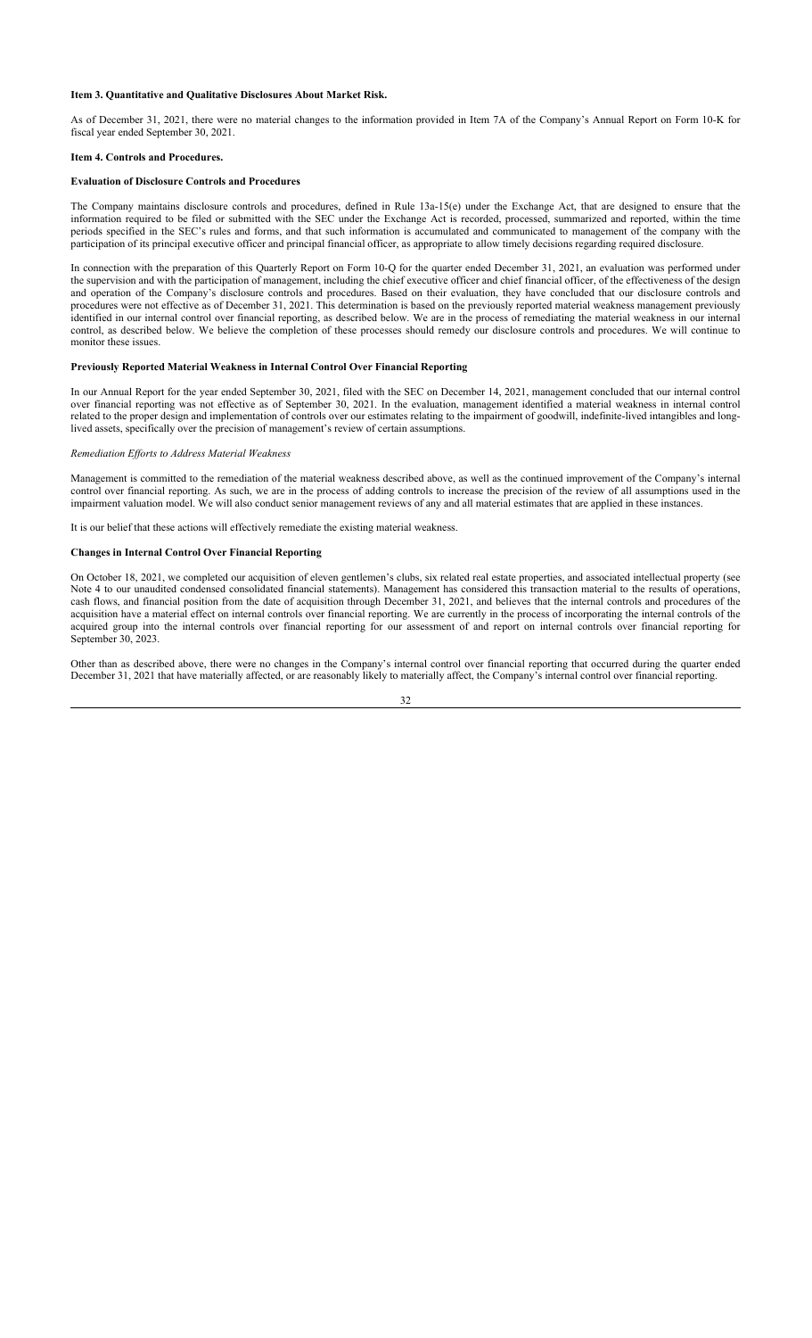## **Item 3. Quantitative and Qualitative Disclosures About Market Risk.**

As of December 31, 2021, there were no material changes to the information provided in Item 7A of the Company's Annual Report on Form 10-K for fiscal year ended September 30, 2021.

## **Item 4. Controls and Procedures.**

## **Evaluation of Disclosure Controls and Procedures**

The Company maintains disclosure controls and procedures, defined in Rule 13a-15(e) under the Exchange Act, that are designed to ensure that the information required to be filed or submitted with the SEC under the Exchange Act is recorded, processed, summarized and reported, within the time periods specified in the SEC's rules and forms, and that such information is accumulated and communicated to management of the company with the participation of its principal executive officer and principal financial officer, as appropriate to allow timely decisions regarding required disclosure.

In connection with the preparation of this Quarterly Report on Form 10-Q for the quarter ended December 31, 2021, an evaluation was performed under the supervision and with the participation of management, including the chief executive officer and chief financial officer, of the effectiveness of the design and operation of the Company's disclosure controls and procedures. Based on their evaluation, they have concluded that our disclosure controls and procedures were not effective as of December 31, 2021. This determination is based on the previously reported material weakness management previously identified in our internal control over financial reporting, as described below. We are in the process of remediating the material weakness in our internal control, as described below. We believe the completion of these processes should remedy our disclosure controls and procedures. We will continue to monitor these issues.

## **Previously Reported Material Weakness in Internal Control Over Financial Reporting**

In our Annual Report for the year ended September 30, 2021, filed with the SEC on December 14, 2021, management concluded that our internal control over financial reporting was not effective as of September 30, 2021. In the evaluation, management identified a material weakness in internal control related to the proper design and implementation of controls over our estimates relating to the impairment of goodwill, indefinite-lived intangibles and longlived assets, specifically over the precision of management's review of certain assumptions.

### *Remediation Efforts to Address Material Weakness*

Management is committed to the remediation of the material weakness described above, as well as the continued improvement of the Company's internal control over financial reporting. As such, we are in the process of adding controls to increase the precision of the review of all assumptions used in the impairment valuation model. We will also conduct senior management reviews of any and all material estimates that are applied in these instances.

It is our belief that these actions will effectively remediate the existing material weakness.

## **Changes in Internal Control Over Financial Reporting**

On October 18, 2021, we completed our acquisition of eleven gentlemen's clubs, six related real estate properties, and associated intellectual property (see Note 4 to our unaudited condensed consolidated financial statements). Management has considered this transaction material to the results of operations, cash flows, and financial position from the date of acquisition through December 31, 2021, and believes that the internal controls and procedures of the acquisition have a material effect on internal controls over financial reporting. We are currently in the process of incorporating the internal controls of the acquired group into the internal controls over financial reporting for our assessment of and report on internal controls over financial reporting for September 30, 2023.

Other than as described above, there were no changes in the Company's internal control over financial reporting that occurred during the quarter ended December 31, 2021 that have materially affected, or are reasonably likely to materially affect, the Company's internal control over financial reporting.

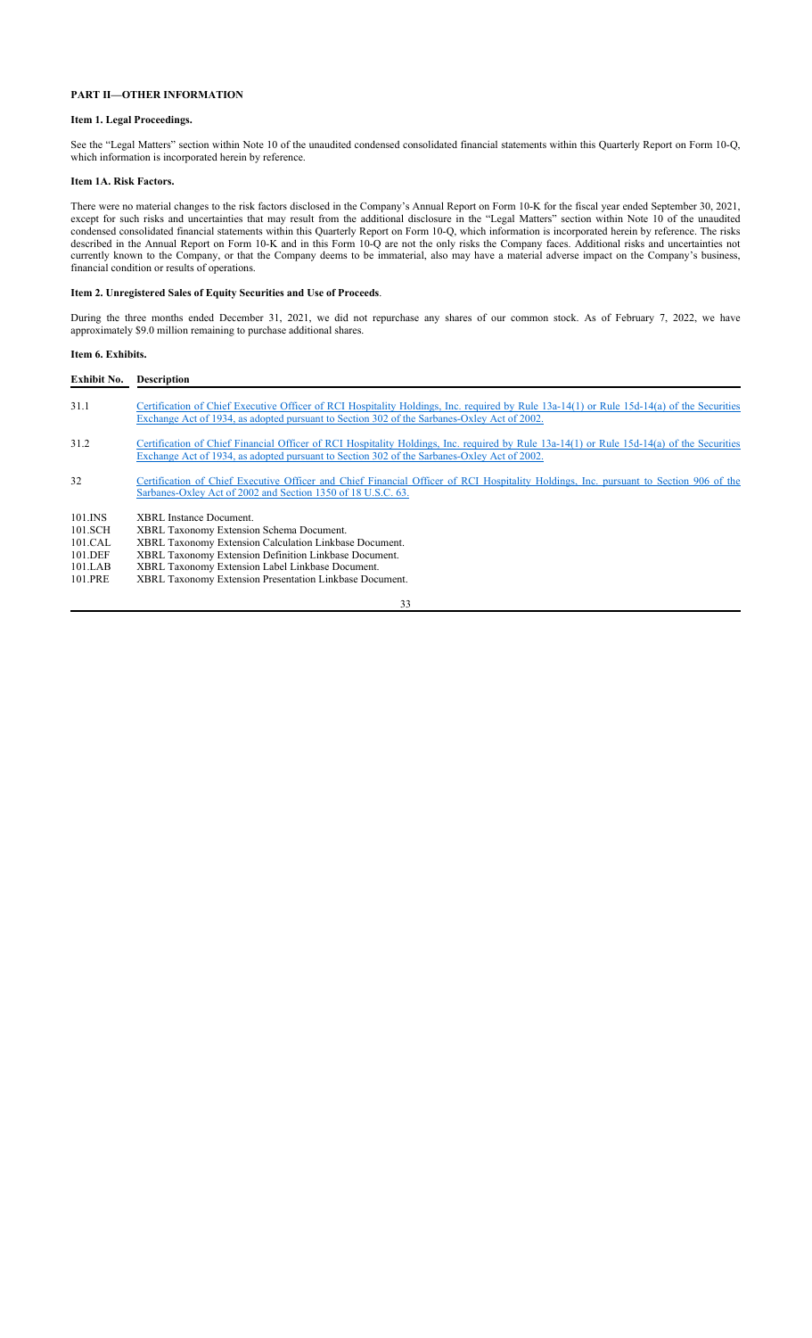## **PART II—OTHER INFORMATION**

## **Item 1. Legal Proceedings.**

See the "Legal Matters" section within Note 10 of the unaudited condensed consolidated financial statements within this Quarterly Report on Form 10-Q, which information is incorporated herein by reference.

## **Item 1A. Risk Factors.**

There were no material changes to the risk factors disclosed in the Company's Annual Report on Form 10-K for the fiscal year ended September 30, 2021, except for such risks and uncertainties that may result from the additional disclosure in the "Legal Matters" section within Note 10 of the unaudited condensed consolidated financial statements within this Quarterly Report on Form 10-Q, which information is incorporated herein by reference. The risks described in the Annual Report on Form 10-K and in this Form 10-Q are not the only risks the Company faces. Additional risks and uncertainties not currently known to the Company, or that the Company deems to be immaterial, also may have a material adverse impact on the Company's business, financial condition or results of operations.

## **Item 2. Unregistered Sales of Equity Securities and Use of Proceeds**.

During the three months ended December 31, 2021, we did not repurchase any shares of our common stock. As of February 7, 2022, we have approximately \$9.0 million remaining to purchase additional shares.

## **Item 6. Exhibits.**

| Exhibit No.                                                       | <b>Description</b>                                                                                                                                                                                                                                                                                           |
|-------------------------------------------------------------------|--------------------------------------------------------------------------------------------------------------------------------------------------------------------------------------------------------------------------------------------------------------------------------------------------------------|
| 31.1                                                              | Certification of Chief Executive Officer of RCI Hospitality Holdings, Inc. required by Rule 13a-14(1) or Rule 15d-14(a) of the Securities<br>Exchange Act of 1934, as adopted pursuant to Section 302 of the Sarbanes-Oxley Act of 2002.                                                                     |
| 31.2                                                              | Certification of Chief Financial Officer of RCI Hospitality Holdings, Inc. required by Rule 13a-14(1) or Rule 15d-14(a) of the Securities<br>Exchange Act of 1934, as adopted pursuant to Section 302 of the Sarbanes-Oxley Act of 2002.                                                                     |
| 32                                                                | Certification of Chief Executive Officer and Chief Financial Officer of RCI Hospitality Holdings, Inc. pursuant to Section 906 of the<br>Sarbanes-Oxley Act of 2002 and Section 1350 of 18 U.S.C. 63.                                                                                                        |
| 101.INS<br>$101$ .SCH<br>101.CAL<br>101.DEF<br>101.LAB<br>101.PRE | XBRL Instance Document.<br><b>XBRL Taxonomy Extension Schema Document.</b><br>XBRL Taxonomy Extension Calculation Linkbase Document.<br>XBRL Taxonomy Extension Definition Linkbase Document.<br>XBRL Taxonomy Extension Label Linkbase Document.<br>XBRL Taxonomy Extension Presentation Linkbase Document. |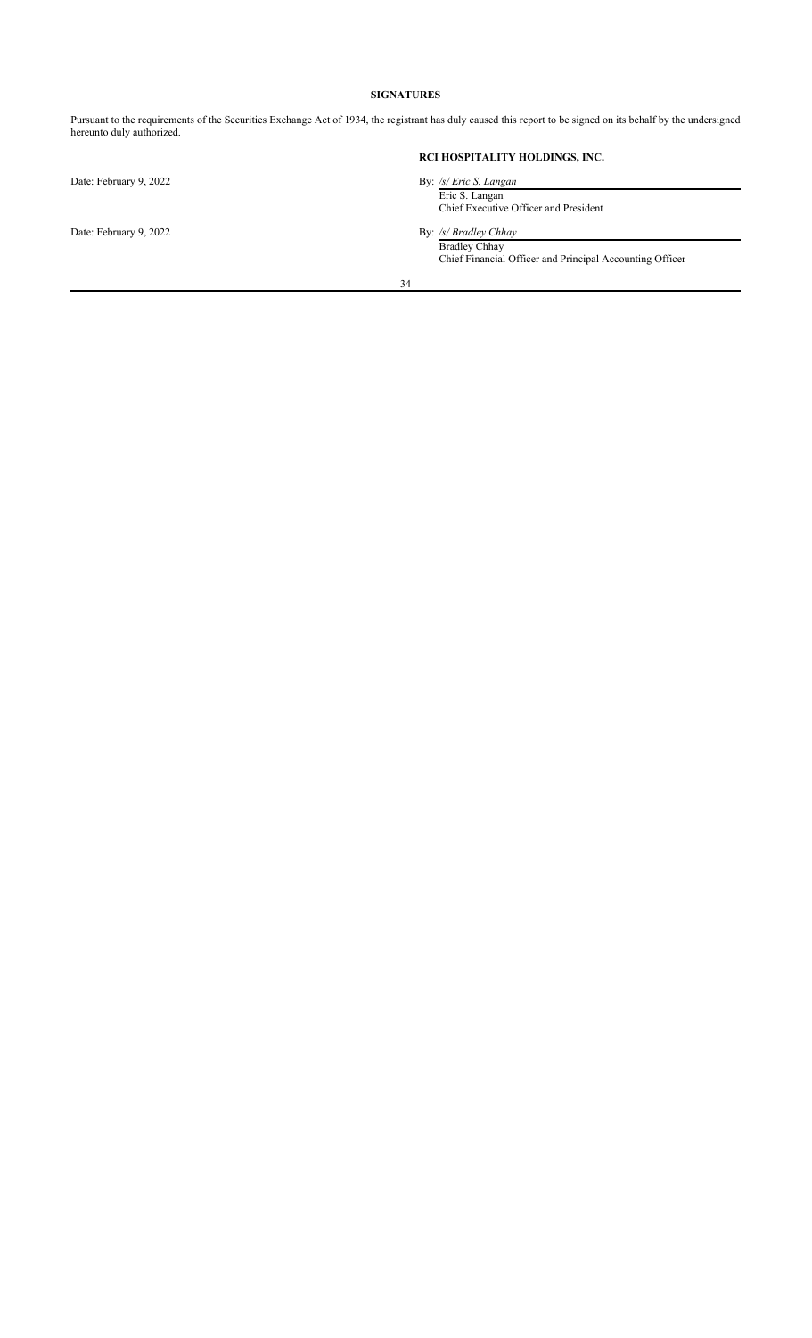## **SIGNATURES**

Pursuant to the requirements of the Securities Exchange Act of 1934, the registrant has duly caused this report to be signed on its behalf by the undersigned hereunto duly authorized.

|                        | RCI HOSPITALITY HOLDINGS, INC.                                                                            |
|------------------------|-----------------------------------------------------------------------------------------------------------|
| Date: February 9, 2022 | By: $\sqrt{s}$ Eric S. Langan<br>Eric S. Langan<br>Chief Executive Officer and President                  |
| Date: February 9, 2022 | By: /s/ Bradley Chhay<br><b>Bradley Chhay</b><br>Chief Financial Officer and Principal Accounting Officer |
| 34                     |                                                                                                           |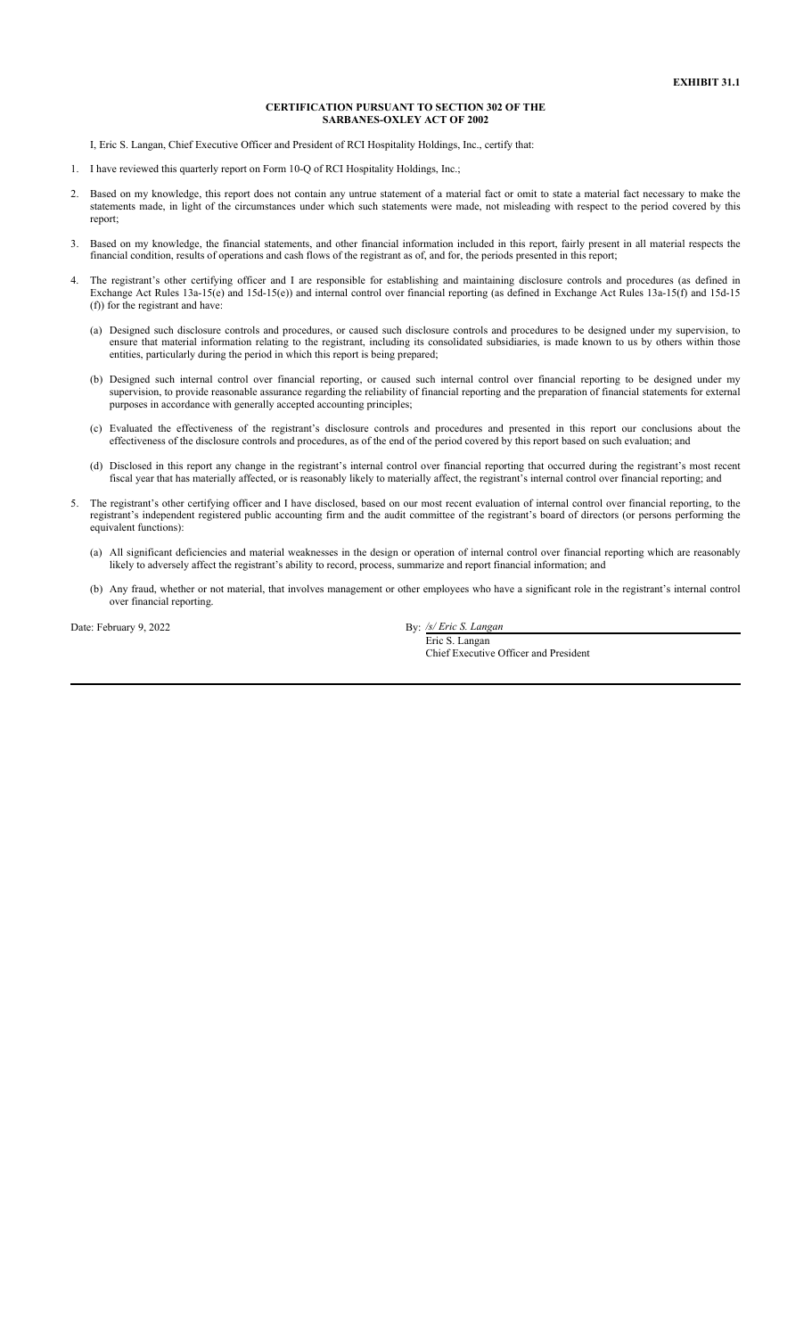## **CERTIFICATION PURSUANT TO SECTION 302 OF THE SARBANES-OXLEY ACT OF 2002**

I, Eric S. Langan, Chief Executive Officer and President of RCI Hospitality Holdings, Inc., certify that:

- 1. I have reviewed this quarterly report on Form 10-Q of RCI Hospitality Holdings, Inc.;
- 2. Based on my knowledge, this report does not contain any untrue statement of a material fact or omit to state a material fact necessary to make the statements made, in light of the circumstances under which such statements were made, not misleading with respect to the period covered by this report;
- 3. Based on my knowledge, the financial statements, and other financial information included in this report, fairly present in all material respects the financial condition, results of operations and cash flows of the registrant as of, and for, the periods presented in this report;
- The registrant's other certifying officer and I are responsible for establishing and maintaining disclosure controls and procedures (as defined in Exchange Act Rules 13a-15(e) and 15d-15(e)) and internal control over financial reporting (as defined in Exchange Act Rules 13a-15(f) and 15d-15 (f)) for the registrant and have:
	- (a) Designed such disclosure controls and procedures, or caused such disclosure controls and procedures to be designed under my supervision, to ensure that material information relating to the registrant, including its consolidated subsidiaries, is made known to us by others within those entities, particularly during the period in which this report is being prepared;
	- (b) Designed such internal control over financial reporting, or caused such internal control over financial reporting to be designed under my supervision, to provide reasonable assurance regarding the reliability of financial reporting and the preparation of financial statements for external purposes in accordance with generally accepted accounting principles;
	- (c) Evaluated the effectiveness of the registrant's disclosure controls and procedures and presented in this report our conclusions about the effectiveness of the disclosure controls and procedures, as of the end of the period covered by this report based on such evaluation; and
	- (d) Disclosed in this report any change in the registrant's internal control over financial reporting that occurred during the registrant's most recent fiscal year that has materially affected, or is reasonably likely to materially affect, the registrant's internal control over financial reporting; and
- 5. The registrant's other certifying officer and I have disclosed, based on our most recent evaluation of internal control over financial reporting, to the registrant's independent registered public accounting firm and the audit committee of the registrant's board of directors (or persons performing the equivalent functions):
	- (a) All significant deficiencies and material weaknesses in the design or operation of internal control over financial reporting which are reasonably likely to adversely affect the registrant's ability to record, process, summarize and report financial information; and
	- (b) Any fraud, whether or not material, that involves management or other employees who have a significant role in the registrant's internal control over financial reporting.

Date: February 9, 2022 By: /s/ Eric S. Langan Eric S. Langan

Chief Executive Officer and President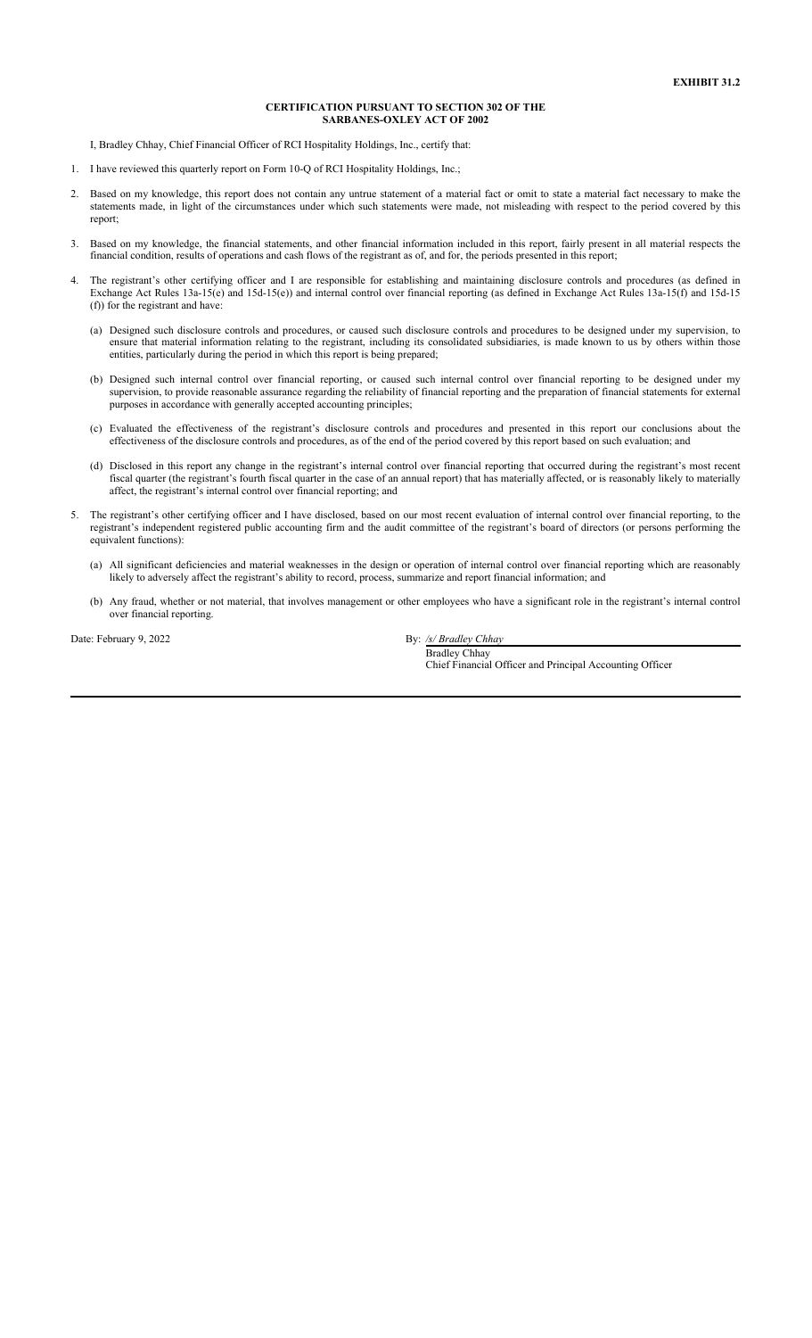## **CERTIFICATION PURSUANT TO SECTION 302 OF THE SARBANES-OXLEY ACT OF 2002**

I, Bradley Chhay, Chief Financial Officer of RCI Hospitality Holdings, Inc., certify that:

- 1. I have reviewed this quarterly report on Form 10-Q of RCI Hospitality Holdings, Inc.;
- 2. Based on my knowledge, this report does not contain any untrue statement of a material fact or omit to state a material fact necessary to make the statements made, in light of the circumstances under which such statements were made, not misleading with respect to the period covered by this report;
- 3. Based on my knowledge, the financial statements, and other financial information included in this report, fairly present in all material respects the financial condition, results of operations and cash flows of the registrant as of, and for, the periods presented in this report;
- The registrant's other certifying officer and I are responsible for establishing and maintaining disclosure controls and procedures (as defined in Exchange Act Rules 13a-15(e) and 15d-15(e)) and internal control over financial reporting (as defined in Exchange Act Rules 13a-15(f) and 15d-15 (f)) for the registrant and have:
	- (a) Designed such disclosure controls and procedures, or caused such disclosure controls and procedures to be designed under my supervision, to ensure that material information relating to the registrant, including its consolidated subsidiaries, is made known to us by others within those entities, particularly during the period in which this report is being prepared;
	- (b) Designed such internal control over financial reporting, or caused such internal control over financial reporting to be designed under my supervision, to provide reasonable assurance regarding the reliability of financial reporting and the preparation of financial statements for external purposes in accordance with generally accepted accounting principles;
	- (c) Evaluated the effectiveness of the registrant's disclosure controls and procedures and presented in this report our conclusions about the effectiveness of the disclosure controls and procedures, as of the end of the period covered by this report based on such evaluation; and
	- (d) Disclosed in this report any change in the registrant's internal control over financial reporting that occurred during the registrant's most recent fiscal quarter (the registrant's fourth fiscal quarter in the case of an annual report) that has materially affected, or is reasonably likely to materially affect, the registrant's internal control over financial reporting; and
- 5. The registrant's other certifying officer and I have disclosed, based on our most recent evaluation of internal control over financial reporting, to the registrant's independent registered public accounting firm and the audit committee of the registrant's board of directors (or persons performing the equivalent functions):
	- (a) All significant deficiencies and material weaknesses in the design or operation of internal control over financial reporting which are reasonably likely to adversely affect the registrant's ability to record, process, summarize and report financial information; and
	- (b) Any fraud, whether or not material, that involves management or other employees who have a significant role in the registrant's internal control over financial reporting.

Date: February 9, 2022 By: /s/ Bradley Chhay Bradley Chhay

Chief Financial Officer and Principal Accounting Officer